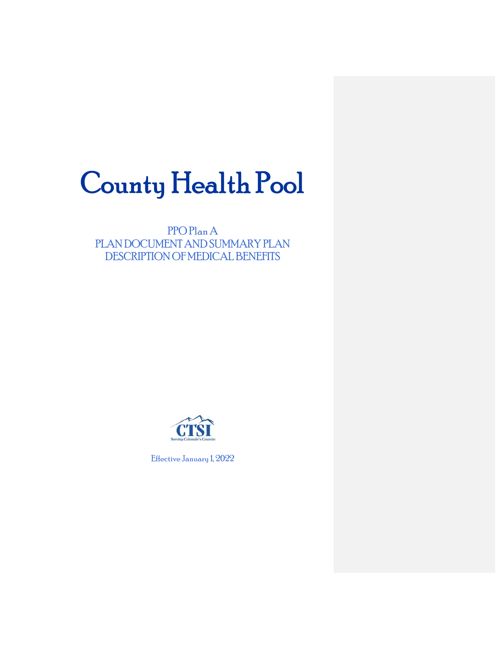# County Health Pool

PPO Plan A PLAN DOCUMENT AND SUMMARY PLAN DESCRIPTION OF MEDICAL BENEFITS



Effective January 1, 2022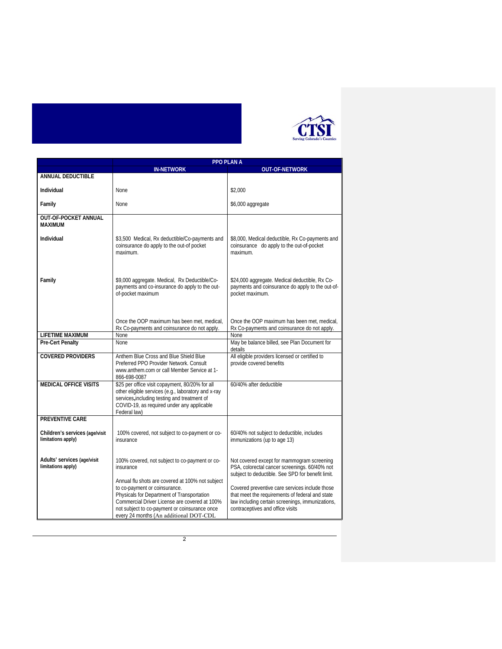

|                                                      | <b>PPO PLAN A</b>                                                                                                                                                                                                       |                                                                                                                                                                                           |  |
|------------------------------------------------------|-------------------------------------------------------------------------------------------------------------------------------------------------------------------------------------------------------------------------|-------------------------------------------------------------------------------------------------------------------------------------------------------------------------------------------|--|
|                                                      | IN-NETWORK                                                                                                                                                                                                              | <b>OUT-OF-NETWORK</b>                                                                                                                                                                     |  |
| <b>ANNUAL DEDUCTIBLE</b>                             |                                                                                                                                                                                                                         |                                                                                                                                                                                           |  |
| Individual                                           | None                                                                                                                                                                                                                    | \$2,000                                                                                                                                                                                   |  |
| Family                                               | <b>None</b>                                                                                                                                                                                                             | \$6,000 aggregate                                                                                                                                                                         |  |
| OUT-OF-POCKET ANNUAL<br><b>MAXIMUM</b>               |                                                                                                                                                                                                                         |                                                                                                                                                                                           |  |
| Individual                                           | \$3,500 Medical, Rx deductible/Co-payments and<br>coinsurance do apply to the out-of pocket<br>maximum.                                                                                                                 | \$8,000, Medical deductible, Rx Co-payments and<br>coinsurance do apply to the out-of-pocket<br>maximum                                                                                   |  |
| Family                                               | \$9,000 aggregate. Medical, Rx Deductible/Co-<br>payments and co-insurance do apply to the out-<br>of-pocket maximum                                                                                                    | \$24,000 aggregate. Medical deductible, Rx Co-<br>payments and coinsurance do apply to the out-of-<br>pocket maximum.                                                                     |  |
|                                                      | Once the OOP maximum has been met, medical.<br>Rx Co-payments and coinsurance do not apply.                                                                                                                             | Once the OOP maximum has been met, medical,<br>Rx Co-payments and coinsurance do not apply.                                                                                               |  |
| <b>LIFETIME MAXIMUM</b>                              | <b>None</b>                                                                                                                                                                                                             | None                                                                                                                                                                                      |  |
| <b>Pre-Cert Penalty</b>                              | None                                                                                                                                                                                                                    | May be balance billed, see Plan Document for<br>details                                                                                                                                   |  |
| <b>COVERED PROVIDERS</b>                             | Anthem Blue Cross and Blue Shield Blue<br>Preferred PPO Provider Network, Consult<br>www.anthem.com or call Member Service at 1-<br>866-698-0087                                                                        | All eligible providers licensed or certified to<br>provide covered benefits                                                                                                               |  |
| <b>MEDICAL OFFICE VISITS</b>                         | \$25 per office visit copayment, 80/20% for all<br>other eligible services (e.g., laboratory and x-ray<br>services, including testing and treatment of<br>COVID-19, as required under any applicable<br>Federal law)    | 60/40% after deductible                                                                                                                                                                   |  |
| <b>PREVENTIVE CARE</b>                               |                                                                                                                                                                                                                         |                                                                                                                                                                                           |  |
| Children's services (age/visit<br>limitations apply) | 100% covered, not subject to co-payment or co-<br>insurance                                                                                                                                                             | 60/40% not subject to deductible, includes<br>immunizations (up to age 13)                                                                                                                |  |
| Adults' services (age/visit<br>limitations apply)    | 100% covered, not subject to co-payment or co-<br>insurance<br>Annual flu shots are covered at 100% not subject                                                                                                         | Not covered except for mammogram screening<br>PSA, colorectal cancer screenings. 60/40% not<br>subject to deductible. See SPD for benefit limit.                                          |  |
|                                                      | to co-payment or coinsurance.<br>Physicals for Department of Transportation<br>Commercial Driver License are covered at 100%<br>not subject to co-payment or coinsurance once<br>every 24 months (An additional DOT-CDL | Covered preventive care services include those<br>that meet the requirements of federal and state<br>law including certain screenings, immunizations,<br>contraceptives and office visits |  |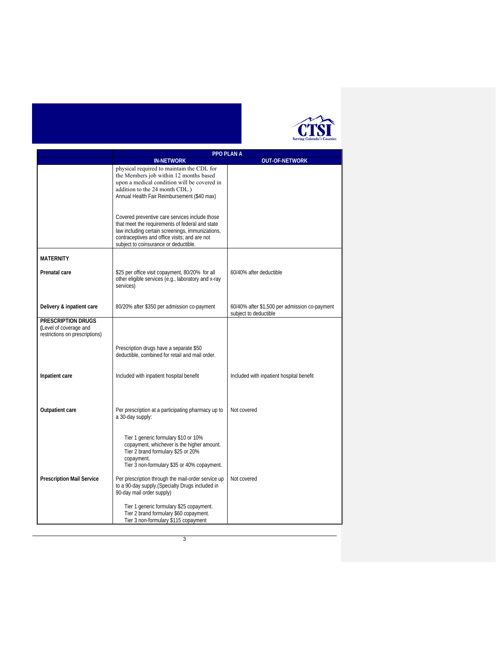

| <b>PPO PLAN A</b>                                                                     |                                                                                                                                                                                                                                                                                                 |                                                                        |
|---------------------------------------------------------------------------------------|-------------------------------------------------------------------------------------------------------------------------------------------------------------------------------------------------------------------------------------------------------------------------------------------------|------------------------------------------------------------------------|
|                                                                                       | <b>IN-NETWORK</b>                                                                                                                                                                                                                                                                               | <b>OUT-OF-NETWORK</b>                                                  |
|                                                                                       | physical required to maintain the CDL for<br>the Members job within 12 months based<br>upon a medical condition will be covered in<br>addition to the 24 month CDL.)<br>Annual Health Fair Reimbursement (\$40 max)                                                                             |                                                                        |
|                                                                                       | Covered preventive care services include those<br>that meet the requirements of federal and state<br>law including certain screenings, immunizations,<br>contraceptives and office visits; and are not<br>subject to coinsurance or deductible.                                                 |                                                                        |
| <b>MATERNITY</b>                                                                      |                                                                                                                                                                                                                                                                                                 |                                                                        |
| Prenatal care                                                                         | \$25 per office visit copayment, 80/20% for all<br>other eligible services (e.g., laboratory and x-ray<br>services)                                                                                                                                                                             | 60/40% after deductible                                                |
| Delivery & inpatient care                                                             | 80/20% after \$350 per admission co-payment                                                                                                                                                                                                                                                     | 60/40% after \$1,500 per admission co-payment<br>subject to deductible |
| <b>PRESCRIPTION DRUGS</b><br>(Level of coverage and<br>restrictions on prescriptions) |                                                                                                                                                                                                                                                                                                 |                                                                        |
|                                                                                       | Prescription drugs have a separate \$50<br>deductible, combined for retail and mail order.                                                                                                                                                                                                      |                                                                        |
| Inpatient care                                                                        | Included with inpatient hospital benefit                                                                                                                                                                                                                                                        | Included with inpatient hospital benefit                               |
| Outpatient care                                                                       | Per prescription at a participating pharmacy up to<br>a 30-day supply:                                                                                                                                                                                                                          | Not covered                                                            |
| <b>Prescription Mail Service</b>                                                      | Tier 1 generic formulary \$10 or 10%<br>copayment, whichever is the higher amount.<br>Tier 2 brand formulary \$25 or 20%<br>copayment.<br>Tier 3 non-formulary \$35 or 40% copayment.<br>Per prescription through the mail-order service up<br>to a 90-day supply. (Specialty Drugs included in | Not covered                                                            |
|                                                                                       | 90-day mail order supply)<br>Tier 1 generic formulary \$25 copayment.<br>Tier 2 brand formulary \$60 copayment.<br>Tier 3 non-formulary \$115 copayment                                                                                                                                         |                                                                        |

3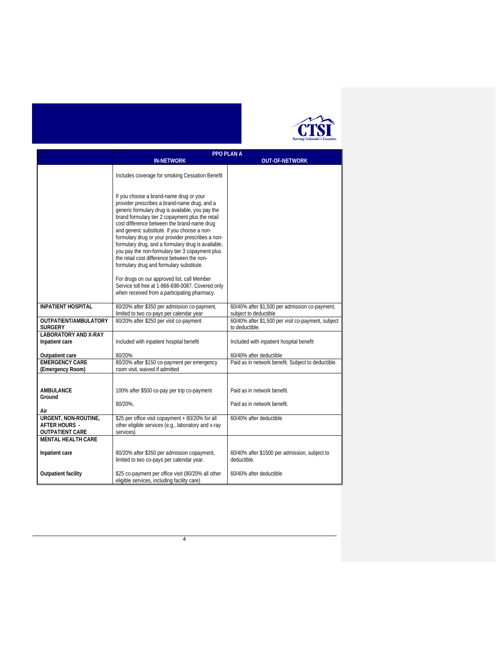

|                                              | <b>PPO PLAN A</b>                                                                                                                      |                                                                      |
|----------------------------------------------|----------------------------------------------------------------------------------------------------------------------------------------|----------------------------------------------------------------------|
|                                              | <b>IN-NETWORK</b><br><b>OUT-OF-NETWORK</b>                                                                                             |                                                                      |
|                                              |                                                                                                                                        |                                                                      |
|                                              | Includes coverage for smoking Cessation Benefit                                                                                        |                                                                      |
|                                              |                                                                                                                                        |                                                                      |
|                                              | If you choose a brand-name drug or your                                                                                                |                                                                      |
|                                              | provider prescribes a brand-name drug, and a                                                                                           |                                                                      |
|                                              | generic formulary drug is available, you pay the                                                                                       |                                                                      |
|                                              | brand formulary tier 2 copayment plus the retail                                                                                       |                                                                      |
|                                              | cost difference between the brand-name drug<br>and generic substitute. If you choose a non-                                            |                                                                      |
|                                              | formulary drug or your provider prescribes a non-                                                                                      |                                                                      |
|                                              | formulary drug, and a formulary drug is available,                                                                                     |                                                                      |
|                                              | you pay the non-formulary tier 3 copayment plus                                                                                        |                                                                      |
|                                              | the retail cost difference between the non-<br>formulary drug and formulary substitute.                                                |                                                                      |
|                                              |                                                                                                                                        |                                                                      |
|                                              | For drugs on our approved list, call Member                                                                                            |                                                                      |
|                                              | Service toll free at 1-866-698-0087. Covered only<br>when received from a participating pharmacy.                                      |                                                                      |
|                                              |                                                                                                                                        |                                                                      |
| <b>INPATIENT HOSPITAL</b>                    | 80/20% after \$350 per admission co-payment,                                                                                           | 60/40% after \$1,500 per admission co-payment,                       |
|                                              | limited to two co-pays per calendar year                                                                                               | subject to deductible                                                |
| OUTPATIENT/AMBULATORY<br><b>SURGERY</b>      | 80/20% after \$250 per visit co-payment                                                                                                | 60/40% after \$1,500 per visit co-payment, subject<br>to deductible. |
| <b>LABORATORY AND X-RAY</b>                  |                                                                                                                                        |                                                                      |
| Inpatient care                               | Included with inpatient hospital benefit                                                                                               | Included with inpatient hospital benefit                             |
|                                              |                                                                                                                                        |                                                                      |
| Outpatient care<br><b>EMERGENCY CARE</b>     | 80/20%<br>60/40% after deductible<br>80/20% after \$150 co-payment per emergency<br>Paid as in network benefit. Subject to deductible. |                                                                      |
| (Emergency Room)                             | room visit, waived if admitted                                                                                                         |                                                                      |
|                                              |                                                                                                                                        |                                                                      |
| <b>AMBULANCE</b>                             |                                                                                                                                        | Paid as in network benefit.                                          |
| Ground                                       | 100% after \$500 co-pay per trip co-payment                                                                                            |                                                                      |
|                                              | 80/20%.                                                                                                                                | Paid as in network benefit.                                          |
| Air                                          |                                                                                                                                        |                                                                      |
| URGENT, NON-ROUTINE,<br><b>AFTER HOURS -</b> | \$25 per office visit copayment + 80/20% for all<br>other eligible services (e.g., laboratory and x-ray                                | 60/40% after deductible                                              |
| <b>OUTPATIENT CARE</b>                       | services)                                                                                                                              |                                                                      |
| <b>MENTAL HEALTH CARE</b>                    |                                                                                                                                        |                                                                      |
|                                              |                                                                                                                                        |                                                                      |
| Inpatient care                               | 80/20% after \$350 per admission copayment,<br>limited to two co-pays per calendar year.                                               | 60/40% after \$1500 per admission, subject to<br>deductible.         |
|                                              |                                                                                                                                        |                                                                      |
| <b>Outpatient facility</b>                   | \$25 co-payment per office visit (80/20% all other                                                                                     | 60/40% after deductible                                              |
|                                              | eligible services, including facility care)                                                                                            |                                                                      |

4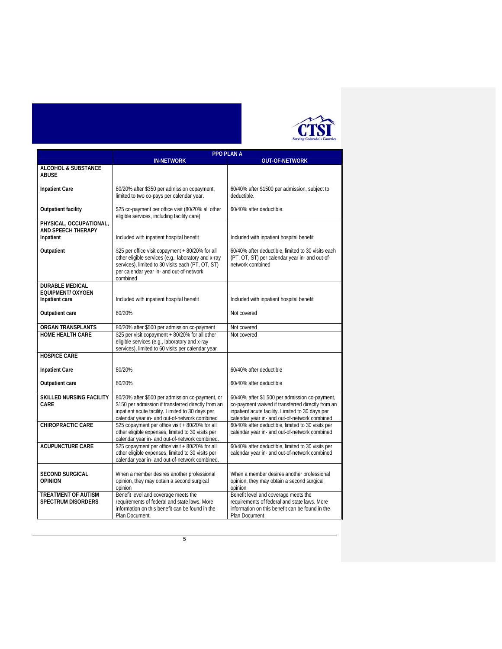

|                                                            | <b>PPO PLAN A</b>                                                                                                                                                                                                    |                                                                                                                                                                                                          |
|------------------------------------------------------------|----------------------------------------------------------------------------------------------------------------------------------------------------------------------------------------------------------------------|----------------------------------------------------------------------------------------------------------------------------------------------------------------------------------------------------------|
|                                                            | <b>IN-NETWORK</b>                                                                                                                                                                                                    | <b>OUT-OF-NETWORK</b>                                                                                                                                                                                    |
| <b>ALCOHOL &amp; SUBSTANCE</b><br><b>ABUSE</b>             |                                                                                                                                                                                                                      |                                                                                                                                                                                                          |
| <b>Inpatient Care</b>                                      | 80/20% after \$350 per admission copayment,<br>limited to two co-pays per calendar year.                                                                                                                             | 60/40% after \$1500 per admission, subject to<br>deductible.                                                                                                                                             |
| <b>Outpatient facility</b>                                 | \$25 co-payment per office visit (80/20% all other<br>eligible services, including facility care)                                                                                                                    | 60/40% after deductible.                                                                                                                                                                                 |
| PHYSICAL, OCCUPATIONAL,<br>AND SPEECH THERAPY<br>Inpatient | Included with inpatient hospital benefit                                                                                                                                                                             | Included with inpatient hospital benefit                                                                                                                                                                 |
| Outpatient                                                 | \$25 per office visit copayment + 80/20% for all<br>other eligible services (e.g., laboratory and x-ray<br>services), limited to 30 visits each (PT, OT, ST)<br>per calendar year in- and out-of-network<br>combined | 60/40% after deductible, limited to 30 visits each<br>(PT, OT, ST) per calendar year in- and out-of-<br>network combined                                                                                 |
| <b>DURABLE MEDICAL</b>                                     |                                                                                                                                                                                                                      |                                                                                                                                                                                                          |
| <b>EQUIPMENT/ OXYGEN</b><br>Inpatient care                 | Included with inpatient hospital benefit                                                                                                                                                                             | Included with inpatient hospital benefit                                                                                                                                                                 |
| Outpatient care                                            | 80/20%                                                                                                                                                                                                               | Not covered                                                                                                                                                                                              |
| <b>ORGAN TRANSPLANTS</b>                                   | 80/20% after \$500 per admission co-payment                                                                                                                                                                          | Not covered                                                                                                                                                                                              |
| <b>HOME HEALTH CARE</b>                                    | \$25 per visit copayment + 80/20% for all other<br>eligible services (e.g., laboratory and x-ray<br>services), limited to 60 visits per calendar year                                                                | Not covered                                                                                                                                                                                              |
| <b>HOSPICE CARE</b>                                        |                                                                                                                                                                                                                      |                                                                                                                                                                                                          |
| <b>Inpatient Care</b>                                      | 80/20%                                                                                                                                                                                                               | 60/40% after deductible                                                                                                                                                                                  |
| Outpatient care                                            | 80/20%                                                                                                                                                                                                               | 60/40% after deductible                                                                                                                                                                                  |
| <b>SKILLED NURSING FACILITY</b><br>CARE                    | 80/20% after \$500 per admission co-payment, or<br>\$150 per admission if transferred directly from an<br>inpatient acute facility. Limited to 30 days per<br>calendar year in- and out-of-network combined          | 60/40% after \$1,500 per admission co-payment,<br>co-payment waived if transferred directly from an<br>inpatient acute facility. Limited to 30 days per<br>calendar year in- and out-of-network combined |
| <b>CHIROPRACTIC CARE</b>                                   | \$25 copayment per office visit + 80/20% for all<br>other eligible expenses, limited to 30 visits per<br>calendar year in- and out-of-network combined.                                                              | 60/40% after deductible, limited to 30 visits per<br>calendar year in- and out-of-network combined                                                                                                       |
| <b>ACUPUNCTURE CARE</b>                                    | \$25 copayment per office visit + 80/20% for all<br>other eligible expenses, limited to 30 visits per<br>calendar year in- and out-of-network combined.                                                              | 60/40% after deductible, limited to 30 visits per<br>calendar year in- and out-of-network combined                                                                                                       |
| <b>SECOND SURGICAL</b><br><b>OPINION</b>                   | When a member desires another professional<br>opinion, they may obtain a second surgical<br>opinion                                                                                                                  | When a member desires another professional<br>opinion, they may obtain a second surgical<br>opinion                                                                                                      |
| <b>TREATMENT OF AUTISM</b><br><b>SPECTRUM DISORDERS</b>    | Benefit level and coverage meets the<br>requirements of federal and state laws. More<br>information on this benefit can be found in the<br>Plan Document.                                                            | Benefit level and coverage meets the<br>requirements of federal and state laws. More<br>information on this benefit can be found in the<br>Plan Document                                                 |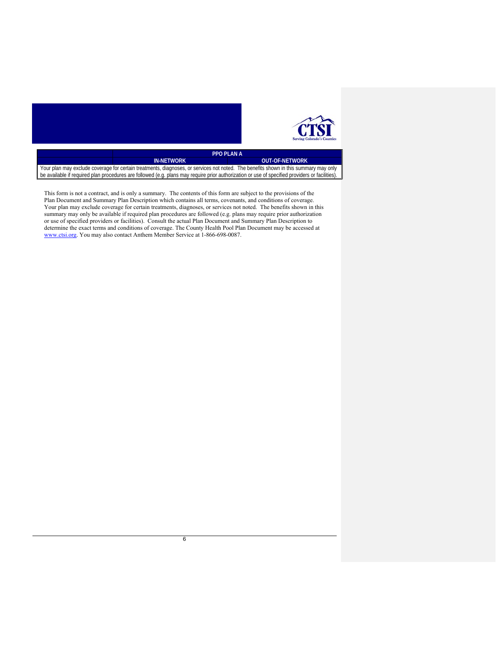

|                                                                                                                                                 | <b>PPO PLANA</b>  |                       |
|-------------------------------------------------------------------------------------------------------------------------------------------------|-------------------|-----------------------|
|                                                                                                                                                 | <b>IN-NETWORK</b> | <b>OUT-OF-NETWORK</b> |
| ∥ Your plan may exclude coverage for certain treatments, diagnoses, or services not noted. The benefits shown in this summary may only          |                   |                       |
| be available if required plan procedures are followed (e.g. plans may require prior authorization or use of specified providers or facilities). |                   |                       |

This form is not a contract, and is only a summary. The contents of this form are subject to the provisions of the Plan Document and Summary Plan Description which contains all terms, covenants, and conditions of coverage. Your plan may exclude coverage for certain treatments, diagnoses, or services not noted. The benefits shown in this summary may only be available if required plan procedures are followed (e.g. plans may require prior authorization or use of specified providers or facilities). Consult the actual Plan Document and Summary Plan Description to determine the exact terms and conditions of coverage. The County Health Pool Plan Document may be accessed at www.ctsi.org. You may also contact Anthem Member Service at 1-866-698-0087.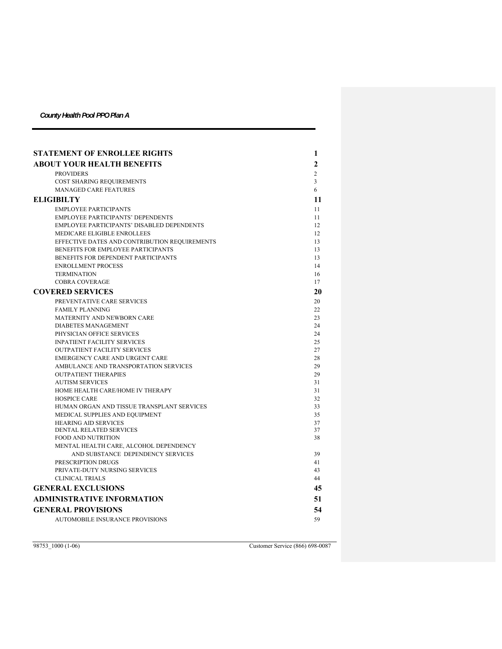| <b>STATEMENT OF ENROLLEE RIGHTS</b>                           | 1              |
|---------------------------------------------------------------|----------------|
| <b>ABOUT YOUR HEALTH BENEFITS</b>                             | $\mathbf{2}$   |
| <b>PROVIDERS</b>                                              | $\overline{2}$ |
| COST SHARING REQUIREMENTS                                     | 3              |
| <b>MANAGED CARE FEATURES</b>                                  | 6              |
| <b>ELIGIBILTY</b>                                             | 11             |
| <b>EMPLOYEE PARTICIPANTS</b>                                  | 11             |
| <b>EMPLOYEE PARTICIPANTS' DEPENDENTS</b>                      | 11             |
| EMPLOYEE PARTICIPANTS' DISABLED DEPENDENTS                    | 12             |
| MEDICARE ELIGIBLE ENROLLEES                                   | 12             |
| EFFECTIVE DATES AND CONTRIBUTION REQUIREMENTS                 | 13             |
| BENEFITS FOR EMPLOYEE PARTICIPANTS                            | 13             |
| BENEFITS FOR DEPENDENT PARTICIPANTS                           | 13             |
| <b>ENROLLMENT PROCESS</b>                                     | 14             |
| <b>TERMINATION</b>                                            | 16             |
| COBRA COVERAGE                                                | 17             |
| <b>COVERED SERVICES</b>                                       | 20             |
| PREVENTATIVE CARE SERVICES                                    | 20             |
| <b>FAMILY PLANNING</b>                                        | 22             |
| MATERNITY AND NEWBORN CARE                                    | 23             |
| <b>DIABETES MANAGEMENT</b>                                    | 24             |
| PHYSICIAN OFFICE SERVICES                                     | 24             |
| <b>INPATIENT FACILITY SERVICES</b>                            | 25             |
| <b>OUTPATIENT FACILITY SERVICES</b>                           | 27             |
| EMERGENCY CARE AND URGENT CARE                                | 28             |
| AMBULANCE AND TRANSPORTATION SERVICES                         | 29             |
| <b>OUTPATIENT THERAPIES</b>                                   | 29             |
| <b>AUTISM SERVICES</b>                                        | 31             |
| HOME HEALTH CARE/HOME IV THERAPY                              | 31             |
| <b>HOSPICE CARE</b>                                           | 32             |
| HUMAN ORGAN AND TISSUE TRANSPLANT SERVICES                    | 33             |
| MEDICAL SUPPLIES AND EQUIPMENT<br><b>HEARING AID SERVICES</b> | 35<br>37       |
| DENTAL RELATED SERVICES                                       | 37             |
| <b>FOOD AND NUTRITION</b>                                     | 38             |
| MENTAL HEALTH CARE, ALCOHOL DEPENDENCY                        |                |
| AND SUBSTANCE DEPENDENCY SERVICES                             | 39             |
| PRESCRIPTION DRUGS                                            | 41             |
| PRIVATE-DUTY NURSING SERVICES                                 | 43             |
| <b>CLINICAL TRIALS</b>                                        | 44             |
| <b>GENERAL EXCLUSIONS</b>                                     | 45             |
| <b>ADMINISTRATIVE INFORMATION</b>                             | 51             |
| <b>GENERAL PROVISIONS</b>                                     | 54             |
| AUTOMOBILE INSURANCE PROVISIONS                               | 59             |

98753\_1000 (1-06) Customer Service (866) 698-0087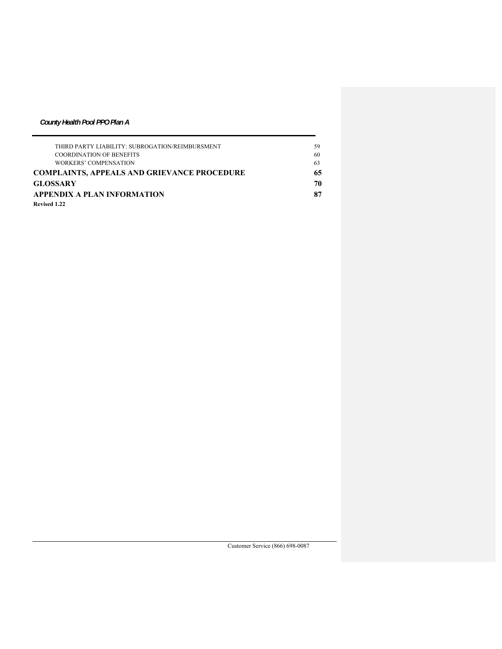| THIRD PARTY LIABILITY: SUBROGATION/REIMBURSMENT    | 59 |
|----------------------------------------------------|----|
| <b>COORDINATION OF BENEFITS</b>                    | 60 |
| WORKERS' COMPENSATION                              | 63 |
| <b>COMPLAINTS, APPEALS AND GRIEVANCE PROCEDURE</b> | 65 |
| <b>GLOSSARY</b>                                    | 70 |
| APPENDIX A PLAN INFORMATION                        | 87 |
| Revised 1.22                                       |    |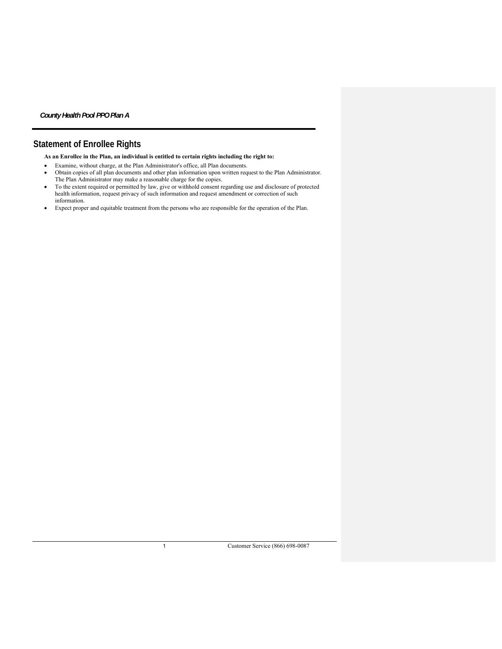# **Statement of Enrollee Rights**

**As an Enrollee in the Plan, an individual is entitled to certain rights including the right to:** 

- Examine, without charge, at the Plan Administrator's office, all Plan documents.
- Obtain copies of all plan documents and other plan information upon written request to the Plan Administrator. The Plan Administrator may make a reasonable charge for the copies.
- To the extent required or permitted by law, give or withhold consent regarding use and disclosure of protected health information, request privacy of such information and request amendment or correction of such information.
- Expect proper and equitable treatment from the persons who are responsible for the operation of the Plan.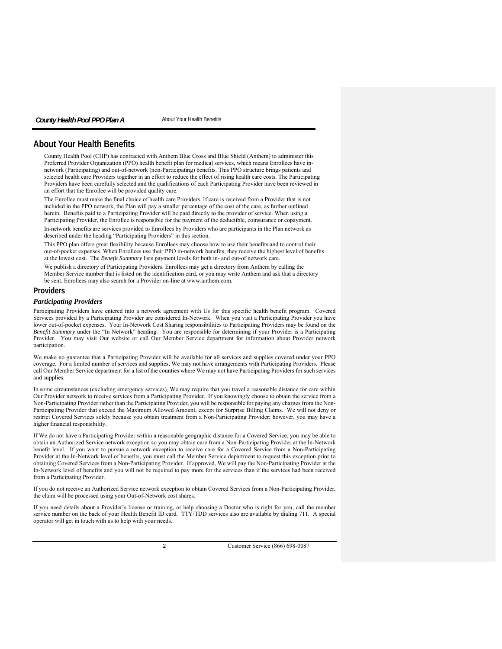# **About Your Health Benefits**

County Health Pool (CHP) has contracted with Anthem Blue Cross and Blue Shield (Anthem) to administer this Preferred Provider Organization (PPO) health benefit plan for medical services, which means Enrollees have innetwork (Participating) and out-of-network (non-Participating) benefits. This PPO structure brings patients and selected health care Providers together in an effort to reduce the effect of rising health care costs. The Participating Providers have been carefully selected and the qualifications of each Participating Provider have been reviewed in an effort that the Enrollee will be provided quality care.

The Enrollee must make the final choice of health care Providers. If care is received from a Provider that is not included in the PPO network, the Plan will pay a smaller percentage of the cost of the care, as further outlined herein. Benefits paid to a Participating Provider will be paid directly to the provider of service. When using a Participating Provider, the Enrollee is responsible for the payment of the deductible, coinsurance or copayment.

In-network benefits are services provided to Enrollees by Providers who are participants in the Plan network as described under the heading "Participating Providers" in this section.

This PPO plan offers great flexibility because Enrollees may choose how to use their benefits and to control their out-of-pocket expenses. When Enrollees use their PPO in-network benefits, they receive the highest level of benefits at the lowest cost. The *Benefit Summary* lists payment levels for both in- and out-of network care.

We publish a directory of Participating Providers. Enrollees may get a directory from Anthem by calling the Member Service number that is listed on the identification card, or you may write Anthem and ask that a directory be sent. Enrollees may also search for a Provider on-line at www.anthem.com.

# **Providers**

# *Participating Providers*

Participating Providers have entered into a network agreement with Us for this specific health benefit program. Covered Services provided by a Participating Provider are considered In-Network. When you visit a Participating Provider you have lower out-of-pocket expenses. Your In-Network Cost Sharing responsibilities to Participating Providers may be found on the *Benefit Summary* under the "In Network" heading. You are responsible for determining if your Provider is a Participating Provider. You may visit Our website or call Our Member Service department for information about Provider network participation.

We make no guarantee that a Participating Provider will be available for all services and supplies covered under your PPO coverage. For a limited number of services and supplies, We may not have arrangements with Participating Providers. Please call Our Member Service department for a list of the counties where We may not have Participating Providers for such services and supplies.

In some circumstances (excluding emergency services), We may require that you travel a reasonable distance for care within Our Provider network to receive services from a Participating Provider. If you knowingly choose to obtain the service from a Non-Participating Provider rather than the Participating Provider, you will be responsible for paying any charges from the Non-Participating Provider that exceed the Maximum Allowed Amount, except for Surprise Billing Claims. We will not deny or restrict Covered Services solely because you obtain treatment from a Non-Participating Provider; however, you may have a higher financial responsibility.

If We do not have a Participating Provider within a reasonable geographic distance for a Covered Service, you may be able to obtain an Authorized Service network exception so you may obtain care from a Non-Participating Provider at the In-Network benefit level. If you want to pursue a network exception to receive care for a Covered Service from a Non-Participating Provider at the In-Network level of benefits, you must call the Member Service department to request this exception prior to obtaining Covered Services from a Non-Participating Provider. If approved, We will pay the Non-Participating Provider at the In-Network level of benefits and you will not be required to pay more for the services than if the services had been received from a Participating Provider.

If you do not receive an Authorized Service network exception to obtain Covered Services from a Non-Participating Provider, the claim will be processed using your Out-of-Network cost shares.

If you need details about a Provider's license or training, or help choosing a Doctor who is right for you, call the member service number on the back of your Health Benefit ID card. TTY/TDD services also are available by dialing 711. A special operator will get in touch with us to help with your needs.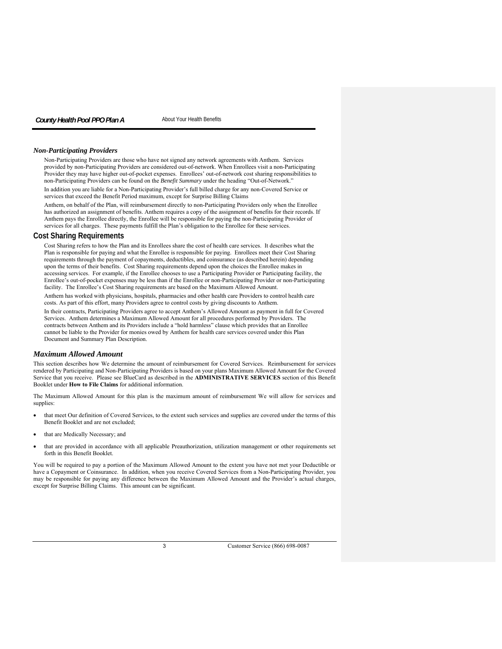#### *Non-Participating Providers*

Non-Participating Providers are those who have not signed any network agreements with Anthem. Services provided by non-Participating Providers are considered out-of-network. When Enrollees visit a non-Participating Provider they may have higher out-of-pocket expenses. Enrollees' out-of-network cost sharing responsibilities to non-Participating Providers can be found on the *Benefit Summary* under the heading "Out-of-Network."

In addition you are liable for a Non-Participating Provider's full billed charge for any non-Covered Service or services that exceed the Benefit Period maximum, except for Surprise Billing Claims

Anthem, on behalf of the Plan, will reimbursement directly to non-Participating Providers only when the Enrollee has authorized an assignment of benefits. Anthem requires a copy of the assignment of benefits for their records. If Anthem pays the Enrollee directly, the Enrollee will be responsible for paying the non-Participating Provider of services for all charges. These payments fulfill the Plan's obligation to the Enrollee for these services.

#### **Cost Sharing Requirements**

Cost Sharing refers to how the Plan and its Enrollees share the cost of health care services. It describes what the Plan is responsible for paying and what the Enrollee is responsible for paying. Enrollees meet their Cost Sharing requirements through the payment of copayments, deductibles, and coinsurance (as described herein) depending upon the terms of their benefits. Cost Sharing requirements depend upon the choices the Enrollee makes in accessing services. For example, if the Enrollee chooses to use a Participating Provider or Participating facility, the Enrollee's out-of-pocket expenses may be less than if the Enrollee or non-Participating Provider or non-Participating facility. The Enrollee's Cost Sharing requirements are based on the Maximum Allowed Amount.

Anthem has worked with physicians, hospitals, pharmacies and other health care Providers to control health care costs. As part of this effort, many Providers agree to control costs by giving discounts to Anthem.

In their contracts, Participating Providers agree to accept Anthem's Allowed Amount as payment in full for Covered Services. Anthem determines a Maximum Allowed Amount for all procedures performed by Providers. The contracts between Anthem and its Providers include a "hold harmless" clause which provides that an Enrollee cannot be liable to the Provider for monies owed by Anthem for health care services covered under this Plan Document and Summary Plan Description.

# *Maximum Allowed Amount*

This section describes how We determine the amount of reimbursement for Covered Services. Reimbursement for services rendered by Participating and Non-Participating Providers is based on your plans Maximum Allowed Amount for the Covered Service that you receive. Please see BlueCard as described in the **ADMINISTRATIVE SERVICES** section of this Benefit Booklet under **How to File Claims** for additional information.

The Maximum Allowed Amount for this plan is the maximum amount of reimbursement We will allow for services and supplies:

- that meet Our definition of Covered Services, to the extent such services and supplies are covered under the terms of this Benefit Booklet and are not excluded;
- that are Medically Necessary; and
- that are provided in accordance with all applicable Preauthorization, utilization management or other requirements set forth in this Benefit Booklet.

You will be required to pay a portion of the Maximum Allowed Amount to the extent you have not met your Deductible or have a Copayment or Coinsurance. In addition, when you receive Covered Services from a Non-Participating Provider, you may be responsible for paying any difference between the Maximum Allowed Amount and the Provider's actual charges, except for Surprise Billing Claims. This amount can be significant.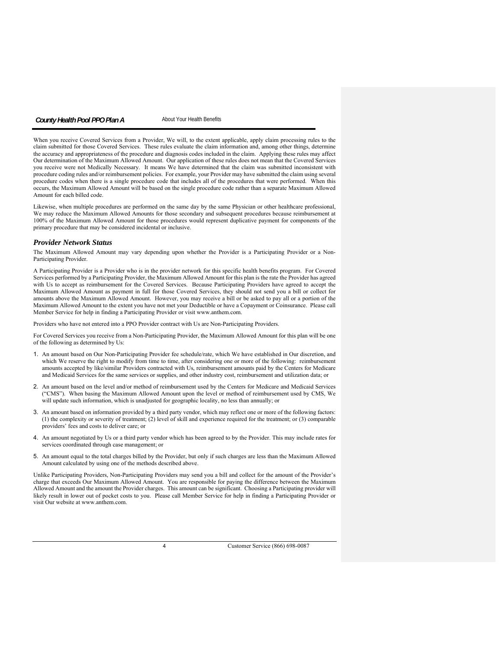When you receive Covered Services from a Provider, We will, to the extent applicable, apply claim processing rules to the claim submitted for those Covered Services. These rules evaluate the claim information and, among other things, determine the accuracy and appropriateness of the procedure and diagnosis codes included in the claim. Applying these rules may affect Our determination of the Maximum Allowed Amount. Our application of these rules does not mean that the Covered Services you receive were not Medically Necessary. It means We have determined that the claim was submitted inconsistent with procedure coding rules and/or reimbursement policies. For example, your Provider may have submitted the claim using several procedure codes when there is a single procedure code that includes all of the procedures that were performed. When this occurs, the Maximum Allowed Amount will be based on the single procedure code rather than a separate Maximum Allowed Amount for each billed code.

Likewise, when multiple procedures are performed on the same day by the same Physician or other healthcare professional, We may reduce the Maximum Allowed Amounts for those secondary and subsequent procedures because reimbursement at 100% of the Maximum Allowed Amount for those procedures would represent duplicative payment for components of the primary procedure that may be considered incidental or inclusive.

#### *Provider Network Status*

The Maximum Allowed Amount may vary depending upon whether the Provider is a Participating Provider or a Non-Participating Provider.

A Participating Provider is a Provider who is in the provider network for this specific health benefits program. For Covered Services performed by a Participating Provider, the Maximum Allowed Amount for this plan is the rate the Provider has agreed with Us to accept as reimbursement for the Covered Services. Because Participating Providers have agreed to accept the Maximum Allowed Amount as payment in full for those Covered Services, they should not send you a bill or collect for amounts above the Maximum Allowed Amount. However, you may receive a bill or be asked to pay all or a portion of the Maximum Allowed Amount to the extent you have not met your Deductible or have a Copayment or Coinsurance. Please call Member Service for help in finding a Participating Provider or visit www.anthem.com.

Providers who have not entered into a PPO Provider contract with Us are Non-Participating Providers.

For Covered Services you receive from a Non-Participating Provider, the Maximum Allowed Amount for this plan will be one of the following as determined by Us:

- 1. An amount based on Our Non-Participating Provider fee schedule/rate, which We have established in Our discretion, and which We reserve the right to modify from time to time, after considering one or more of the following: reimbursement amounts accepted by like/similar Providers contracted with Us, reimbursement amounts paid by the Centers for Medicare and Medicaid Services for the same services or supplies, and other industry cost, reimbursement and utilization data; or
- 2. An amount based on the level and/or method of reimbursement used by the Centers for Medicare and Medicaid Services ("CMS"). When basing the Maximum Allowed Amount upon the level or method of reimbursement used by CMS, We will update such information, which is unadjusted for geographic locality, no less than annually; or
- 3. An amount based on information provided by a third party vendor, which may reflect one or more of the following factors: (1) the complexity or severity of treatment; (2) level of skill and experience required for the treatment; or (3) comparable providers' fees and costs to deliver care; or
- 4. An amount negotiated by Us or a third party vendor which has been agreed to by the Provider. This may include rates for services coordinated through case management; or
- 5. An amount equal to the total charges billed by the Provider, but only if such charges are less than the Maximum Allowed Amount calculated by using one of the methods described above.

Unlike Participating Providers, Non-Participating Providers may send you a bill and collect for the amount of the Provider's charge that exceeds Our Maximum Allowed Amount. You are responsible for paying the difference between the Maximum Allowed Amount and the amount the Provider charges. This amount can be significant. Choosing a Participating provider will likely result in lower out of pocket costs to you. Please call Member Service for help in finding a Participating Provider or visit Our website at www.anthem.com.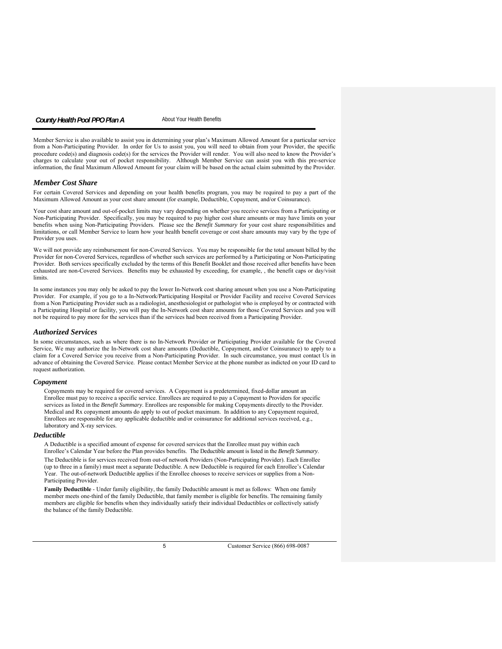Member Service is also available to assist you in determining your plan's Maximum Allowed Amount for a particular service from a Non-Participating Provider. In order for Us to assist you, you will need to obtain from your Provider, the specific procedure code(s) and diagnosis code(s) for the services the Provider will render. You will also need to know the Provider's charges to calculate your out of pocket responsibility. Although Member Service can assist you with this pre-service information, the final Maximum Allowed Amount for your claim will be based on the actual claim submitted by the Provider.

#### *Member Cost Share*

For certain Covered Services and depending on your health benefits program, you may be required to pay a part of the Maximum Allowed Amount as your cost share amount (for example, Deductible, Copayment, and/or Coinsurance).

Your cost share amount and out-of-pocket limits may vary depending on whether you receive services from a Participating or Non-Participating Provider. Specifically, you may be required to pay higher cost share amounts or may have limits on your benefits when using Non-Participating Providers. Please see the *Benefit Summary* for your cost share responsibilities and limitations, or call Member Service to learn how your health benefit coverage or cost share amounts may vary by the type of Provider you uses.

We will not provide any reimbursement for non-Covered Services. You may be responsible for the total amount billed by the Provider for non-Covered Services, regardless of whether such services are performed by a Participating or Non-Participating Provider. Both services specifically excluded by the terms of this Benefit Booklet and those received after benefits have been exhausted are non-Covered Services. Benefits may be exhausted by exceeding, for example, , the benefit caps or day/visit limits.

In some instances you may only be asked to pay the lower In-Network cost sharing amount when you use a Non-Participating Provider. For example, if you go to a In-Network/Participating Hospital or Provider Facility and receive Covered Services from a Non Participating Provider such as a radiologist, anesthesiologist or pathologist who is employed by or contracted with a Participating Hospital or facility, you will pay the In-Network cost share amounts for those Covered Services and you will not be required to pay more for the services than if the services had been received from a Participating Provider.

#### *Authorized Services*

In some circumstances, such as where there is no In-Network Provider or Participating Provider available for the Covered Service, We may authorize the In-Network cost share amounts (Deductible, Copayment, and/or Coinsurance) to apply to a claim for a Covered Service you receive from a Non-Participating Provider. In such circumstance, you must contact Us in advance of obtaining the Covered Service. Please contact Member Service at the phone number as indicted on your ID card to request authorization.

#### *Copayment*

Copayments may be required for covered services. A Copayment is a predetermined, fixed-dollar amount an Enrollee must pay to receive a specific service. Enrollees are required to pay a Copayment to Providers for specific services as listed in the *Benefit Summary*. Enrollees are responsible for making Copayments directly to the Provider. Medical and Rx copayment amounts do apply to out of pocket maximum. In addition to any Copayment required, Enrollees are responsible for any applicable deductible and/or coinsurance for additional services received, e.g., laboratory and X-ray services.

#### *Deductible*

A Deductible is a specified amount of expense for covered services that the Enrollee must pay within each Enrollee's Calendar Year before the Plan provides benefits. The Deductible amount is listed in the *Benefit Summary*. The Deductible is for services received from out-of network Providers (Non-Participating Provider). Each Enrollee (up to three in a family) must meet a separate Deductible. A new Deductible is required for each Enrollee's Calendar Year. The out-of-network Deductible applies if the Enrollee chooses to receive services or supplies from a Non-Participating Provider.

**Family Deductible** - Under family eligibility, the family Deductible amount is met as follows: When one family member meets one-third of the family Deductible, that family member is eligible for benefits. The remaining family members are eligible for benefits when they individually satisfy their individual Deductibles or collectively satisfy the balance of the family Deductible.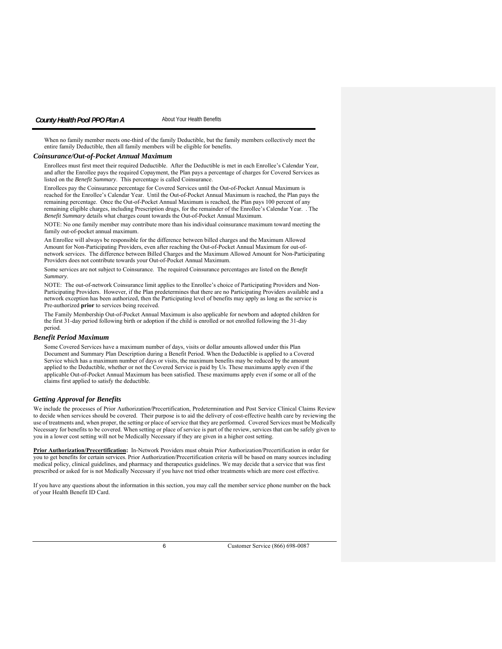When no family member meets one-third of the family Deductible, but the family members collectively meet the entire family Deductible, then all family members will be eligible for benefits.

# *Coinsurance/Out-of-Pocket Annual Maximum*

Enrollees must first meet their required Deductible. After the Deductible is met in each Enrollee's Calendar Year, and after the Enrollee pays the required Copayment, the Plan pays a percentage of charges for Covered Services as listed on the *Benefit Summary*. This percentage is called Coinsurance.

Enrollees pay the Coinsurance percentage for Covered Services until the Out-of-Pocket Annual Maximum is reached for the Enrollee's Calendar Year. Until the Out-of-Pocket Annual Maximum is reached, the Plan pays the remaining percentage. Once the Out-of-Pocket Annual Maximum is reached, the Plan pays 100 percent of any remaining eligible charges, including Prescription drugs, for the remainder of the Enrollee's Calendar Year. . The *Benefit Summary* details what charges count towards the Out-of-Pocket Annual Maximum.

NOTE: No one family member may contribute more than his individual coinsurance maximum toward meeting the family out-of-pocket annual maximum.

An Enrollee will always be responsible for the difference between billed charges and the Maximum Allowed Amount for Non-Participating Providers, even after reaching the Out-of-Pocket Annual Maximum for out-ofnetwork services. The difference between Billed Charges and the Maximum Allowed Amount for Non-Participating Providers does not contribute towards your Out-of-Pocket Annual Maximum.

Some services are not subject to Coinsurance. The required Coinsurance percentages are listed on the *Benefit Summary*.

NOTE: The out-of-network Coinsurance limit applies to the Enrollee's choice of Participating Providers and Non-Participating Providers. However, if the Plan predetermines that there are no Participating Providers available and a network exception has been authorized, then the Participating level of benefits may apply as long as the service is Pre-authorized **prior** to services being received.

The Family Membership Out-of-Pocket Annual Maximum is also applicable for newborn and adopted children for the first 31-day period following birth or adoption if the child is enrolled or not enrolled following the 31-day period.

#### *Benefit Period Maximum*

Some Covered Services have a maximum number of days, visits or dollar amounts allowed under this Plan Document and Summary Plan Description during a Benefit Period. When the Deductible is applied to a Covered Service which has a maximum number of days or visits, the maximum benefits may be reduced by the amount applied to the Deductible, whether or not the Covered Service is paid by Us. These maximums apply even if the applicable Out-of-Pocket Annual Maximum has been satisfied. These maximums apply even if some or all of the claims first applied to satisfy the deductible.

## *Getting Approval for Benefits*

We include the processes of Prior Authorization/Precertification, Predetermination and Post Service Clinical Claims Review to decide when services should be covered. Their purpose is to aid the delivery of cost-effective health care by reviewing the use of treatments and, when proper, the setting or place of service that they are performed. Covered Services must be Medically Necessary for benefits to be covered. When setting or place of service is part of the review, services that can be safely given to you in a lower cost setting will not be Medically Necessary if they are given in a higher cost setting.

**Prior Authorization/Precertification:** In-Network Providers must obtain Prior Authorization/Precertification in order for you to get benefits for certain services. Prior Authorization/Precertification criteria will be based on many sources including medical policy, clinical guidelines, and pharmacy and therapeutics guidelines. We may decide that a service that was first prescribed or asked for is not Medically Necessary if you have not tried other treatments which are more cost effective.

If you have any questions about the information in this section, you may call the member service phone number on the back of your Health Benefit ID Card.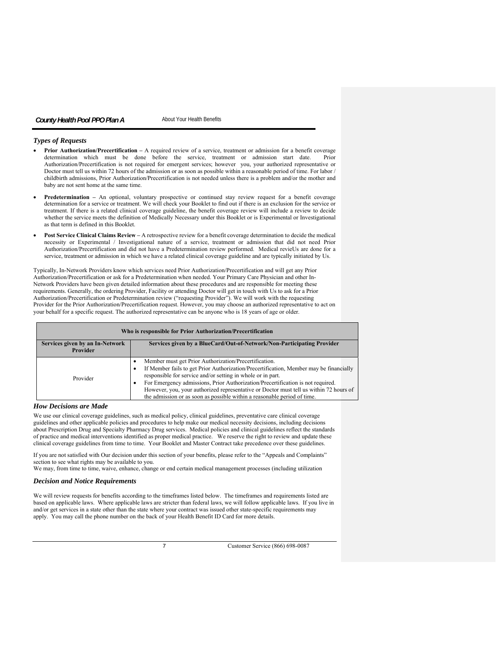# *Types of Requests*

- **Prior Authorization/Precertification** A required review of a service, treatment or admission for a benefit coverage determination which must be done before the service, treatment or admission start date. Prior Authorization/Precertification is not required for emergent services; however you, your authorized representative or Doctor must tell us within 72 hours of the admission or as soon as possible within a reasonable period of time. For labor / childbirth admissions, Prior Authorization/Precertification is not needed unless there is a problem and/or the mother and baby are not sent home at the same time.
- **Predetermination** An optional, voluntary prospective or continued stay review request for a benefit coverage determination for a service or treatment. We will check your Booklet to find out if there is an exclusion for the service or treatment. If there is a related clinical coverage guideline, the benefit coverage review will include a review to decide whether the service meets the definition of Medically Necessary under this Booklet or is Experimental or Investigational as that term is defined in this Booklet.
- **Post Service Clinical Claims Review** A retrospective review for a benefit coverage determination to decide the medical necessity or Experimental / Investigational nature of a service, treatment or admission that did not need Prior Authorization/Precertification and did not have a Predetermination review performed. Medical revieUs are done for a service, treatment or admission in which we have a related clinical coverage guideline and are typically initiated by Us.

Typically, In-Network Providers know which services need Prior Authorization/Precertification and will get any Prior Authorization/Precertification or ask for a Predetermination when needed. Your Primary Care Physician and other In-Network Providers have been given detailed information about these procedures and are responsible for meeting these requirements. Generally, the ordering Provider, Facility or attending Doctor will get in touch with Us to ask for a Prior Authorization/Precertification or Predetermination review ("requesting Provider"). We will work with the requesting Provider for the Prior Authorization/Precertification request. However, you may choose an authorized representative to act on your behalf for a specific request. The authorized representative can be anyone who is 18 years of age or older.

| Who is responsible for Prior Authorization/Precertification |                                                                                                                                                                                                                                                                                                                                                                                                                                                                                   |
|-------------------------------------------------------------|-----------------------------------------------------------------------------------------------------------------------------------------------------------------------------------------------------------------------------------------------------------------------------------------------------------------------------------------------------------------------------------------------------------------------------------------------------------------------------------|
| Services given by an In-Network<br>Provider                 | Services given by a BlueCard/Out-of-Network/Non-Participating Provider                                                                                                                                                                                                                                                                                                                                                                                                            |
| Provider                                                    | Member must get Prior Authorization/Precertification.<br>If Member fails to get Prior Authorization/Precertification, Member may be financially<br>٠<br>responsible for service and/or setting in whole or in part.<br>For Emergency admissions, Prior Authorization/Precertification is not required.<br>٠<br>However, you, your authorized representative or Doctor must tell us within 72 hours of<br>the admission or as soon as possible within a reasonable period of time. |

# *How Decisions are Made*

We use our clinical coverage guidelines, such as medical policy, clinical guidelines, preventative care clinical coverage guidelines and other applicable policies and procedures to help make our medical necessity decisions, including decisions about Prescription Drug and Specialty Pharmacy Drug services. Medical policies and clinical guidelines reflect the standards of practice and medical interventions identified as proper medical practice. We reserve the right to review and update these clinical coverage guidelines from time to time. Your Booklet and Master Contract take precedence over these guidelines.

If you are not satisfied with Our decision under this section of your benefits, please refer to the "Appeals and Complaints" section to see what rights may be available to you.

We may, from time to time, waive, enhance, change or end certain medical management processes (including utilization

# *Decision and Notice Requirements*

We will review requests for benefits according to the timeframes listed below. The timeframes and requirements listed are based on applicable laws. Where applicable laws are stricter than federal laws, we will follow applicable laws. If you live in and/or get services in a state other than the state where your contract was issued other state-specific requirements may apply. You may call the phone number on the back of your Health Benefit ID Card for more details.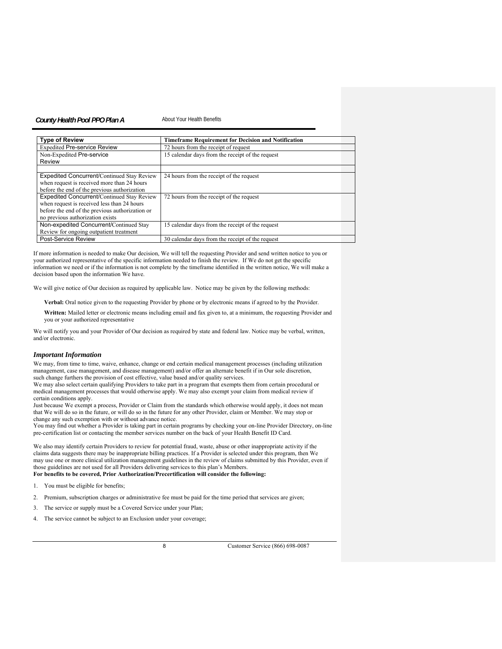| <b>Type of Review</b>                             | <b>Timeframe Requirement for Decision and Notification</b> |
|---------------------------------------------------|------------------------------------------------------------|
| <b>Expedited Pre-service Review</b>               | 72 hours from the receipt of request                       |
| Non-Expedited Pre-service                         | 15 calendar days from the receipt of the request           |
| Review                                            |                                                            |
|                                                   |                                                            |
| <b>Expedited Concurrent/Continued Stay Review</b> | 24 hours from the receipt of the request                   |
| when request is received more than 24 hours       |                                                            |
| before the end of the previous authorization      |                                                            |
| Expedited Concurrent/Continued Stay Review        | 72 hours from the receipt of the request                   |
| when request is received less than 24 hours       |                                                            |
| before the end of the previous authorization or   |                                                            |
| no previous authorization exists                  |                                                            |
| Non-expedited Concurrent/Continued Stay           | 15 calendar days from the receipt of the request           |
| Review for ongoing outpatient treatment           |                                                            |
| Post-Service Review                               | 30 calendar days from the receipt of the request           |

If more information is needed to make Our decision, We will tell the requesting Provider and send written notice to you or your authorized representative of the specific information needed to finish the review. If We do not get the specific information we need or if the information is not complete by the timeframe identified in the written notice, We will make a decision based upon the information We have.

We will give notice of Our decision as required by applicable law. Notice may be given by the following methods:

**Verbal:** Oral notice given to the requesting Provider by phone or by electronic means if agreed to by the Provider.

**Written:** Mailed letter or electronic means including email and fax given to, at a minimum, the requesting Provider and you or your authorized representative

We will notify you and your Provider of Our decision as required by state and federal law. Notice may be verbal, written, and/or electronic.

#### *Important Information*

We may, from time to time, waive, enhance, change or end certain medical management processes (including utilization management, case management, and disease management) and/or offer an alternate benefit if in Our sole discretion, such change furthers the provision of cost effective, value based and/or quality services.

We may also select certain qualifying Providers to take part in a program that exempts them from certain procedural or medical management processes that would otherwise apply. We may also exempt your claim from medical review if certain conditions apply.

Just because We exempt a process, Provider or Claim from the standards which otherwise would apply, it does not mean that We will do so in the future, or will do so in the future for any other Provider, claim or Member. We may stop or change any such exemption with or without advance notice.

You may find out whether a Provider is taking part in certain programs by checking your on-line Provider Directory, on-line pre-certification list or contacting the member services number on the back of your Health Benefit ID Card.

We also may identify certain Providers to review for potential fraud, waste, abuse or other inappropriate activity if the claims data suggests there may be inappropriate billing practices. If a Provider is selected under this program, then We may use one or more clinical utilization management guidelines in the review of claims submitted by this Provider, even if those guidelines are not used for all Providers delivering services to this plan's Members. **For benefits to be covered, Prior Authorization/Precertification will consider the following:** 

- 1. You must be eligible for benefits;
- 2. Premium, subscription charges or administrative fee must be paid for the time period that services are given;
- 3. The service or supply must be a Covered Service under your Plan;
- 4. The service cannot be subject to an Exclusion under your coverage;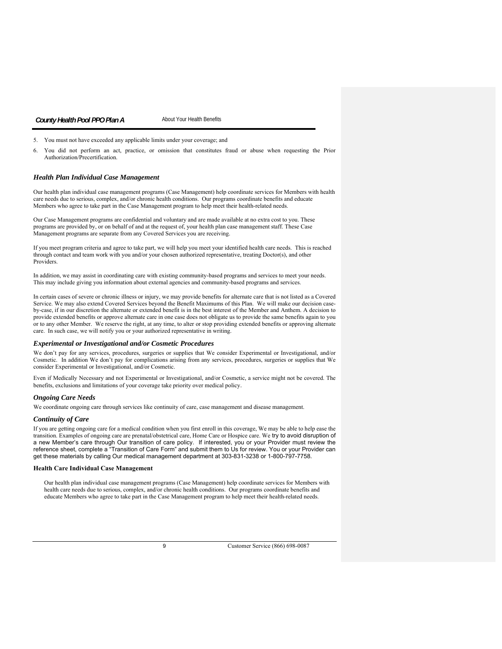#### 5. You must not have exceeded any applicable limits under your coverage; and

6. You did not perform an act, practice, or omission that constitutes fraud or abuse when requesting the Prior Authorization/Precertification.

#### *Health Plan Individual Case Management*

Our health plan individual case management programs (Case Management) help coordinate services for Members with health care needs due to serious, complex, and/or chronic health conditions. Our programs coordinate benefits and educate Members who agree to take part in the Case Management program to help meet their health-related needs.

Our Case Management programs are confidential and voluntary and are made available at no extra cost to you. These programs are provided by, or on behalf of and at the request of, your health plan case management staff. These Case Management programs are separate from any Covered Services you are receiving.

If you meet program criteria and agree to take part, we will help you meet your identified health care needs. This is reached through contact and team work with you and/or your chosen authorized representative, treating Doctor(s), and other Providers.

In addition, we may assist in coordinating care with existing community-based programs and services to meet your needs. This may include giving you information about external agencies and community-based programs and services.

In certain cases of severe or chronic illness or injury, we may provide benefits for alternate care that is not listed as a Covered Service. We may also extend Covered Services beyond the Benefit Maximums of this Plan. We will make our decision caseby-case, if in our discretion the alternate or extended benefit is in the best interest of the Member and Anthem. A decision to provide extended benefits or approve alternate care in one case does not obligate us to provide the same benefits again to you or to any other Member. We reserve the right, at any time, to alter or stop providing extended benefits or approving alternate care. In such case, we will notify you or your authorized representative in writing.

#### *Experimental or Investigational and/or Cosmetic Procedures*

We don't pay for any services, procedures, surgeries or supplies that We consider Experimental or Investigational, and/or Cosmetic. In addition We don't pay for complications arising from any services, procedures, surgeries or supplies that We consider Experimental or Investigational, and/or Cosmetic.

Even if Medically Necessary and not Experimental or Investigational, and/or Cosmetic, a service might not be covered. The benefits, exclusions and limitations of your coverage take priority over medical policy.

#### *Ongoing Care Needs*

We coordinate ongoing care through services like continuity of care, case management and disease management.

#### *Continuity of Care*

If you are getting ongoing care for a medical condition when you first enroll in this coverage, We may be able to help ease the transition. Examples of ongoing care are prenatal/obstetrical care, Home Care or Hospice care. We try to avoid disruption of a new Member's care through Our transition of care policy. If interested, you or your Provider must review the reference sheet, complete a "Transition of Care Form" and submit them to Us for review. You or your Provider can get these materials by calling Our medical management department at 303-831-3238 or 1-800-797-7758.

#### **Health Care Individual Case Management**

Our health plan individual case management programs (Case Management) help coordinate services for Members with health care needs due to serious, complex, and/or chronic health conditions. Our programs coordinate benefits and educate Members who agree to take part in the Case Management program to help meet their health-related needs.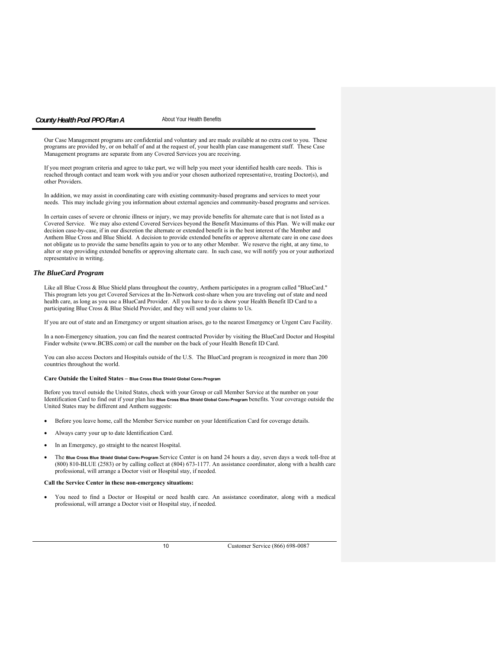Our Case Management programs are confidential and voluntary and are made available at no extra cost to you. These programs are provided by, or on behalf of and at the request of, your health plan case management staff. These Case Management programs are separate from any Covered Services you are receiving.

If you meet program criteria and agree to take part, we will help you meet your identified health care needs. This is reached through contact and team work with you and/or your chosen authorized representative, treating Doctor(s), and other Providers.

In addition, we may assist in coordinating care with existing community-based programs and services to meet your needs. This may include giving you information about external agencies and community-based programs and services.

In certain cases of severe or chronic illness or injury, we may provide benefits for alternate care that is not listed as a Covered Service. We may also extend Covered Services beyond the Benefit Maximums of this Plan. We will make our decision case-by-case, if in our discretion the alternate or extended benefit is in the best interest of the Member and Anthem Blue Cross and Blue Shield. A decision to provide extended benefits or approve alternate care in one case does not obligate us to provide the same benefits again to you or to any other Member. We reserve the right, at any time, to alter or stop providing extended benefits or approving alternate care. In such case, we will notify you or your authorized representative in writing.

#### *The BlueCard Program*

Like all Blue Cross & Blue Shield plans throughout the country, Anthem participates in a program called "BlueCard." This program lets you get Covered Services at the In-Network cost-share when you are traveling out of state and need health care, as long as you use a BlueCard Provider. All you have to do is show your Health Benefit ID Card to a participating Blue Cross & Blue Shield Provider, and they will send your claims to Us.

If you are out of state and an Emergency or urgent situation arises, go to the nearest Emergency or Urgent Care Facility.

In a non-Emergency situation, you can find the nearest contracted Provider by visiting the BlueCard Doctor and Hospital Finder website (www.BCBS.com) or call the number on the back of your Health Benefit ID Card.

You can also access Doctors and Hospitals outside of the U.S. The BlueCard program is recognized in more than 200 countries throughout the world.

#### **Care Outside the United States – Blue Cross Blue Shield Global Core® Program**

Before you travel outside the United States, check with your Group or call Member Service at the number on your Identification Card to find out if your plan has **Blue Cross Blue Shield Global Core® Program** benefits. Your coverage outside the United States may be different and Anthem suggests:

- Before you leave home, call the Member Service number on your Identification Card for coverage details.
- Always carry your up to date Identification Card.
- In an Emergency, go straight to the nearest Hospital.
- The **Blue Cross Blue Shield Global Core® Program** Service Center is on hand 24 hours a day, seven days a week toll-free at (800) 810-BLUE (2583) or by calling collect at (804) 673-1177. An assistance coordinator, along with a health care professional, will arrange a Doctor visit or Hospital stay, if needed.

#### **Call the Service Center in these non-emergency situations:**

 You need to find a Doctor or Hospital or need health care. An assistance coordinator, along with a medical professional, will arrange a Doctor visit or Hospital stay, if needed.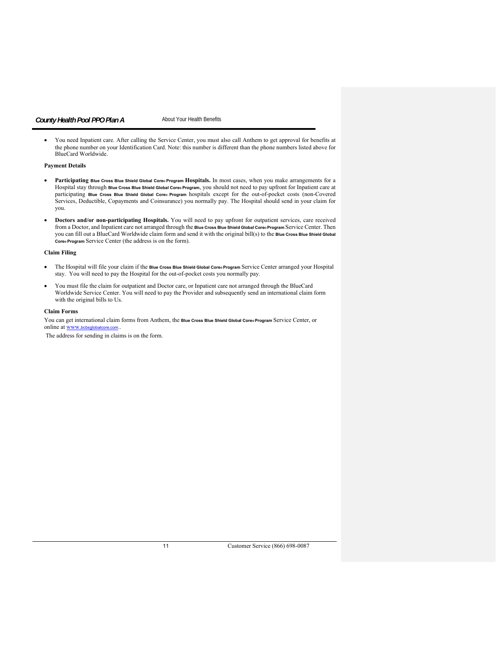You need Inpatient care. After calling the Service Center, you must also call Anthem to get approval for benefits at the phone number on your Identification Card. Note: this number is different than the phone numbers listed above for BlueCard Worldwide.

# **Payment Details**

- **Participating Blue Cross Blue Shield Global Core® Program Hospitals.** In most cases, when you make arrangements for a Hospital stay through **Blue Cross Blue Shield Global Core® Program**, you should not need to pay upfront for Inpatient care at participating **Blue Cross Blue Shield Global Core® Program** hospitals except for the out-of-pocket costs (non-Covered Services, Deductible, Copayments and Coinsurance) you normally pay. The Hospital should send in your claim for you.
- **Doctors and/or non-participating Hospitals.** You will need to pay upfront for outpatient services, care received from a Doctor, and Inpatient care not arranged through the **Blue Cross Blue Shield Global Core® Program** Service Center. Then you can fill out a BlueCard Worldwide claim form and send it with the original bill(s) to the **Blue Cross Blue Shield Global Core® Program** Service Center (the address is on the form).

#### **Claim Filing**

- The Hospital will file your claim if the **Blue Cross Blue Shield Global Core® Program** Service Center arranged your Hospital stay. You will need to pay the Hospital for the out-of-pocket costs you normally pay.
- You must file the claim for outpatient and Doctor care, or Inpatient care not arranged through the BlueCard Worldwide Service Center. You will need to pay the Provider and subsequently send an international claim form with the original bills to Us.

#### **Claim Forms**

You can get international claim forms from Anthem, the Blue Cross Blue Shield Global Core® Program Service Center, or online at www.bcbsglobalcore.com

The address for sending in claims is on the form.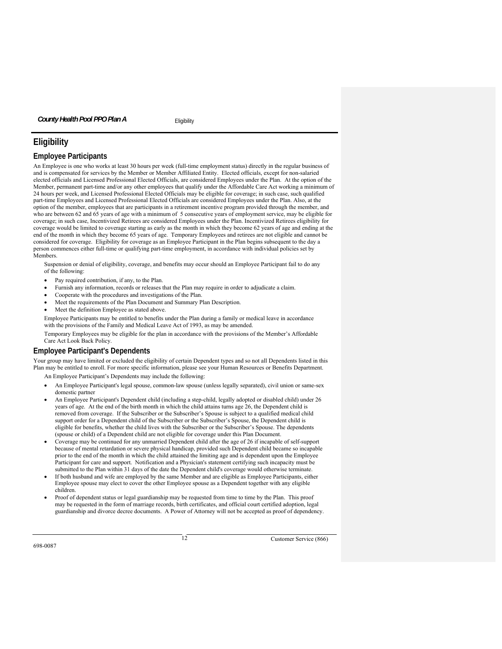# **Eligibility**

# **Employee Participants**

An Employee is one who works at least 30 hours per week (full-time employment status) directly in the regular business of and is compensated for services by the Member or Member Affiliated Entity. Elected officials, except for non-salaried elected officials and Licensed Professional Elected Officials, are considered Employees under the Plan. At the option of the Member, permanent part-time and/or any other employees that qualify under the Affordable Care Act working a minimum of 24 hours per week, and Licensed Professional Elected Officials may be eligible for coverage; in such case, such qualified part-time Employees and Licensed Professional Elected Officials are considered Employees under the Plan. Also, at the option of the member, employees that are participants in a retirement incentive program provided through the member, and who are between 62 and 65 years of age with a minimum of 5 consecutive years of employment service, may be eligible for coverage; in such case, Incentivized Retirees are considered Employees under the Plan. Incentivized Retirees eligibility for coverage would be limited to coverage starting as early as the month in which they become 62 years of age and ending at the end of the month in which they become 65 years of age. Temporary Employees and retirees are not eligible and cannot be considered for coverage. Eligibility for coverage as an Employee Participant in the Plan begins subsequent to the day a person commences either full-time or qualifying part-time employment, in accordance with individual policies set by Members.

Suspension or denial of eligibility, coverage, and benefits may occur should an Employee Participant fail to do any of the following:

- Pay required contribution, if any, to the Plan.
- Furnish any information, records or releases that the Plan may require in order to adjudicate a claim.
- Cooperate with the procedures and investigations of the Plan.
- Meet the requirements of the Plan Document and Summary Plan Description.
- Meet the definition Employee as stated above.

Employee Participants may be entitled to benefits under the Plan during a family or medical leave in accordance with the provisions of the Family and Medical Leave Act of 1993, as may be amended.

Temporary Employees may be eligible for the plan in accordance with the provisions of the Member's Affordable Care Act Look Back Policy.

# **Employee Participant's Dependents**

Your group may have limited or excluded the eligibility of certain Dependent types and so not all Dependents listed in this Plan may be entitled to enroll. For more specific information, please see your Human Resources or Benefits Department.

An Employee Participant's Dependents may include the following:

- An Employee Participant's legal spouse, common-law spouse (unless legally separated), civil union or same-sex domestic partner
- An Employee Participant's Dependent child (including a step-child, legally adopted or disabled child) under 26 years of age. At the end of the birth month in which the child attains turns age 26, the Dependent child is removed from coverage. If the Subscriber or the Subscriber's Spouse is subject to a qualified medical child support order for a Dependent child of the Subscriber or the Subscriber's Spouse, the Dependent child is eligible for benefits, whether the child lives with the Subscriber or the Subscriber's Spouse. The dependents (spouse or child) of a Dependent child are not eligible for coverage under this Plan Document.
- Coverage may be continued for any unmarried Dependent child after the age of 26 if incapable of self-support because of mental retardation or severe physical handicap, provided such Dependent child became so incapable prior to the end of the month in which the child attained the limiting age and is dependent upon the Employee Participant for care and support. Notification and a Physician's statement certifying such incapacity must be submitted to the Plan within 31 days of the date the Dependent child's coverage would otherwise terminate.
- If both husband and wife are employed by the same Member and are eligible as Employee Participants, either Employee spouse may elect to cover the other Employee spouse as a Dependent together with any eligible children.
- Proof of dependent status or legal guardianship may be requested from time to time by the Plan. This proof may be requested in the form of marriage records, birth certificates, and official court certified adoption, legal guardianship and divorce decree documents. A Power of Attorney will not be accepted as proof of dependency.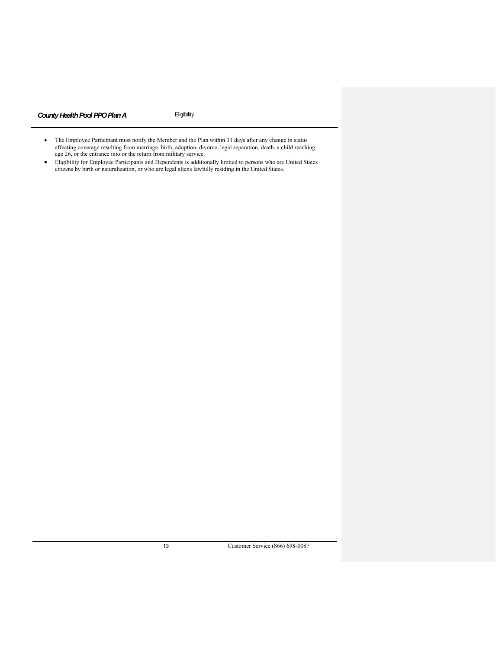- The Employee Participant must notify the Member and the Plan within 31 days after any change in status affecting coverage resulting from marriage, birth, adoption, divorce, legal separation, death, a child reaching age 26, or the entrance into or the return from military service.
- Eligibility for Employee Participants and Dependents is additionally limited to persons who are United States citizens by birth or naturalization, or who are legal aliens lawfully residing in the United States.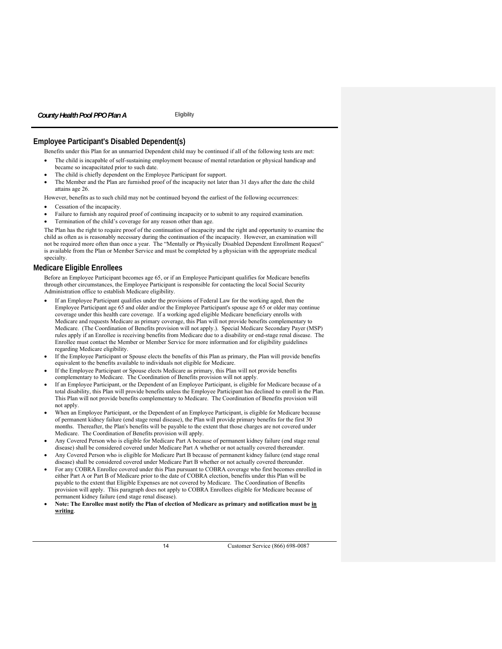# **Employee Participant's Disabled Dependent(s)**

Benefits under this Plan for an unmarried Dependent child may be continued if all of the following tests are met:

- The child is incapable of self-sustaining employment because of mental retardation or physical handicap and became so incapacitated prior to such date.
- The child is chiefly dependent on the Employee Participant for support.
- The Member and the Plan are furnished proof of the incapacity not later than 31 days after the date the child attains age 26.

However, benefits as to such child may not be continued beyond the earliest of the following occurrences:

- Cessation of the incapacity.
- Failure to furnish any required proof of continuing incapacity or to submit to any required examination.
- Termination of the child's coverage for any reason other than age.

The Plan has the right to require proof of the continuation of incapacity and the right and opportunity to examine the child as often as is reasonably necessary during the continuation of the incapacity. However, an examination will not be required more often than once a year. The "Mentally or Physically Disabled Dependent Enrollment Request" is available from the Plan or Member Service and must be completed by a physician with the appropriate medical specialty.

#### **Medicare Eligible Enrollees**

Before an Employee Participant becomes age 65, or if an Employee Participant qualifies for Medicare benefits through other circumstances, the Employee Participant is responsible for contacting the local Social Security Administration office to establish Medicare eligibility.

- If an Employee Participant qualifies under the provisions of Federal Law for the working aged, then the Employee Participant age 65 and older and/or the Employee Participant's spouse age 65 or older may continue coverage under this health care coverage. If a working aged eligible Medicare beneficiary enrolls with Medicare and requests Medicare as primary coverage, this Plan will not provide benefits complementary to Medicare. (The Coordination of Benefits provision will not apply.). Special Medicare Secondary Payer (MSP) rules apply if an Enrollee is receiving benefits from Medicare due to a disability or end-stage renal disease. The Enrollee must contact the Member or Member Service for more information and for eligibility guidelines regarding Medicare eligibility.
- If the Employee Participant or Spouse elects the benefits of this Plan as primary, the Plan will provide benefits equivalent to the benefits available to individuals not eligible for Medicare.
- If the Employee Participant or Spouse elects Medicare as primary, this Plan will not provide benefits complementary to Medicare. The Coordination of Benefits provision will not apply.
- If an Employee Participant, or the Dependent of an Employee Participant, is eligible for Medicare because of a total disability, this Plan will provide benefits unless the Employee Participant has declined to enroll in the Plan. This Plan will not provide benefits complementary to Medicare. The Coordination of Benefits provision will not apply.
- When an Employee Participant, or the Dependent of an Employee Participant, is eligible for Medicare because of permanent kidney failure (end stage renal disease), the Plan will provide primary benefits for the first 30 months. Thereafter, the Plan's benefits will be payable to the extent that those charges are not covered under Medicare. The Coordination of Benefits provision will apply.
- Any Covered Person who is eligible for Medicare Part A because of permanent kidney failure (end stage renal disease) shall be considered covered under Medicare Part A whether or not actually covered thereunder.
- Any Covered Person who is eligible for Medicare Part B because of permanent kidney failure (end stage renal disease) shall be considered covered under Medicare Part B whether or not actually covered thereunder.
- For any COBRA Enrollee covered under this Plan pursuant to COBRA coverage who first becomes enrolled in either Part A or Part B of Medicare prior to the date of COBRA election, benefits under this Plan will be payable to the extent that Eligible Expenses are not covered by Medicare. The Coordination of Benefits provision will apply. This paragraph does not apply to COBRA Enrollees eligible for Medicare because of permanent kidney failure (end stage renal disease).
- **Note: The Enrollee must notify the Plan of election of Medicare as primary and notification must be in writing**.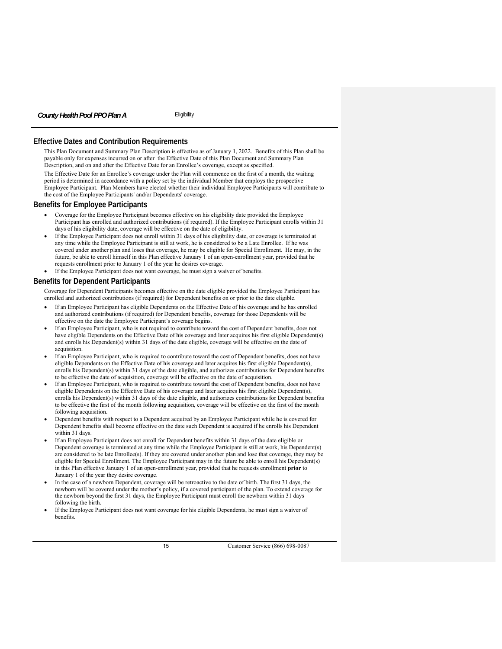# **Effective Dates and Contribution Requirements**

This Plan Document and Summary Plan Description is effective as of January 1, 2022. Benefits of this Plan shall be payable only for expenses incurred on or after the Effective Date of this Plan Document and Summary Plan Description, and on and after the Effective Date for an Enrollee's coverage, except as specified.

The Effective Date for an Enrollee's coverage under the Plan will commence on the first of a month, the waiting period is determined in accordance with a policy set by the individual Member that employs the prospective Employee Participant. Plan Members have elected whether their individual Employee Participants will contribute to the cost of the Employee Participants' and/or Dependents' coverage.

#### **Benefits for Employee Participants**

- Coverage for the Employee Participant becomes effective on his eligibility date provided the Employee Participant has enrolled and authorized contributions (if required). If the Employee Participant enrolls within 31 days of his eligibility date, coverage will be effective on the date of eligibility.
- If the Employee Participant does not enroll within 31 days of his eligibility date, or coverage is terminated at any time while the Employee Participant is still at work, he is considered to be a Late Enrollee. If he was covered under another plan and loses that coverage, he may be eligible for Special Enrollment. He may, in the future, be able to enroll himself in this Plan effective January 1 of an open-enrollment year, provided that he requests enrollment prior to January 1 of the year he desires coverage.
- If the Employee Participant does not want coverage, he must sign a waiver of benefits.

# **Benefits for Dependent Participants**

Coverage for Dependent Participants becomes effective on the date eligible provided the Employee Participant has enrolled and authorized contributions (if required) for Dependent benefits on or prior to the date eligible.

- If an Employee Participant has eligible Dependents on the Effective Date of his coverage and he has enrolled and authorized contributions (if required) for Dependent benefits, coverage for those Dependents will be effective on the date the Employee Participant's coverage begins.
- If an Employee Participant, who is not required to contribute toward the cost of Dependent benefits, does not have eligible Dependents on the Effective Date of his coverage and later acquires his first eligible Dependent(s) and enrolls his Dependent(s) within 31 days of the date eligible, coverage will be effective on the date of acquisition.
- If an Employee Participant, who is required to contribute toward the cost of Dependent benefits, does not have eligible Dependents on the Effective Date of his coverage and later acquires his first eligible Dependent(s), enrolls his Dependent(s) within 31 days of the date eligible, and authorizes contributions for Dependent benefits to be effective the date of acquisition, coverage will be effective on the date of acquisition.
- If an Employee Participant, who is required to contribute toward the cost of Dependent benefits, does not have eligible Dependents on the Effective Date of his coverage and later acquires his first eligible Dependent(s), enrolls his Dependent(s) within 31 days of the date eligible, and authorizes contributions for Dependent benefits to be effective the first of the month following acquisition, coverage will be effective on the first of the month following acquisition.
- Dependent benefits with respect to a Dependent acquired by an Employee Participant while he is covered for Dependent benefits shall become effective on the date such Dependent is acquired if he enrolls his Dependent within 31 days.
- If an Employee Participant does not enroll for Dependent benefits within 31 days of the date eligible or Dependent coverage is terminated at any time while the Employee Participant is still at work, his Dependent(s) are considered to be late Enrollee(s). If they are covered under another plan and lose that coverage, they may be eligible for Special Enrollment. The Employee Participant may in the future be able to enroll his Dependent(s) in this Plan effective January 1 of an open-enrollment year, provided that he requests enrollment **prior** to January 1 of the year they desire coverage.
- In the case of a newborn Dependent, coverage will be retroactive to the date of birth. The first 31 days, the newborn will be covered under the mother's policy, if a covered participant of the plan. To extend coverage for the newborn beyond the first 31 days, the Employee Participant must enroll the newborn within 31 days following the birth.
- If the Employee Participant does not want coverage for his eligible Dependents, he must sign a waiver of benefits.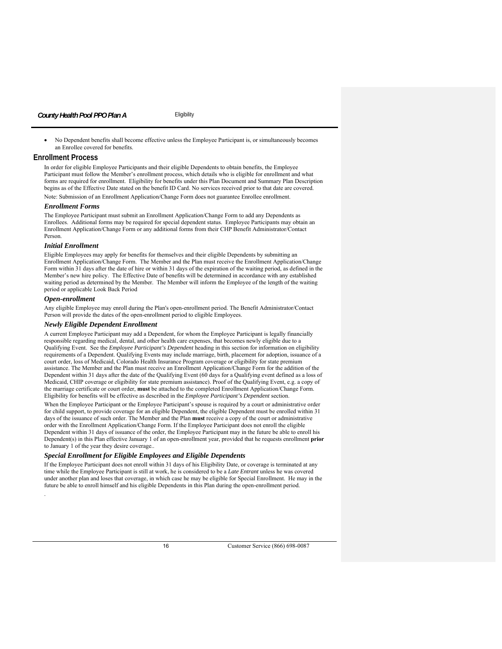No Dependent benefits shall become effective unless the Employee Participant is, or simultaneously becomes an Enrollee covered for benefits.

# **Enrollment Process**

In order for eligible Employee Participants and their eligible Dependents to obtain benefits, the Employee Participant must follow the Member's enrollment process, which details who is eligible for enrollment and what forms are required for enrollment. Eligibility for benefits under this Plan Document and Summary Plan Description begins as of the Effective Date stated on the benefit ID Card. No services received prior to that date are covered. Note: Submission of an Enrollment Application/Change Form does not guarantee Enrollee enrollment.

#### *Enrollment Forms*

The Employee Participant must submit an Enrollment Application/Change Form to add any Dependents as Enrollees. Additional forms may be required for special dependent status. Employee Participants may obtain an Enrollment Application/Change Form or any additional forms from their CHP Benefit Administrator/Contact Person.

#### *Initial Enrollment*

Eligible Employees may apply for benefits for themselves and their eligible Dependents by submitting an Enrollment Application/Change Form. The Member and the Plan must receive the Enrollment Application/Change Form within 31 days after the date of hire or within 31 days of the expiration of the waiting period, as defined in the Member's new hire policy. The Effective Date of benefits will be determined in accordance with any established waiting period as determined by the Member. The Member will inform the Employee of the length of the waiting period or applicable Look Back Period

## *Open-enrollment*

.

Any eligible Employee may enroll during the Plan's open-enrollment period. The Benefit Administrator/Contact Person will provide the dates of the open-enrollment period to eligible Employees.

#### *Newly Eligible Dependent Enrollment*

A current Employee Participant may add a Dependent, for whom the Employee Participant is legally financially responsible regarding medical, dental, and other health care expenses, that becomes newly eligible due to a Qualifying Event. See the *Employee Participant's Dependent* heading in this section for information on eligibility requirements of a Dependent. Qualifying Events may include marriage, birth, placement for adoption, issuance of a court order, loss of Medicaid, Colorado Health Insurance Program coverage or eligibility for state premium assistance. The Member and the Plan must receive an Enrollment Application/Change Form for the addition of the Dependent within 31 days after the date of the Qualifying Event (60 days for a Qualifying event defined as a loss of Medicaid, CHIP coverage or eligibility for state premium assistance). Proof of the Qualifying Event, e.g. a copy of the marriage certificate or court order, **must** be attached to the completed Enrollment Application/Change Form. Eligibility for benefits will be effective as described in the *Employee Participant's Dependent* section.

When the Employee Participant or the Employee Participant's spouse is required by a court or administrative order for child support, to provide coverage for an eligible Dependent, the eligible Dependent must be enrolled within 31 days of the issuance of such order. The Member and the Plan **must** receive a copy of the court or administrative order with the Enrollment Application/Change Form. If the Employee Participant does not enroll the eligible Dependent within 31 days of issuance of the order, the Employee Participant may in the future be able to enroll his Dependent(s) in this Plan effective January 1 of an open-enrollment year, provided that he requests enrollment **prior** to January 1 of the year they desire coverage..

#### *Special Enrollment for Eligible Employees and Eligible Dependents*

If the Employee Participant does not enroll within 31 days of his Eligibility Date, or coverage is terminated at any time while the Employee Participant is still at work, he is considered to be a *Late Entrant* unless he was covered under another plan and loses that coverage, in which case he may be eligible for Special Enrollment. He may in the future be able to enroll himself and his eligible Dependents in this Plan during the open-enrollment period.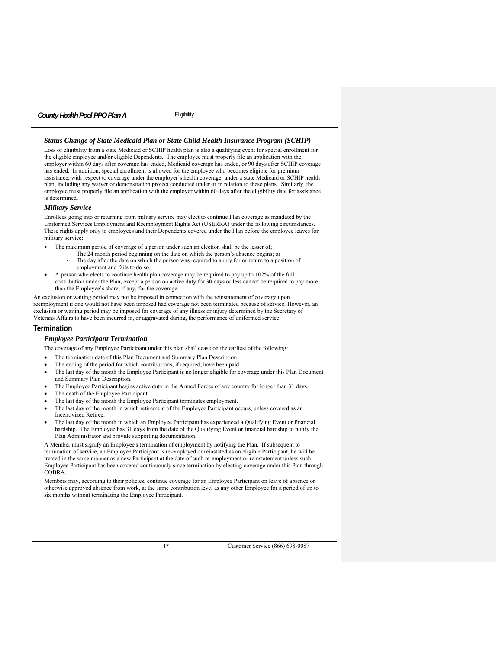#### *Status Change of State Medicaid Plan or State Child Health Insurance Program (SCHIP)*

Loss of eligibility from a state Medicaid or SCHIP health plan is also a qualifying event for special enrollment for the eligible employee and/or eligible Dependents. The employee must properly file an application with the employer within 60 days after coverage has ended, Medicaid coverage has ended, or 90 days after SCHIP coverage has ended. In addition, special enrollment is allowed for the employee who becomes eligible for premium assistance, with respect to coverage under the employer's health coverage, under a state Medicaid or SCHIP health plan, including any waiver or demonstration project conducted under or in relation to these plans. Similarly, the employee must properly file an application with the employer within 60 days after the eligibility date for assistance is determined.

## *Military Service*

Enrollees going into or returning from military service may elect to continue Plan coverage as mandated by the Uniformed Services Employment and Reemployment Rights Act (USERRA) under the following circumstances. These rights apply only to employees and their Dependents covered under the Plan before the employee leaves for military service:

- The maximum period of coverage of a person under such an election shall be the lesser of;
	- The 24 month period beginning on the date on which the person's absence begins; or The day after the date on which the person was required to apply for or return to a position of
	- employment and fails to do so.
- A person who elects to continue health plan coverage may be required to pay up to 102% of the full contribution under the Plan, except a person on active duty for 30 days or less cannot be required to pay more than the Employee's share, if any, for the coverage.

An exclusion or waiting period may not be imposed in connection with the reinstatement of coverage upon reemployment if one would not have been imposed had coverage not been terminated because of service. However, an exclusion or waiting period may be imposed for coverage of any illness or injury determined by the Secretary of Veterans Affairs to have been incurred in, or aggravated during, the performance of uniformed service.

# **Termination**

# *Employee Participant Termination*

- The coverage of any Employee Participant under this plan shall cease on the earliest of the following:
- The termination date of this Plan Document and Summary Plan Description.
- The ending of the period for which contributions, if required, have been paid.
- The last day of the month the Employee Participant is no longer eligible for coverage under this Plan Document and Summary Plan Description.
- The Employee Participant begins active duty in the Armed Forces of any country for longer than 31 days.
- The death of the Employee Participant.
- The last day of the month the Employee Participant terminates employment.
- The last day of the month in which retirement of the Employee Participant occurs, unless covered as an Incentivized Retiree.
- The last day of the month in which an Employee Participant has experienced a Qualifying Event or financial hardship. The Employee has 31 days from the date of the Qualifying Event or financial hardship to notify the Plan Administrator and provide supporting documentation.

A Member must signify an Employee's termination of employment by notifying the Plan. If subsequent to termination of service, an Employee Participant is re-employed or reinstated as an eligible Participant, he will be treated in the same manner as a new Participant at the date of such re-employment or reinstatement unless such Employee Participant has been covered continuously since termination by electing coverage under this Plan through COBRA.

Members may, according to their policies, continue coverage for an Employee Participant on leave of absence or otherwise approved absence from work, at the same contribution level as any other Employee for a period of up to six months without terminating the Employee Participant.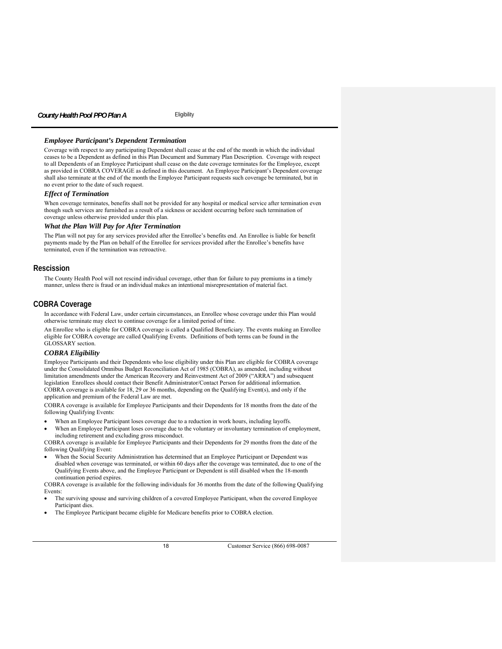#### *Employee Participant's Dependent Termination*

Coverage with respect to any participating Dependent shall cease at the end of the month in which the individual ceases to be a Dependent as defined in this Plan Document and Summary Plan Description. Coverage with respect to all Dependents of an Employee Participant shall cease on the date coverage terminates for the Employee, except as provided in COBRA COVERAGE as defined in this document. An Employee Participant's Dependent coverage shall also terminate at the end of the month the Employee Participant requests such coverage be terminated, but in no event prior to the date of such request.

#### *Effect of Termination*

When coverage terminates, benefits shall not be provided for any hospital or medical service after termination even though such services are furnished as a result of a sickness or accident occurring before such termination of coverage unless otherwise provided under this plan.

#### *What the Plan Will Pay for After Termination*

The Plan will not pay for any services provided after the Enrollee's benefits end. An Enrollee is liable for benefit payments made by the Plan on behalf of the Enrollee for services provided after the Enrollee's benefits have terminated, even if the termination was retroactive.

#### **Rescission**

The County Health Pool will not rescind individual coverage, other than for failure to pay premiums in a timely manner, unless there is fraud or an individual makes an intentional misrepresentation of material fact.

#### **COBRA Coverage**

In accordance with Federal Law, under certain circumstances, an Enrollee whose coverage under this Plan would otherwise terminate may elect to continue coverage for a limited period of time.

An Enrollee who is eligible for COBRA coverage is called a Qualified Beneficiary. The events making an Enrollee eligible for COBRA coverage are called Qualifying Events. Definitions of both terms can be found in the GLOSSARY section.

#### *COBRA Eligibility*

Employee Participants and their Dependents who lose eligibility under this Plan are eligible for COBRA coverage under the Consolidated Omnibus Budget Reconciliation Act of 1985 (COBRA), as amended, including without limitation amendments under the American Recovery and Reinvestment Act of 2009 ("ARRA") and subsequent legislation Enrollees should contact their Benefit Administrator/Contact Person for additional information. COBRA coverage is available for 18, 29 or 36 months, depending on the Qualifying Event(s), and only if the application and premium of the Federal Law are met.

COBRA coverage is available for Employee Participants and their Dependents for 18 months from the date of the following Qualifying Events:

When an Employee Participant loses coverage due to a reduction in work hours, including layoffs.

When an Employee Participant loses coverage due to the voluntary or involuntary termination of employment, including retirement and excluding gross misconduct.

COBRA coverage is available for Employee Participants and their Dependents for 29 months from the date of the following Qualifying Event:

 When the Social Security Administration has determined that an Employee Participant or Dependent was disabled when coverage was terminated, or within 60 days after the coverage was terminated, due to one of the Qualifying Events above, and the Employee Participant or Dependent is still disabled when the 18-month continuation period expires.

COBRA coverage is available for the following individuals for 36 months from the date of the following Qualifying Events:

- The surviving spouse and surviving children of a covered Employee Participant, when the covered Employee Participant dies.
- The Employee Participant became eligible for Medicare benefits prior to COBRA election.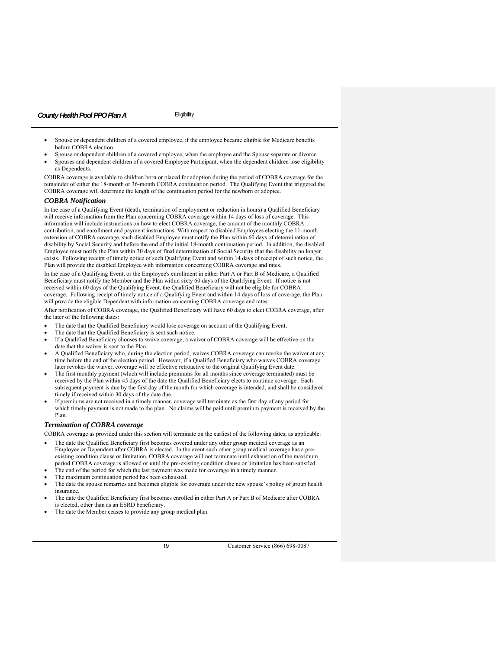- Spouse or dependent children of a covered employee, if the employee became eligible for Medicare benefits before COBRA election.
- Spouse or dependent children of a covered employee, when the employee and the Spouse separate or divorce.
- Spouses and dependent children of a covered Employee Participant, when the dependent children lose eligibility as Dependents.

COBRA coverage is available to children born or placed for adoption during the period of COBRA coverage for the remainder of either the 18-month or 36-month COBRA continuation period. The Qualifying Event that triggered the COBRA coverage will determine the length of the continuation period for the newborn or adoptee.

#### *COBRA Notification*

In the case of a Qualifying Event (death, termination of employment or reduction in hours) a Qualified Beneficiary will receive information from the Plan concerning COBRA coverage within 14 days of loss of coverage. This information will include instructions on how to elect COBRA coverage, the amount of the monthly COBRA contribution, and enrollment and payment instructions. With respect to disabled Employees electing the 11-month extension of COBRA coverage, such disabled Employee must notify the Plan within 60 days of determination of disability by Social Security and before the end of the initial 18-month continuation period. In addition, the disabled Employee must notify the Plan within 30 days of final determination of Social Security that the disability no longer exists. Following receipt of timely notice of such Qualifying Event and within 14 days of receipt of such notice, the Plan will provide the disabled Employee with information concerning COBRA coverage and rates.

In the case of a Qualifying Event, or the Employee's enrollment in either Part A or Part B of Medicare, a Qualified Beneficiary must notify the Member and the Plan within sixty 60 days of the Qualifying Event. If notice is not received within 60 days of the Qualifying Event, the Qualified Beneficiary will not be eligible for COBRA coverage. Following receipt of timely notice of a Qualifying Event and within 14 days of loss of coverage, the Plan will provide the eligible Dependent with information concerning COBRA coverage and rates.

After notification of COBRA coverage, the Qualified Beneficiary will have 60 days to elect COBRA coverage, after the later of the following dates:

- The date that the Qualified Beneficiary would lose coverage on account of the Qualifying Event,
- The date that the Qualified Beneficiary is sent such notice.
- If a Qualified Beneficiary chooses to waive coverage, a waiver of COBRA coverage will be effective on the date that the waiver is sent to the Plan.
- A Qualified Beneficiary who, during the election period, waives COBRA coverage can revoke the waiver at any time before the end of the election period. However, if a Qualified Beneficiary who waives COBRA coverage later revokes the waiver, coverage will be effective retroactive to the original Qualifying Event date.
- The first monthly payment (which will include premiums for all months since coverage terminated) must be received by the Plan within 45 days of the date the Qualified Beneficiary elects to continue coverage. Each subsequent payment is due by the first day of the month for which coverage is intended, and shall be considered timely if received within 30 days of the date due.
- If premiums are not received in a timely manner, coverage will terminate as the first day of any period for which timely payment is not made to the plan. No claims will be paid until premium payment is received by the Plan.

# *Termination of COBRA coverage*

COBRA coverage as provided under this section will terminate on the earliest of the following dates, as applicable:

- The date the Qualified Beneficiary first becomes covered under any other group medical coverage as an Employee or Dependent after COBRA is elected. In the event such other group medical coverage has a preexisting condition clause or limitation, COBRA coverage will not terminate until exhaustion of the maximum
- period COBRA coverage is allowed or until the pre-existing condition clause or limitation has been satisfied.
- The end of the period for which the last payment was made for coverage in a timely manner.
- The maximum continuation period has been exhausted.
- The date the spouse remarries and becomes eligible for coverage under the new spouse's policy of group health insurance.
- The date the Qualified Beneficiary first becomes enrolled in either Part A or Part B of Medicare after COBRA is elected, other than as an ESRD beneficiary.
- The date the Member ceases to provide any group medical plan.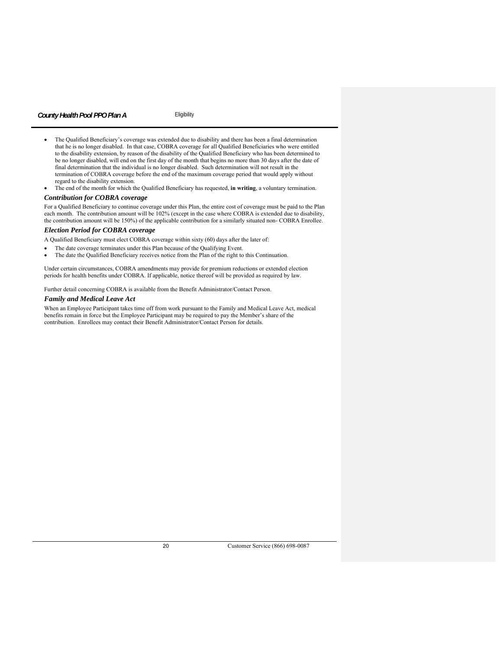- The Qualified Beneficiary's coverage was extended due to disability and there has been a final determination that he is no longer disabled. In that case, COBRA coverage for all Qualified Beneficiaries who were entitled to the disability extension, by reason of the disability of the Qualified Beneficiary who has been determined to be no longer disabled, will end on the first day of the month that begins no more than 30 days after the date of final determination that the individual is no longer disabled. Such determination will not result in the termination of COBRA coverage before the end of the maximum coverage period that would apply without regard to the disability extension.
- The end of the month for which the Qualified Beneficiary has requested, **in writing**, a voluntary termination.

# *Contribution for COBRA coverage*

For a Qualified Beneficiary to continue coverage under this Plan, the entire cost of coverage must be paid to the Plan each month. The contribution amount will be 102% (except in the case where COBRA is extended due to disability, the contribution amount will be 150%) of the applicable contribution for a similarly situated non- COBRA Enrollee.

# *Election Period for COBRA coverage*

- A Qualified Beneficiary must elect COBRA coverage within sixty (60) days after the later of:
- The date coverage terminates under this Plan because of the Qualifying Event.
- The date the Qualified Beneficiary receives notice from the Plan of the right to this Continuation.

Under certain circumstances, COBRA amendments may provide for premium reductions or extended election periods for health benefits under COBRA. If applicable, notice thereof will be provided as required by law.

Further detail concerning COBRA is available from the Benefit Administrator/Contact Person.

#### *Family and Medical Leave Act*

When an Employee Participant takes time off from work pursuant to the Family and Medical Leave Act, medical benefits remain in force but the Employee Participant may be required to pay the Member's share of the contribution. Enrollees may contact their Benefit Administrator/Contact Person for details.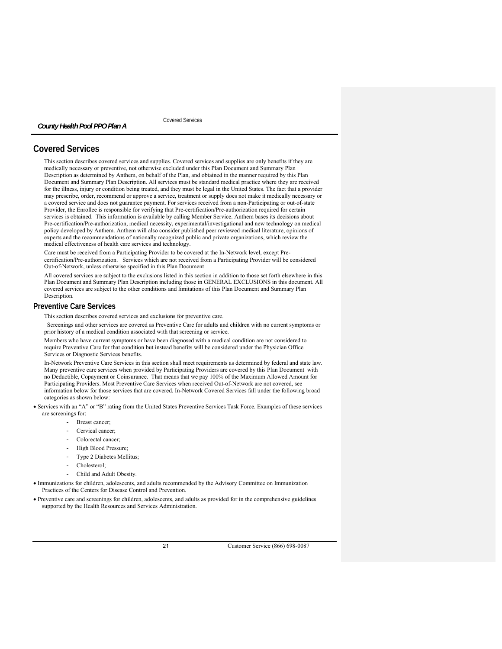Covered Services

# **Covered Services**

*County Health Pool PPO Plan A* 

This section describes covered services and supplies. Covered services and supplies are only benefits if they are medically necessary or preventive, not otherwise excluded under this Plan Document and Summary Plan Description as determined by Anthem, on behalf of the Plan, and obtained in the manner required by this Plan Document and Summary Plan Description. All services must be standard medical practice where they are received for the illness, injury or condition being treated, and they must be legal in the United States. The fact that a provider may prescribe, order, recommend or approve a service, treatment or supply does not make it medically necessary or a covered service and does not guarantee payment. For services received from a non-Participating or out-of-state Provider, the Enrollee is responsible for verifying that Pre-certification/Pre-authorization required for certain services is obtained. This information is available by calling Member Service. Anthem bases its decisions about Pre-certification/Pre-authorization, medical necessity, experimental/investigational and new technology on medical policy developed by Anthem. Anthem will also consider published peer reviewed medical literature, opinions of experts and the recommendations of nationally recognized public and private organizations, which review the medical effectiveness of health care services and technology.

Care must be received from a Participating Provider to be covered at the In-Network level, except Precertification/Pre-authorization. Services which are not received from a Participating Provider will be considered Out-of-Network, unless otherwise specified in this Plan Document

All covered services are subject to the exclusions listed in this section in addition to those set forth elsewhere in this Plan Document and Summary Plan Description including those in GENERAL EXCLUSIONS in this document. All covered services are subject to the other conditions and limitations of this Plan Document and Summary Plan Description.

# **Preventive Care Services**

This section describes covered services and exclusions for preventive care.

 Screenings and other services are covered as Preventive Care for adults and children with no current symptoms or prior history of a medical condition associated with that screening or service.

Members who have current symptoms or have been diagnosed with a medical condition are not considered to require Preventive Care for that condition but instead benefits will be considered under the Physician Office Services or Diagnostic Services benefits.

In-Network Preventive Care Services in this section shall meet requirements as determined by federal and state law. Many preventive care services when provided by Participating Providers are covered by this Plan Document with no Deductible, Copayment or Coinsurance. That means that we pay 100% of the Maximum Allowed Amount for Participating Providers. Most Preventive Care Services when received Out-of-Network are not covered, see information below for those services that are covered. In-Network Covered Services fall under the following broad categories as shown below:

- Services with an "A" or "B" rating from the United States Preventive Services Task Force. Examples of these services are screenings for:
	- Breast cancer;
	- Cervical cancer:
	- Colorectal cancer:
	- High Blood Pressure;
	- Type 2 Diabetes Mellitus;
	- Cholesterol;
	- Child and Adult Obesity.

 Immunizations for children, adolescents, and adults recommended by the Advisory Committee on Immunization Practices of the Centers for Disease Control and Prevention.

 Preventive care and screenings for children, adolescents, and adults as provided for in the comprehensive guidelines supported by the Health Resources and Services Administration.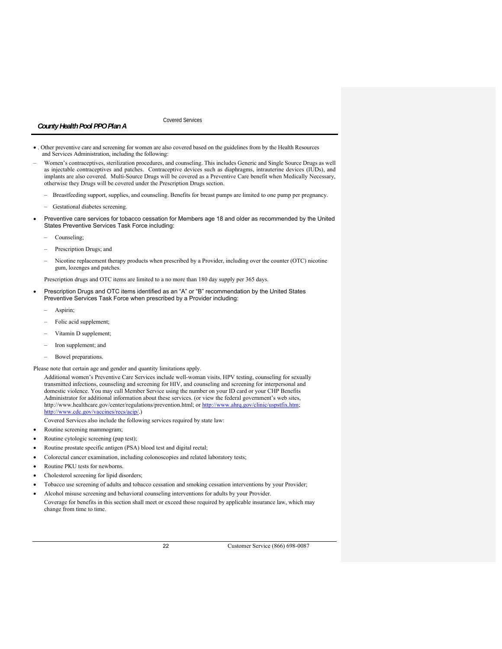Covered Services

- . Other preventive care and screening for women are also covered based on the guidelines from by the Health Resources and Services Administration, including the following:
- Women's contraceptives, sterilization procedures, and counseling. This includes Generic and Single Source Drugs as well as injectable contraceptives and patches. Contraceptive devices such as diaphragms, intrauterine devices (IUDs), and implants are also covered. Multi-Source Drugs will be covered as a Preventive Care benefit when Medically Necessary, otherwise they Drugs will be covered under the Prescription Drugs section.
	- Breastfeeding support, supplies, and counseling. Benefits for breast pumps are limited to one pump per pregnancy.
	- Gestational diabetes screening.
- Preventive care services for tobacco cessation for Members age 18 and older as recommended by the United States Preventive Services Task Force including:
	- Counseling;
	- Prescription Drugs; and
	- Nicotine replacement therapy products when prescribed by a Provider, including over the counter (OTC) nicotine gum, lozenges and patches.

Prescription drugs and OTC items are limited to a no more than 180 day supply per 365 days.

- Prescription Drugs and OTC items identified as an "A" or "B" recommendation by the United States Preventive Services Task Force when prescribed by a Provider including:
	- Aspirin;
	- Folic acid supplement;
	- Vitamin D supplement;
	- Iron supplement; and
	- Bowel preparations.

Please note that certain age and gender and quantity limitations apply.

Additional women's Preventive Care Services include well-woman visits, HPV testing, counseling for sexually transmitted infections, counseling and screening for HIV, and counseling and screening for interpersonal and domestic violence. You may call Member Service using the number on your ID card or your CHP Benefits Administrator for additional information about these services. (or view the federal government's web sites, http://www.healthcare.gov/center/regulations/prevention.html; or http://www.ahrq.gov/clinic/uspstfix.htm; http://www.cdc.gov/vaccines/recs/acip/.)

Covered Services also include the following services required by state law:

- Routine screening mammogram;
- Routine cytologic screening (pap test);
- Routine prostate specific antigen (PSA) blood test and digital rectal;
- Colorectal cancer examination, including colonoscopies and related laboratory tests;
- Routine PKU tests for newborns.
- Cholesterol screening for lipid disorders;
- Tobacco use screening of adults and tobacco cessation and smoking cessation interventions by your Provider;
- Alcohol misuse screening and behavioral counseling interventions for adults by your Provider.
- Coverage for benefits in this section shall meet or exceed those required by applicable insurance law, which may change from time to time.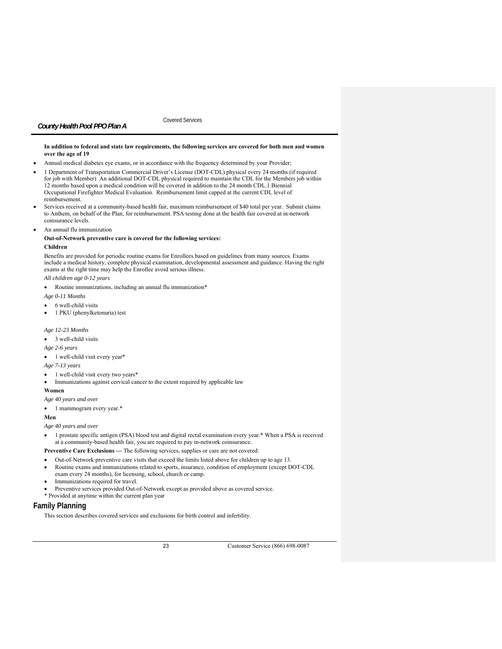Covered Services

#### **In addition to federal and state law requirements, the following services are covered for both men and women over the age of 19**

- Annual medical diabetes eye exams, or in accordance with the frequency determined by your Provider;
- 1 Department of Transportation Commercial Driver's License (DOT-CDL) physical every 24 months (if required for job with Member) An additional DOT-CDL physical required to maintain the CDL for the Members job within 12 months based upon a medical condition will be covered in addition to the 24 month CDL.1 Biennial Occupational Firefighter Medical Evaluation. Reimbursement limit capped at the current CDL level of reimbursement.
- Services received at a community-based health fair, maximum reimbursement of \$40 total per year. Submit claims to Anthem, on behalf of the Plan, for reimbursement. PSA testing done at the health fair covered at in-network coinsurance levels.
- An annual flu immunization

# **Out-of-Network preventive care is covered for the following services:**

# **Children**

Benefits are provided for periodic routine exams for Enrollees based on guidelines from many sources. Exams include a medical history, complete physical examination, developmental assessment and guidance. Having the right exams at the right time may help the Enrollee avoid serious illness.

*All children age 0-12 years*

Routine immunizations, including an annual flu immunization\*

*Age 0-11 Months* 

- 6 well-child visits
- 1 PKU (phenylketonuria) test

# *Age 12-23 Months*

- 3 well-child visits
- *Age 2-6 years*
- 1 well-child visit every year\*

#### *Age 7-13 years*

- 1 well-child visit every two years\*
- Immunizations against cervical cancer to the extent required by applicable law

#### **Women**

## *Age 40 years and over*

• 1 mammogram every year.\*

#### **Men**

*Age 40 years and over* 

 1 prostate specific antigen (PSA) blood test and digital rectal examination every year.\* When a PSA is received at a community-based health fair, you are required to pay in-network coinsurance.

# **Preventive Care Exclusions —** The following services, supplies or care are not covered:

- Out-of-Network preventive care visits that exceed the limits listed above for children up to age 13.
- Routine exams and immunizations related to sports, insurance, condition of employment (except DOT-CDL
- exam every 24 months), for licensing, school, church or camp.
- Immunizations required for travel.
- Preventive services provided Out-of-Network except as provided above as covered service.
- \* Provided at anytime within the current plan year

# **Family Planning**

This section describes covered services and exclusions for birth control and infertility.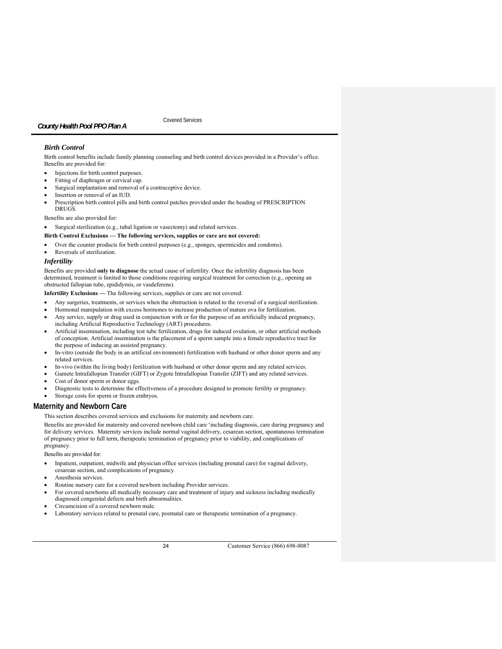Covered Services

# *Birth Control*

Birth control benefits include family planning counseling and birth control devices provided in a Provider's office. Benefits are provided for:

- Injections for birth control purposes.
- Fitting of diaphragm or cervical cap.
- Surgical implantation and removal of a contraceptive device.
- Insertion or removal of an IUD.
- Prescription birth control pills and birth control patches provided under the heading of PRESCRIPTION DRUGS.

Benefits are also provided for:

Surgical sterilization (e.g., tubal ligation or vasectomy) and related services.

# **Birth Control Exclusions — The following services, supplies or care are not covered:**

- Over the counter products for birth control purposes (e.g., sponges, spermicides and condoms).
- Reversals of sterilization.

# *Infertility*

Benefits are provided **only to diagnose** the actual cause of infertility. Once the infertility diagnosis has been determined, treatment is limited to those conditions requiring surgical treatment for correction (e.g., opening an obstructed fallopian tube, epididymis, or vasdeferens).

**Infertility Exclusions —** The following services, supplies or care are not covered:

- Any surgeries, treatments, or services when the obstruction is related to the reversal of a surgical sterilization.
- Hormonal manipulation with excess hormones to increase production of mature ova for fertilization. Any service, supply or drug used in conjunction with or for the purpose of an artificially induced pregnancy, including Artificial Reproductive Technology (ART) procedures.
- Artificial insemination, including test tube fertilization, drugs for induced ovulation, or other artificial methods of conception. Artificial insemination is the placement of a sperm sample into a female reproductive tract for the purpose of inducing an assisted pregnancy.
- In-vitro (outside the body in an artificial environment) fertilization with husband or other donor sperm and any related services.
- In-vivo (within the living body) fertilization with husband or other donor sperm and any related services.
- Gamete Intrafallopian Transfer (GIFT) or Zygote Intrafallopian Transfer (ZIFT) and any related services.
- Cost of donor sperm or donor eggs.
- Diagnostic tests to determine the effectiveness of a procedure designed to promote fertility or pregnancy.
- Storage costs for sperm or frozen embryos.

# **Maternity and Newborn Care**

This section describes covered services and exclusions for maternity and newborn care.

Benefits are provided for maternity and covered newborn child care 'including diagnosis, care during pregnancy and for delivery services. Maternity services include normal vaginal delivery, cesarean section, spontaneous termination of pregnancy prior to full term, therapeutic termination of pregnancy prior to viability, and complications of pregnancy.

Benefits are provided for:

- Inpatient, outpatient, midwife and physician office services (including prenatal care) for vaginal delivery, cesarean section, and complications of pregnancy.
- Anesthesia services.
- Routine nursery care for a covered newborn including Provider services.
- For covered newborns all medically necessary care and treatment of injury and sickness including medically diagnosed congenital defects and birth abnormalities.
- Circumcision of a covered newborn male.
- Laboratory services related to prenatal care, postnatal care or therapeutic termination of a pregnancy.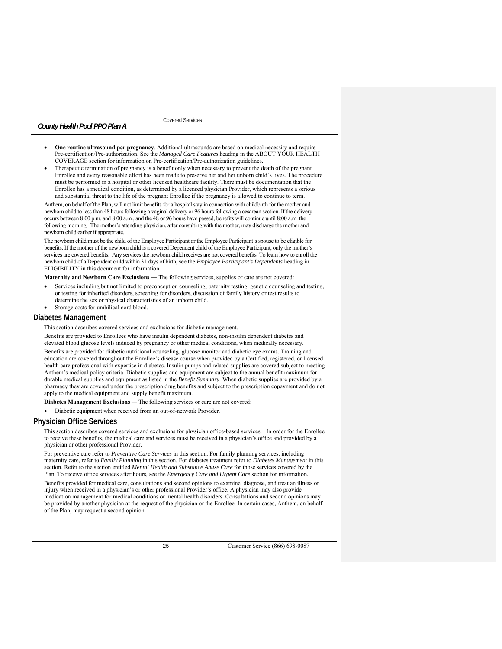Covered Services

- **One routine ultrasound per pregnancy**. Additional ultrasounds are based on medical necessity and require Pre-certification/Pre-authorization. See the *Managed Care Features* heading in the ABOUT YOUR HEALTH COVERAGE section for information on Pre-certification/Pre-authorization guidelines.
- Therapeutic termination of pregnancy is a benefit only when necessary to prevent the death of the pregnant Enrollee and every reasonable effort has been made to preserve her and her unborn child's lives. The procedure must be performed in a hospital or other licensed healthcare facility. There must be documentation that the Enrollee has a medical condition, as determined by a licensed physician Provider, which represents a serious and substantial threat to the life of the pregnant Enrollee if the pregnancy is allowed to continue to term.

Anthem, on behalf of the Plan, will not limit benefits for a hospital stay in connection with childbirth for the mother and newborn child to less than 48 hours following a vaginal delivery or 96 hours following a cesarean section. If the delivery occurs between 8:00 p.m. and 8:00 a.m., and the 48 or 96 hours have passed, benefits will continue until 8:00 a.m. the following morning. The mother's attending physician, after consulting with the mother, may discharge the mother and newborn child earlier if appropriate.

The newborn child must be the child of the Employee Participant or the Employee Participant's spouse to be eligible for benefits. If the mother of the newborn child is a covered Dependent child of the Employee Participant, only the mother's services are covered benefits. Any services the newborn child receives are not covered benefits. To learn how to enroll the newborn child of a Dependent child within 31 days of birth, see the *Employee Participant's Dependents* heading in ELIGIBILITY in this document for information*.* 

**Maternity and Newborn Care Exclusions —** The following services, supplies or care are not covered:

- Services including but not limited to preconception counseling, paternity testing, genetic counseling and testing, or testing for inherited disorders, screening for disorders, discussion of family history or test results to determine the sex or physical characteristics of an unborn child.
- Storage costs for umbilical cord blood.

#### **Diabetes Management**

This section describes covered services and exclusions for diabetic management.

Benefits are provided to Enrollees who have insulin dependent diabetes, non-insulin dependent diabetes and elevated blood glucose levels induced by pregnancy or other medical conditions, when medically necessary. Benefits are provided for diabetic nutritional counseling, glucose monitor and diabetic eye exams. Training and education are covered throughout the Enrollee's disease course when provided by a Certified, registered, or licensed health care professional with expertise in diabetes. Insulin pumps and related supplies are covered subject to meeting Anthem's medical policy criteria. Diabetic supplies and equipment are subject to the annual benefit maximum for durable medical supplies and equipment as listed in the *Benefit Summary*. When diabetic supplies are provided by a pharmacy they are covered under the prescription drug benefits and subject to the prescription copayment and do not apply to the medical equipment and supply benefit maximum.

**Diabetes Management Exclusions** *—* The following services or care are not covered:

Diabetic equipment when received from an out-of-network Provider.

# **Physician Office Services**

This section describes covered services and exclusions for physician office-based services. In order for the Enrollee to receive these benefits, the medical care and services must be received in a physician's office and provided by a physician or other professional Provider.

For preventive care refer to *Preventive Care Services* in this section. For family planning services, including maternity care, refer to *Family Planning* in this section. For diabetes treatment refer to *Diabetes Management* in this section. Refer to the section entitled *Mental Health and Substance Abuse Care* for those services covered by the Plan. To receive office services after hours, see the *Emergency Care and Urgent Care* section for information*.* 

Benefits provided for medical care, consultations and second opinions to examine, diagnose, and treat an illness or injury when received in a physician's or other professional Provider's office. A physician may also provide medication management for medical conditions or mental health disorders. Consultations and second opinions may be provided by another physician at the request of the physician or the Enrollee. In certain cases, Anthem, on behalf of the Plan, may request a second opinion.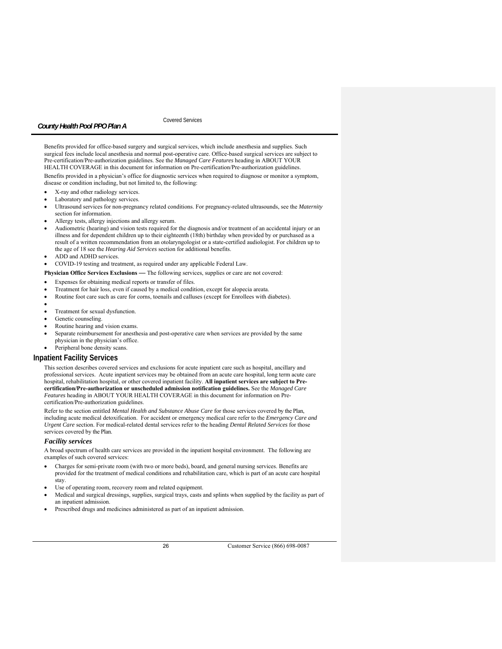# Covered Services

Benefits provided for office-based surgery and surgical services, which include anesthesia and supplies. Such surgical fees include local anesthesia and normal post-operative care. Office-based surgical services are subject to Pre-certification/Pre-authorization guidelines. See the *Managed Care Features* heading in ABOUT YOUR HEALTH COVERAGE in this document for information on Pre-certification/Pre-authorization guidelines. Benefits provided in a physician's office for diagnostic services when required to diagnose or monitor a symptom, disease or condition including, but not limited to, the following:

- X-ray and other radiology services.
- Laboratory and pathology services.
- Ultrasound services for non-pregnancy related conditions. For pregnancy-related ultrasounds, see the *Maternity*  section for information.
- Allergy tests, allergy injections and allergy serum.
- Audiometric (hearing) and vision tests required for the diagnosis and/or treatment of an accidental injury or an illness and for dependent children up to their eighteenth (18th) birthday when provided by or purchased as a result of a written recommendation from an otolaryngologist or a state-certified audiologist. For children up to the age of 18 see the *Hearing Aid Services* section for additional benefits.
- ADD and ADHD services.
- COVID-19 testing and treatment, as required under any applicable Federal Law.

**Physician Office Services Exclusions** *—* The following services, supplies or care are not covered:

- Expenses for obtaining medical reports or transfer of files.
- Treatment for hair loss, even if caused by a medical condition, except for alopecia areata.
- Routine foot care such as care for corns, toenails and calluses (except for Enrollees with diabetes).
- $\bullet$
- Treatment for sexual dysfunction.
- Genetic counseling.
- Routine hearing and vision exams.
- Separate reimbursement for anesthesia and post-operative care when services are provided by the same physician in the physician's office.
- Peripheral bone density scans.

## **Inpatient Facility Services**

This section describes covered services and exclusions for acute inpatient care such as hospital, ancillary and professional services. Acute inpatient services may be obtained from an acute care hospital, long term acute care hospital, rehabilitation hospital, or other covered inpatient facility. **All inpatient services are subject to Precertification/Pre-authorization or unscheduled admission notification guidelines.** See the *Managed Care Features* heading in ABOUT YOUR HEALTH COVERAGE in this document for information on Precertification/Pre-authorization guidelines.

Refer to the section entitled *Mental Health and Substance Abuse Care* for those services covered by the Plan, including acute medical detoxification. For accident or emergency medical care refer to the *Emergency Care and Urgent Care* section. For medical-related dental services refer to the heading *Dental Related Services* for those services covered by the Plan.

#### *Facility services*

A broad spectrum of health care services are provided in the inpatient hospital environment. The following are examples of such covered services:

- Charges for semi-private room (with two or more beds), board, and general nursing services. Benefits are provided for the treatment of medical conditions and rehabilitation care, which is part of an acute care hospital stay.
- Use of operating room, recovery room and related equipment.
- Medical and surgical dressings, supplies, surgical trays, casts and splints when supplied by the facility as part of an inpatient admission.
- Prescribed drugs and medicines administered as part of an inpatient admission.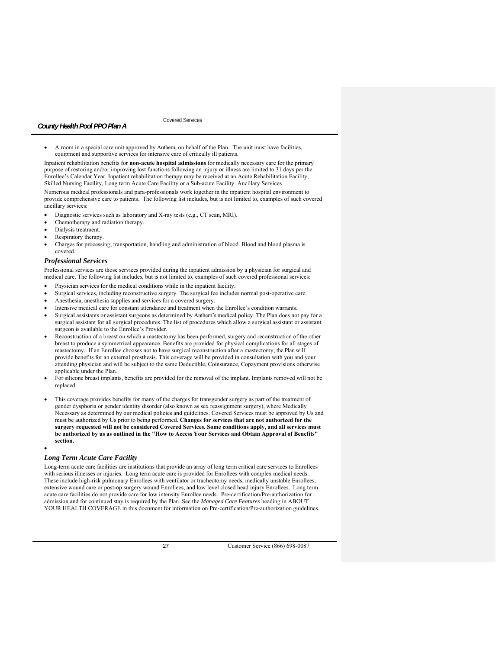Covered Services

 A room in a special care unit approved by Anthem, on behalf of the Plan. The unit must have facilities, equipment and supportive services for intensive care of critically ill patients.

Inpatient rehabilitation benefits for **non-acute hospital admissions** for medically necessary care for the primary purpose of restoring and/or improving lost functions following an injury or illness are limited to 31 days per the Enrollee's Calendar Year. Inpatient rehabilitation therapy may be received at an Acute Rehabilitation Facility, Skilled Nursing Facility, Long term Acute Care Facility or a Sub-acute Facility. Ancillary Services

Numerous medical professionals and para-professionals work together in the inpatient hospital environment to provide comprehensive care to patients. The following list includes, but is not limited to, examples of such covered ancillary services:

- Diagnostic services such as laboratory and X-ray tests (e.g., CT scan, MRI).
- Chemotherapy and radiation therapy.
- Dialysis treatment.
- Respiratory therapy.
- Charges for processing, transportation, handling and administration of blood. Blood and blood plasma is covered.

## *Professional Services*

Professional services are those services provided during the inpatient admission by a physician for surgical and medical care. The following list includes, but is not limited to, examples of such covered professional services:

- Physician services for the medical conditions while in the inpatient facility.
- Surgical services, including reconstructive surgery. The surgical fee includes normal post-operative care.
- Anesthesia, anesthesia supplies and services for a covered surgery.
- Intensive medical care for constant attendance and treatment when the Enrollee's condition warrants.
- Surgical assistants or assistant surgeons as determined by Anthem's medical policy. The Plan does not pay for a surgical assistant for all surgical procedures. The list of procedures which allow a surgical assistant or assistant surgeon is available to the Enrollee's Provider.
- Reconstruction of a breast on which a mastectomy has been performed, surgery and reconstruction of the other breast to produce a symmetrical appearance. Benefits are provided for physical complications for all stages of mastectomy. If an Enrollee chooses not to have surgical reconstruction after a mastectomy, the Plan will provide benefits for an external prosthesis. This coverage will be provided in consultation with you and your attending physician and will be subject to the same Deductible, Coinsurance, Copayment provisions otherwise applicable under the Plan.
- For silicone breast implants, benefits are provided for the removal of the implant. Implants removed will not be replaced.
- This coverage provides benefits for many of the charges for transgender surgery as part of the treatment of gender dysphoria or gender identity disorder (also known as sex reassignment surgery), where Medically Necessary as determined by our medical policies and guidelines. Covered Services must be approved by Us and must be authorized by Us prior to being performed. **Changes for services that are not authorized for the surgery requested will not be considered Covered Services. Some conditions apply, and all services must be authorized by us as outlined in the "How to Access Your Services and Obtain Approval of Benefits" section.**  $\bullet$

# *Long Term Acute Care Facility*

Long-term acute care facilities are institutions that provide an array of long term critical care services to Enrollees with serious illnesses or injuries. Long term acute care is provided for Enrollees with complex medical needs. These include high-risk pulmonary Enrollees with ventilator or tracheotomy needs, medically unstable Enrollees, extensive wound care or post-op surgery wound Enrollees, and low level closed head injury Enrollees. Long term acute care facilities do not provide care for low intensity Enrollee needs. Pre-certification/Pre-authorization for admission and for continued stay is required by the Plan. See the *Managed Care Features* heading in ABOUT YOUR HEALTH COVERAGE in this document for information on Pre-certification/Pre-authorization guidelines.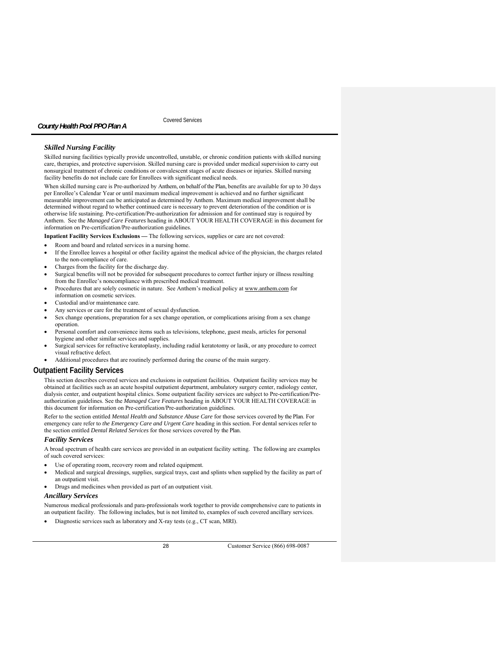Covered Services

## *Skilled Nursing Facility*

Skilled nursing facilities typically provide uncontrolled, unstable, or chronic condition patients with skilled nursing care, therapies, and protective supervision. Skilled nursing care is provided under medical supervision to carry out nonsurgical treatment of chronic conditions or convalescent stages of acute diseases or injuries. Skilled nursing facility benefits do not include care for Enrollees with significant medical needs.

When skilled nursing care is Pre-authorized by Anthem, on behalf of the Plan, benefits are available for up to 30 days per Enrollee's Calendar Year or until maximum medical improvement is achieved and no further significant measurable improvement can be anticipated as determined by Anthem. Maximum medical improvement shall be determined without regard to whether continued care is necessary to prevent deterioration of the condition or is otherwise life sustaining. Pre-certification/Pre-authorization for admission and for continued stay is required by Anthem. See the *Managed Care Features* heading in ABOUT YOUR HEALTH COVERAGE in this document for information on Pre-certification/Pre-authorization guidelines.

**Inpatient Facility Services Exclusions** *—* The following services, supplies or care are not covered:

- Room and board and related services in a nursing home.
- If the Enrollee leaves a hospital or other facility against the medical advice of the physician, the charges related to the non-compliance of care.
- Charges from the facility for the discharge day.
- Surgical benefits will not be provided for subsequent procedures to correct further injury or illness resulting from the Enrollee's noncompliance with prescribed medical treatment.
- Procedures that are solely cosmetic in nature. See Anthem's medical policy at www.anthem.com for information on cosmetic services.
- Custodial and/or maintenance care.
- Any services or care for the treatment of sexual dysfunction.
- Sex change operations, preparation for a sex change operation, or complications arising from a sex change operation.
- Personal comfort and convenience items such as televisions, telephone, guest meals, articles for personal hygiene and other similar services and supplies.
- Surgical services for refractive keratoplasty, including radial keratotomy or lasik, or any procedure to correct visual refractive defect.
- Additional procedures that are routinely performed during the course of the main surgery.

## **Outpatient Facility Services**

This section describes covered services and exclusions in outpatient facilities. Outpatient facility services may be obtained at facilities such as an acute hospital outpatient department, ambulatory surgery center, radiology center, dialysis center, and outpatient hospital clinics. Some outpatient facility services are subject to Pre-certification/Preauthorization guidelines. See the *Managed Care Features* heading in ABOUT YOUR HEALTH COVERAGE in this document for information on Pre-certification/Pre-authorization guidelines.

Refer to the section entitled *Mental Health and Substance Abuse Care* for those services covered by the Plan. For emergency care refer to *the Emergency Care and Urgent Care* heading in this section. For dental services refer to the section entitled *Dental Related Services* for those services covered by the Plan.

## *Facility Services*

A broad spectrum of health care services are provided in an outpatient facility setting. The following are examples of such covered services:

- Use of operating room, recovery room and related equipment.
- Medical and surgical dressings, supplies, surgical trays, cast and splints when supplied by the facility as part of an outpatient visit.
- Drugs and medicines when provided as part of an outpatient visit.

## *Ancillary Services*

Numerous medical professionals and para-professionals work together to provide comprehensive care to patients in an outpatient facility. The following includes, but is not limited to, examples of such covered ancillary services.

Diagnostic services such as laboratory and X-ray tests (e.g., CT scan, MRI).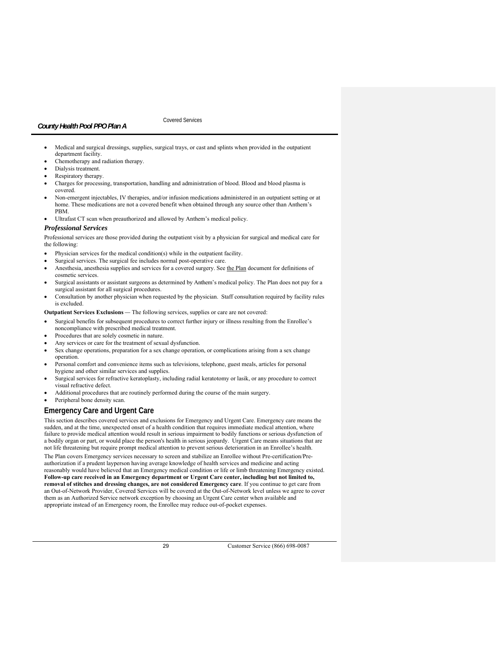# Covered Services

- Medical and surgical dressings, supplies, surgical trays, or cast and splints when provided in the outpatient department facility.
- Chemotherapy and radiation therapy.
- Dialysis treatment.
- Respiratory therapy.
- Charges for processing, transportation, handling and administration of blood. Blood and blood plasma is covered.
- Non-emergent injectables, IV therapies, and/or infusion medications administered in an outpatient setting or at home. These medications are not a covered benefit when obtained through any source other than Anthem's PBM.
- Ultrafast CT scan when preauthorized and allowed by Anthem's medical policy.

### *Professional Services*

Professional services are those provided during the outpatient visit by a physician for surgical and medical care for the following:

- Physician services for the medical condition(s) while in the outpatient facility.
- Surgical services. The surgical fee includes normal post-operative care.
- Anesthesia, anesthesia supplies and services for a covered surgery. See the Plan document for definitions of cosmetic services.
- Surgical assistants or assistant surgeons as determined by Anthem's medical policy. The Plan does not pay for a surgical assistant for all surgical procedures.
- Consultation by another physician when requested by the physician. Staff consultation required by facility rules is excluded.

**Outpatient Services Exclusions** *—* The following services, supplies or care are not covered:

- Surgical benefits for subsequent procedures to correct further injury or illness resulting from the Enrollee's noncompliance with prescribed medical treatment.
- Procedures that are solely cosmetic in nature.
- Any services or care for the treatment of sexual dysfunction.
- Sex change operations, preparation for a sex change operation, or complications arising from a sex change operation.
- Personal comfort and convenience items such as televisions, telephone, guest meals, articles for personal hygiene and other similar services and supplies.
- Surgical services for refractive keratoplasty, including radial keratotomy or lasik, or any procedure to correct visual refractive defect.
- Additional procedures that are routinely performed during the course of the main surgery.
- Peripheral bone density scan.

# **Emergency Care and Urgent Care**

This section describes covered services and exclusions for Emergency and Urgent Care. Emergency care means the sudden, and at the time, unexpected onset of a health condition that requires immediate medical attention, where failure to provide medical attention would result in serious impairment to bodily functions or serious dysfunction of a bodily organ or part, or would place the person's health in serious jeopardy. Urgent Care means situations that are not life threatening but require prompt medical attention to prevent serious deterioration in an Enrollee's health. The Plan covers Emergency services necessary to screen and stabilize an Enrollee without Pre-certification/Preauthorization if a prudent layperson having average knowledge of health services and medicine and acting reasonably would have believed that an Emergency medical condition or life or limb threatening Emergency existed. **Follow-up care received in an Emergency department or Urgent Care center, including but not limited to,** 

**removal of stitches and dressing changes, are not considered Emergency care**. If you continue to get care from an Out-of-Network Provider, Covered Services will be covered at the Out-of-Network level unless we agree to cover them as an Authorized Service network exception by choosing an Urgent Care center when available and appropriate instead of an Emergency room, the Enrollee may reduce out-of-pocket expenses.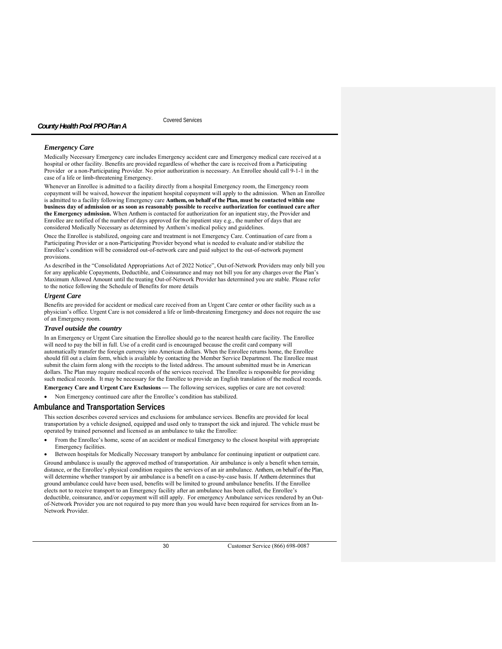## *Emergency Care*

Medically Necessary Emergency care includes Emergency accident care and Emergency medical care received at a hospital or other facility. Benefits are provided regardless of whether the care is received from a Participating Provider or a non-Participating Provider. No prior authorization is necessary. An Enrollee should call 9-1-1 in the case of a life or limb-threatening Emergency.

Whenever an Enrollee is admitted to a facility directly from a hospital Emergency room, the Emergency room copayment will be waived, however the inpatient hospital copayment will apply to the admission. When an Enrollee is admitted to a facility following Emergency care **Anthem, on behalf of the Plan, must be contacted within one business day of admission or as soon as reasonably possible to receive authorization for continued care after the Emergency admission.** When Anthem is contacted for authorization for an inpatient stay, the Provider and Enrollee are notified of the number of days approved for the inpatient stay e.g., the number of days that are considered Medically Necessary as determined by Anthem's medical policy and guidelines.

Once the Enrollee is stabilized, ongoing care and treatment is not Emergency Care. Continuation of care from a Participating Provider or a non-Participating Provider beyond what is needed to evaluate and/or stabilize the Enrollee's condition will be considered out-of-network care and paid subject to the out-of-network payment provisions.

As described in the "Consolidated Appropriations Act of 2022 Notice", Out-of-Network Providers may only bill you for any applicable Copayments, Deductible, and Coinsurance and may not bill you for any charges over the Plan's Maximum Allowed Amount until the treating Out-of-Network Provider has determined you are stable. Please refer to the notice following the Schedule of Benefits for more details

# *Urgent Care*

Benefits are provided for accident or medical care received from an Urgent Care center or other facility such as a physician's office. Urgent Care is not considered a life or limb-threatening Emergency and does not require the use of an Emergency room.

### *Travel outside the country*

In an Emergency or Urgent Care situation the Enrollee should go to the nearest health care facility. The Enrollee will need to pay the bill in full. Use of a credit card is encouraged because the credit card company will automatically transfer the foreign currency into American dollars. When the Enrollee returns home, the Enrollee should fill out a claim form, which is available by contacting the Member Service Department. The Enrollee must submit the claim form along with the receipts to the listed address. The amount submitted must be in American dollars. The Plan may require medical records of the services received. The Enrollee is responsible for providing such medical records. It may be necessary for the Enrollee to provide an English translation of the medical records.

**Emergency Care and Urgent Care Exclusions** *—* The following services, supplies or care are not covered:

Non Emergency continued care after the Enrollee's condition has stabilized.

# **Ambulance and Transportation Services**

This section describes covered services and exclusions for ambulance services. Benefits are provided for local transportation by a vehicle designed, equipped and used only to transport the sick and injured. The vehicle must be operated by trained personnel and licensed as an ambulance to take the Enrollee:

 From the Enrollee's home, scene of an accident or medical Emergency to the closest hospital with appropriate Emergency facilities.

 Between hospitals for Medically Necessary transport by ambulance for continuing inpatient or outpatient care. Ground ambulance is usually the approved method of transportation. Air ambulance is only a benefit when terrain, distance, or the Enrollee's physical condition requires the services of an air ambulance. Anthem, on behalf of the Plan, will determine whether transport by air ambulance is a benefit on a case-by-case basis. If Anthem determines that ground ambulance could have been used, benefits will be limited to ground ambulance benefits. If the Enrollee elects not to receive transport to an Emergency facility after an ambulance has been called, the Enrollee's deductible, coinsurance, and/or copayment will still apply. For emergency Ambulance services rendered by an Outof-Network Provider you are not required to pay more than you would have been required for services from an In-Network Provider.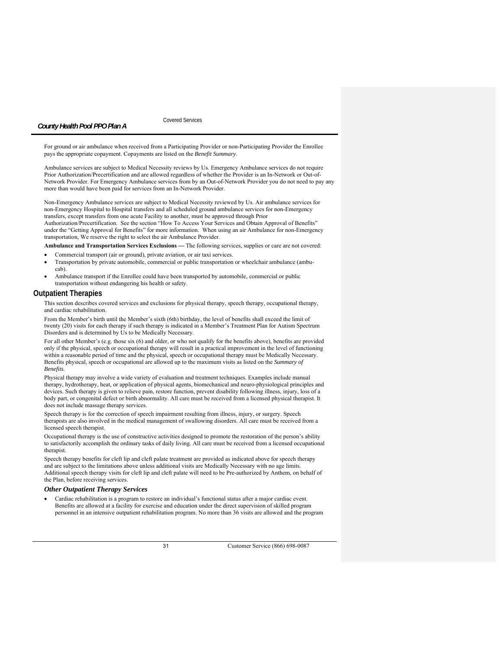Covered Services

For ground or air ambulance when received from a Participating Provider or non-Participating Provider the Enrollee pays the appropriate copayment. Copayments are listed on the *Benefit Summary*.

Ambulance services are subject to Medical Necessity reviews by Us. Emergency Ambulance services do not require Prior Authorization/Precertification and are allowed regardless of whether the Provider is an In-Network or Out-of-Network Provider. For Emergency Ambulance services from by an Out-of-Network Provider you do not need to pay any more than would have been paid for services from an In-Network Provider.

Non-Emergency Ambulance services are subject to Medical Necessity reviewed by Us. Air ambulance services for non-Emergency Hospital to Hospital transfers and all scheduled ground ambulance services for non-Emergency transfers, except transfers from one acute Facility to another, must be approved through Prior

Authorization/Precertification. See the section "How To Access Your Services and Obtain Approval of Benefits" under the "Getting Approval for Benefits" for more information. When using an air Ambulance for non-Emergency transportation, We reserve the right to select the air Ambulance Provider.

**Ambulance and Transportation Services Exclusions** *—* The following services, supplies or care are not covered:

- Commercial transport (air or ground), private aviation, or air taxi services.
- Transportation by private automobile, commercial or public transportation or wheelchair ambulance (ambucab).
- Ambulance transport if the Enrollee could have been transported by automobile, commercial or public transportation without endangering his health or safety.

### **Outpatient Therapies**

This section describes covered services and exclusions for physical therapy, speech therapy, occupational therapy, and cardiac rehabilitation.

From the Member's birth until the Member's sixth (6th) birthday, the level of benefits shall exceed the limit of twenty (20) visits for each therapy if such therapy is indicated in a Member's Treatment Plan for Autism Spectrum Disorders and is determined by Us to be Medically Necessary.

For all other Member's (e.g. those six (6) and older, or who not qualify for the benefits above), benefits are provided only if the physical, speech or occupational therapy will result in a practical improvement in the level of functioning within a reasonable period of time and the physical, speech or occupational therapy must be Medically Necessary. Benefits physical, speech or occupational are allowed up to the maximum visits as listed on the *Summary of Benefits*.

Physical therapy may involve a wide variety of evaluation and treatment techniques. Examples include manual therapy, hydrotherapy, heat, or application of physical agents, biomechanical and neuro-physiological principles and devices. Such therapy is given to relieve pain, restore function, prevent disability following illness, injury, loss of a body part, or congenital defect or birth abnormality. All care must be received from a licensed physical therapist. It does not include massage therapy services.

Speech therapy is for the correction of speech impairment resulting from illness, injury, or surgery. Speech therapists are also involved in the medical management of swallowing disorders. All care must be received from a licensed speech therapist.

Occupational therapy is the use of constructive activities designed to promote the restoration of the person's ability to satisfactorily accomplish the ordinary tasks of daily living. All care must be received from a licensed occupational therapist.

Speech therapy benefits for cleft lip and cleft palate treatment are provided as indicated above for speech therapy and are subject to the limitations above unless additional visits are Medically Necessary with no age limits. Additional speech therapy visits for cleft lip and cleft palate will need to be Pre-authorized by Anthem, on behalf of the Plan, before receiving services.

### *Other Outpatient Therapy Services*

 Cardiac rehabilitation is a program to restore an individual's functional status after a major cardiac event. Benefits are allowed at a facility for exercise and education under the direct supervision of skilled program personnel in an intensive outpatient rehabilitation program. No more than 36 visits are allowed and the program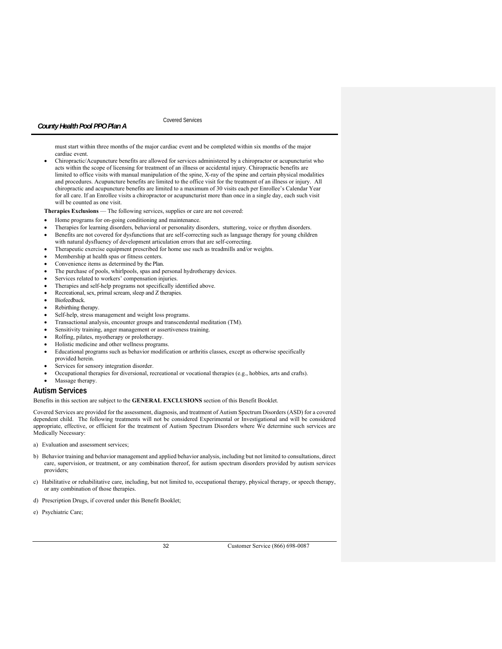Covered Services

must start within three months of the major cardiac event and be completed within six months of the major cardiac event.

 Chiropractic/Acupuncture benefits are allowed for services administered by a chiropractor or acupuncturist who acts within the scope of licensing for treatment of an illness or accidental injury. Chiropractic benefits are limited to office visits with manual manipulation of the spine, X-ray of the spine and certain physical modalities and procedures. Acupuncture benefits are limited to the office visit for the treatment of an illness or injury. All chiropractic and acupuncture benefits are limited to a maximum of 30 visits each per Enrollee's Calendar Year for all care. If an Enrollee visits a chiropractor or acupuncturist more than once in a single day, each such visit will be counted as one visit.

**Therapies Exclusions** — The following services, supplies or care are not covered:

- Home programs for on-going conditioning and maintenance.
- Therapies for learning disorders, behavioral or personality disorders, stuttering, voice or rhythm disorders. Benefits are not covered for dysfunctions that are self-correcting such as language therapy for young children
- with natural dysfluency of development articulation errors that are self-correcting.
- Therapeutic exercise equipment prescribed for home use such as treadmills and/or weights.
- Membership at health spas or fitness centers.
- Convenience items as determined by the Plan.
- The purchase of pools, whirlpools, spas and personal hydrotherapy devices.
- Services related to workers' compensation injuries.
- Therapies and self-help programs not specifically identified above.
- Recreational, sex, primal scream, sleep and Z therapies.
- Biofeedback.
- Rebirthing therapy.
- Self-help, stress management and weight loss programs.
- Transactional analysis, encounter groups and transcendental meditation (TM).
- Sensitivity training, anger management or assertiveness training.
- Rolfing, pilates, myotherapy or prolotherapy.
- Holistic medicine and other wellness programs.
- Educational programs such as behavior modification or arthritis classes, except as otherwise specifically provided herein.
- Services for sensory integration disorder.
- Occupational therapies for diversional, recreational or vocational therapies (e.g., hobbies, arts and crafts).
- Massage therapy.

# **Autism Services**

Benefits in this section are subject to the **GENERAL EXCLUSIONS** section of this Benefit Booklet.

Covered Services are provided for the assessment, diagnosis, and treatment of Autism Spectrum Disorders (ASD) for a covered dependent child. The following treatments will not be considered Experimental or Investigational and will be considered appropriate, effective, or efficient for the treatment of Autism Spectrum Disorders where We determine such services are Medically Necessary:

a) Evaluation and assessment services;

- b) Behavior training and behavior management and applied behavior analysis, including but not limited to consultations, direct care, supervision, or treatment, or any combination thereof, for autism spectrum disorders provided by autism services providers;
- c) Habilitative or rehabilitative care, including, but not limited to, occupational therapy, physical therapy, or speech therapy, or any combination of those therapies.
- d) Prescription Drugs, if covered under this Benefit Booklet;
- e) Psychiatric Care;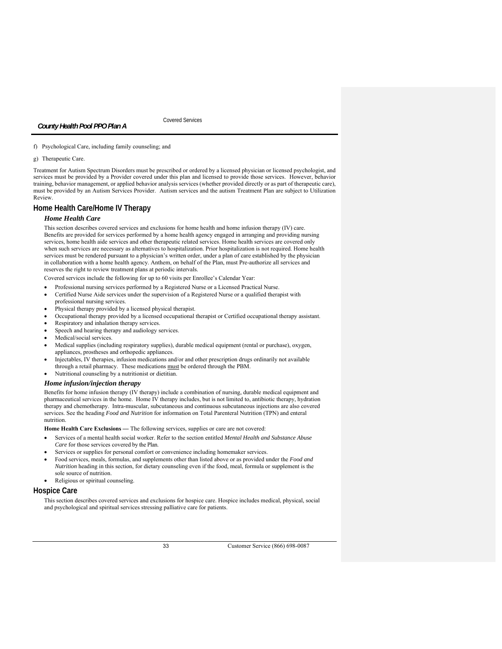Covered Services

### f) Psychological Care, including family counseling; and

*County Health Pool PPO Plan A* 

# g) Therapeutic Care.

Treatment for Autism Spectrum Disorders must be prescribed or ordered by a licensed physician or licensed psychologist, and services must be provided by a Provider covered under this plan and licensed to provide those services. However, behavior training, behavior management, or applied behavior analysis services (whether provided directly or as part of therapeutic care), must be provided by an Autism Services Provider. Autism services and the autism Treatment Plan are subject to Utilization Review.

# **Home Health Care/Home IV Therapy**

# *Home Health Care*

This section describes covered services and exclusions for home health and home infusion therapy (IV) care. Benefits are provided for services performed by a home health agency engaged in arranging and providing nursing services, home health aide services and other therapeutic related services. Home health services are covered only when such services are necessary as alternatives to hospitalization. Prior hospitalization is not required. Home health services must be rendered pursuant to a physician's written order, under a plan of care established by the physician in collaboration with a home health agency. Anthem, on behalf of the Plan, must Pre-authorize all services and reserves the right to review treatment plans at periodic intervals.

Covered services include the following for up to 60 visits per Enrollee's Calendar Year:

- Professional nursing services performed by a Registered Nurse or a Licensed Practical Nurse.
- Certified Nurse Aide services under the supervision of a Registered Nurse or a qualified therapist with professional nursing services.
- Physical therapy provided by a licensed physical therapist.
- Occupational therapy provided by a licensed occupational therapist or Certified occupational therapy assistant.
- Respiratory and inhalation therapy services.
- Speech and hearing therapy and audiology services.
- Medical/social services.
- Medical supplies (including respiratory supplies), durable medical equipment (rental or purchase), oxygen, appliances, prostheses and orthopedic appliances.
- Injectables, IV therapies, infusion medications and/or and other prescription drugs ordinarily not available through a retail pharmacy. These medications must be ordered through the PBM.
- Nutritional counseling by a nutritionist or dietitian.

# *Home infusion/injection therapy*

Benefits for home infusion therapy (IV therapy) include a combination of nursing, durable medical equipment and pharmaceutical services in the home. Home IV therapy includes, but is not limited to, antibiotic therapy, hydration therapy and chemotherapy. Intra-muscular, subcutaneous and continuous subcutaneous injections are also covered services. See the heading *Food and Nutrition* for information on Total Parenteral Nutrition (TPN) and enteral nutrition.

Home Health Care Exclusions — The following services, supplies or care are not covered:

- Services of a mental health social worker. Refer to the section entitled *Mental Health and Substance Abuse Care* for those services covered by the Plan.
- Services or supplies for personal comfort or convenience including homemaker services.
- Food services, meals, formulas, and supplements other than listed above or as provided under the *Food and Nutrition* heading in this section, for dietary counseling even if the food, meal, formula or supplement is the sole source of nutrition.
- Religious or spiritual counseling.

# **Hospice Care**

This section describes covered services and exclusions for hospice care. Hospice includes medical, physical, social and psychological and spiritual services stressing palliative care for patients.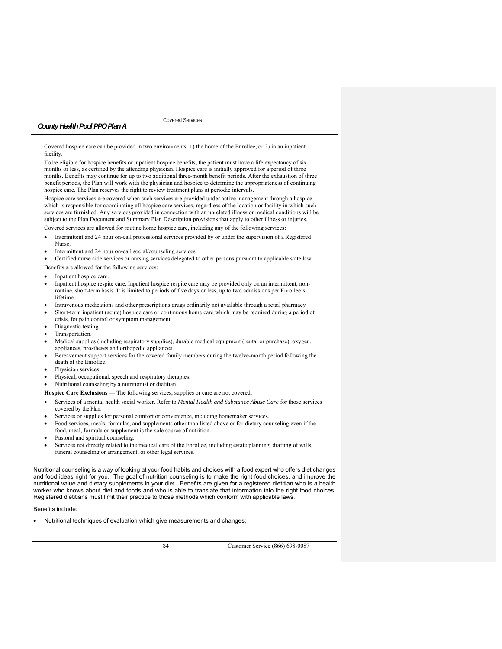Covered Services

Covered hospice care can be provided in two environments: 1) the home of the Enrollee, or 2) in an inpatient facility.

To be eligible for hospice benefits or inpatient hospice benefits, the patient must have a life expectancy of six months or less, as certified by the attending physician. Hospice care is initially approved for a period of three months. Benefits may continue for up to two additional three-month benefit periods. After the exhaustion of three benefit periods, the Plan will work with the physician and hospice to determine the appropriateness of continuing hospice care. The Plan reserves the right to review treatment plans at periodic intervals.

Hospice care services are covered when such services are provided under active management through a hospice which is responsible for coordinating all hospice care services, regardless of the location or facility in which such services are furnished. Any services provided in connection with an unrelated illness or medical conditions will be subject to the Plan Document and Summary Plan Description provisions that apply to other illness or injuries. Covered services are allowed for routine home hospice care, including any of the following services:

 Intermittent and 24 hour on-call professional services provided by or under the supervision of a Registered Nurse.

Intermittent and 24 hour on-call social/counseling services.

Certified nurse aide services or nursing services delegated to other persons pursuant to applicable state law.

- Benefits are allowed for the following services:
- Inpatient hospice care.
- Inpatient hospice respite care. Inpatient hospice respite care may be provided only on an intermittent, nonroutine, short-term basis. It is limited to periods of five days or less, up to two admissions per Enrollee's lifetime.
- Intravenous medications and other prescriptions drugs ordinarily not available through a retail pharmacy
- Short-term inpatient (acute) hospice care or continuous home care which may be required during a period of crisis, for pain control or symptom management.
- Diagnostic testing.
- Transportation.
- Medical supplies (including respiratory supplies), durable medical equipment (rental or purchase), oxygen, appliances, prostheses and orthopedic appliances.
- Bereavement support services for the covered family members during the twelve-month period following the death of the Enrollee.
- Physician services.
- Physical, occupational, speech and respiratory therapies.
- Nutritional counseling by a nutritionist or dietitian.
- Hospice Care Exclusions The following services, supplies or care are not covered:
- Services of a mental health social worker. Refer to *Mental Health and Substance Abuse Care* for those services covered by the Plan.
- Services or supplies for personal comfort or convenience, including homemaker services.
- Food services, meals, formulas, and supplements other than listed above or for dietary counseling even if the food, meal, formula or supplement is the sole source of nutrition.
- Pastoral and spiritual counseling.
- Services not directly related to the medical care of the Enrollee, including estate planning, drafting of wills, funeral counseling or arrangement, or other legal services.

Nutritional counseling is a way of looking at your food habits and choices with a food expert who offers diet changes and food ideas right for you. The goal of nutrition counseling is to make the right food choices, and improve the nutritional value and dietary supplements in your diet. Benefits are given for a registered dietitian who is a health worker who knows about diet and foods and who is able to translate that information into the right food choices. Registered dietitians must limit their practice to those methods which conform with applicable laws.

Benefits include:

Nutritional techniques of evaluation which give measurements and changes;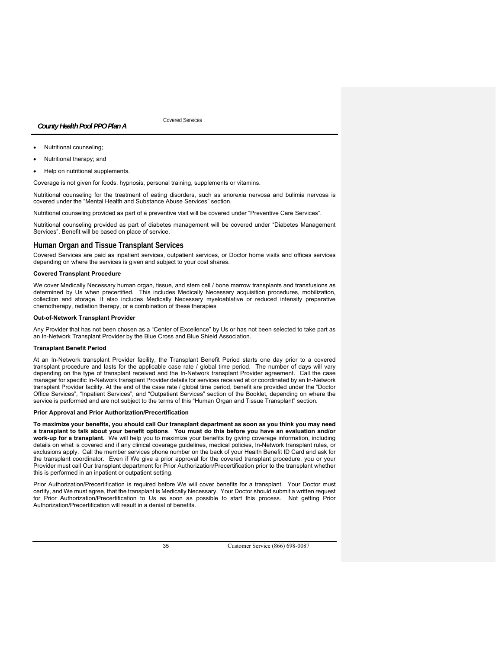Covered Services

- Nutritional counseling;
- Nutritional therapy; and
- Help on nutritional supplements.

Coverage is not given for foods, hypnosis, personal training, supplements or vitamins.

Nutritional counseling for the treatment of eating disorders, such as anorexia nervosa and bulimia nervosa is covered under the "Mental Health and Substance Abuse Services" section.

Nutritional counseling provided as part of a preventive visit will be covered under "Preventive Care Services".

Nutritional counseling provided as part of diabetes management will be covered under "Diabetes Management Services". Benefit will be based on place of service.

# **Human Organ and Tissue Transplant Services**

Covered Services are paid as inpatient services, outpatient services, or Doctor home visits and offices services depending on where the services is given and subject to your cost shares.

### **Covered Transplant Procedure**

We cover Medically Necessary human organ, tissue, and stem cell / bone marrow transplants and transfusions as determined by Us when precertified. This includes Medically Necessary acquisition procedures, mobilization, collection and storage. It also includes Medically Necessary myeloablative or reduced intensity preparative chemotherapy, radiation therapy, or a combination of these therapies

#### **Out-of-Network Transplant Provider**

Any Provider that has not been chosen as a "Center of Excellence" by Us or has not been selected to take part as an In-Network Transplant Provider by the Blue Cross and Blue Shield Association.

### **Transplant Benefit Period**

At an In-Network transplant Provider facility, the Transplant Benefit Period starts one day prior to a covered transplant procedure and lasts for the applicable case rate / global time period. The number of days will vary depending on the type of transplant received and the In-Network transplant Provider agreement. Call the case manager for specific In-Network transplant Provider details for services received at or coordinated by an In-Network transplant Provider facility. At the end of the case rate / global time period, benefit are provided under the "Doctor Office Services", "Inpatient Services", and "Outpatient Services" section of the Booklet, depending on where the service is performed and are not subject to the terms of this "Human Organ and Tissue Transplant" section.

#### **Prior Approval and Prior Authorization/Precertification**

**To maximize your benefits, you should call Our transplant department as soon as you think you may need a transplant to talk about your benefit options**. **You must do this before you have an evaluation and/or work-up for a transplant.** We will help you to maximize your benefits by giving coverage information, including details on what is covered and if any clinical coverage guidelines, medical policies, In-Network transplant rules, or exclusions apply. Call the member services phone number on the back of your Health Benefit ID Card and ask for the transplant coordinator. Even if We give a prior approval for the covered transplant procedure, you or your Provider must call Our transplant department for Prior Authorization/Precertification prior to the transplant whether this is performed in an inpatient or outpatient setting.

Prior Authorization/Precertification is required before We will cover benefits for a transplant. Your Doctor must certify, and We must agree, that the transplant is Medically Necessary. Your Doctor should submit a written request for Prior Authorization/Precertification to Us as soon as possible to start this process. Not getting Prior Authorization/Precertification will result in a denial of benefits.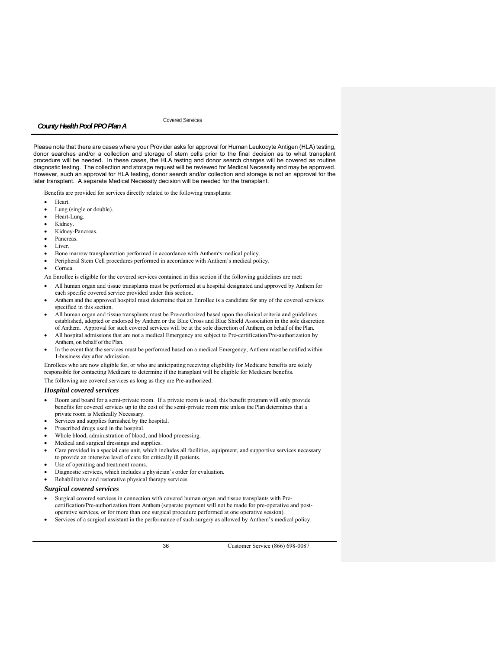Covered Services

Please note that there are cases where your Provider asks for approval for Human Leukocyte Antigen (HLA) testing, donor searches and/or a collection and storage of stem cells prior to the final decision as to what transplant procedure will be needed. In these cases, the HLA testing and donor search charges will be covered as routine diagnostic testing. The collection and storage request will be reviewed for Medical Necessity and may be approved. However, such an approval for HLA testing, donor search and/or collection and storage is not an approval for the later transplant. A separate Medical Necessity decision will be needed for the transplant.

Benefits are provided for services directly related to the following transplants:

- Heart.
- Lung (single or double).
- Heart-Lung.
- Kidney.
- Kidney-Pancreas.
- Pancreas.
- Liver.
- Bone marrow transplantation performed in accordance with Anthem's medical policy.
- Peripheral Stem Cell procedures performed in accordance with Anthem's medical policy.
- Cornea.

An Enrollee is eligible for the covered services contained in this section if the following guidelines are met:

- All human organ and tissue transplants must be performed at a hospital designated and approved by Anthem for each specific covered service provided under this section.
- Anthem and the approved hospital must determine that an Enrollee is a candidate for any of the covered services specified in this section.
- All human organ and tissue transplants must be Pre-authorized based upon the clinical criteria and guidelines established, adopted or endorsed by Anthem or the Blue Cross and Blue Shield Association in the sole discretion of Anthem. Approval for such covered services will be at the sole discretion of Anthem, on behalf of the Plan.
- All hospital admissions that are not a medical Emergency are subject to Pre-certification/Pre-authorization by Anthem, on behalf of the Plan.
- In the event that the services must be performed based on a medical Emergency, Anthem must be notified within 1-business day after admission.

Enrollees who are now eligible for, or who are anticipating receiving eligibility for Medicare benefits are solely responsible for contacting Medicare to determine if the transplant will be eligible for Medicare benefits.

The following are covered services as long as they are Pre-authorized:

# *Hospital covered services*

- Room and board for a semi-private room. If a private room is used, this benefit program will only provide benefits for covered services up to the cost of the semi-private room rate unless the Plan determines that a private room is Medically Necessary.
- Services and supplies furnished by the hospital.
- Prescribed drugs used in the hospital.
- Whole blood, administration of blood, and blood processing.
- Medical and surgical dressings and supplies.
- Care provided in a special care unit, which includes all facilities, equipment, and supportive services necessary to provide an intensive level of care for critically ill patients.
- Use of operating and treatment rooms.
- Diagnostic services, which includes a physician's order for evaluation.
- Rehabilitative and restorative physical therapy services.

#### *Surgical covered services*

- Surgical covered services in connection with covered human organ and tissue transplants with Precertification/Pre-authorization from Anthem (separate payment will not be made for pre-operative and postoperative services, or for more than one surgical procedure performed at one operative session).
- Services of a surgical assistant in the performance of such surgery as allowed by Anthem's medical policy.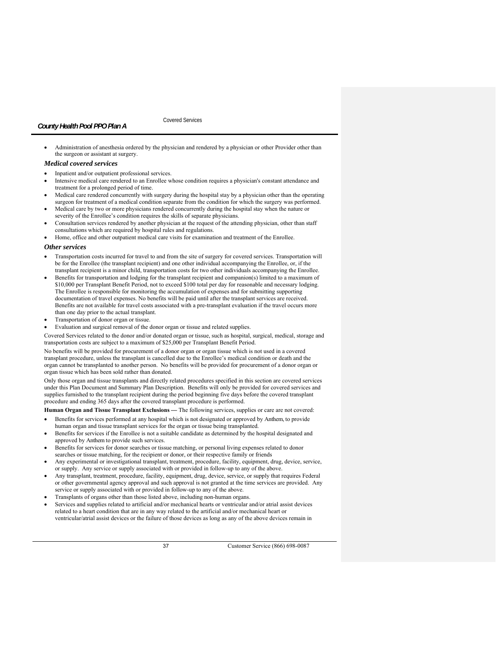### Covered Services

 Administration of anesthesia ordered by the physician and rendered by a physician or other Provider other than the surgeon or assistant at surgery.

### *Medical covered services*

- Inpatient and/or outpatient professional services.
- Intensive medical care rendered to an Enrollee whose condition requires a physician's constant attendance and treatment for a prolonged period of time.
- Medical care rendered concurrently with surgery during the hospital stay by a physician other than the operating surgeon for treatment of a medical condition separate from the condition for which the surgery was performed.
- Medical care by two or more physicians rendered concurrently during the hospital stay when the nature or severity of the Enrollee's condition requires the skills of separate physicians.
- Consultation services rendered by another physician at the request of the attending physician, other than staff consultations which are required by hospital rules and regulations.
- Home, office and other outpatient medical care visits for examination and treatment of the Enrollee.

# *Other services*

- Transportation costs incurred for travel to and from the site of surgery for covered services. Transportation will be for the Enrollee (the transplant recipient) and one other individual accompanying the Enrollee, or, if the transplant recipient is a minor child, transportation costs for two other individuals accompanying the Enrollee.
- Benefits for transportation and lodging for the transplant recipient and companion(s) limited to a maximum of \$10,000 per Transplant Benefit Period, not to exceed \$100 total per day for reasonable and necessary lodging. The Enrollee is responsible for monitoring the accumulation of expenses and for submitting supporting documentation of travel expenses. No benefits will be paid until after the transplant services are received. Benefits are not available for travel costs associated with a pre-transplant evaluation if the travel occurs more than one day prior to the actual transplant.
- Transportation of donor organ or tissue.
- Evaluation and surgical removal of the donor organ or tissue and related supplies.

Covered Services related to the donor and/or donated organ or tissue, such as hospital, surgical, medical, storage and transportation costs are subject to a maximum of \$25,000 per Transplant Benefit Period.

No benefits will be provided for procurement of a donor organ or organ tissue which is not used in a covered transplant procedure, unless the transplant is cancelled due to the Enrollee's medical condition or death and the organ cannot be transplanted to another person. No benefits will be provided for procurement of a donor organ or organ tissue which has been sold rather than donated.

Only those organ and tissue transplants and directly related procedures specified in this section are covered services under this Plan Document and Summary Plan Description. Benefits will only be provided for covered services and supplies furnished to the transplant recipient during the period beginning five days before the covered transplant procedure and ending 365 days after the covered transplant procedure is performed.

**Human Organ and Tissue Transplant Exclusions** *—* The following services, supplies or care are not covered:

- Benefits for services performed at any hospital which is not designated or approved by Anthem, to provide human organ and tissue transplant services for the organ or tissue being transplanted.
- Benefits for services if the Enrollee is not a suitable candidate as determined by the hospital designated and approved by Anthem to provide such services.
- Benefits for services for donor searches or tissue matching, or personal living expenses related to donor searches or tissue matching, for the recipient or donor, or their respective family or friends
- Any experimental or investigational transplant, treatment, procedure, facility, equipment, drug, device, service, or supply. Any service or supply associated with or provided in follow-up to any of the above.
- Any transplant, treatment, procedure, facility, equipment, drug, device, service, or supply that requires Federal or other governmental agency approval and such approval is not granted at the time services are provided. Any service or supply associated with or provided in follow-up to any of the above.
- Transplants of organs other than those listed above, including non-human organs.
- Services and supplies related to artificial and/or mechanical hearts or ventricular and/or atrial assist devices related to a heart condition that are in any way related to the artificial and/or mechanical heart or ventricular/atrial assist devices or the failure of those devices as long as any of the above devices remain in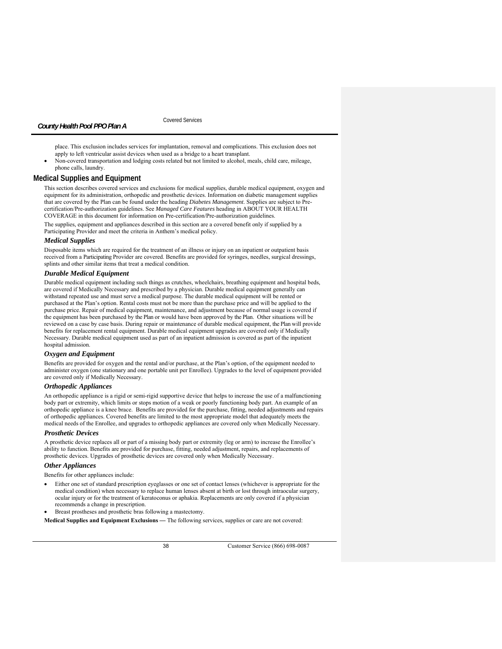Covered Services

place. This exclusion includes services for implantation, removal and complications. This exclusion does not apply to left ventricular assist devices when used as a bridge to a heart transplant.

 Non-covered transportation and lodging costs related but not limited to alcohol, meals, child care, mileage, phone calls, laundry.

# **Medical Supplies and Equipment**

This section describes covered services and exclusions for medical supplies, durable medical equipment, oxygen and equipment for its administration, orthopedic and prosthetic devices. Information on diabetic management supplies that are covered by the Plan can be found under the heading *Diabetes Management*. Supplies are subject to Precertification/Pre-authorization guidelines. See Managed Care Features heading in ABOUT YOUR HEALTH COVERAGE in this document for information on Pre-certification/Pre-authorization guidelines.

The supplies, equipment and appliances described in this section are a covered benefit only if supplied by a Participating Provider and meet the criteria in Anthem's medical policy.

### *Medical Supplies*

Disposable items which are required for the treatment of an illness or injury on an inpatient or outpatient basis received from a Participating Provider are covered. Benefits are provided for syringes, needles, surgical dressings, splints and other similar items that treat a medical condition.

# *Durable Medical Equipment*

Durable medical equipment including such things as crutches, wheelchairs, breathing equipment and hospital beds, are covered if Medically Necessary and prescribed by a physician. Durable medical equipment generally can withstand repeated use and must serve a medical purpose. The durable medical equipment will be rented or purchased at the Plan's option. Rental costs must not be more than the purchase price and will be applied to the purchase price. Repair of medical equipment, maintenance, and adjustment because of normal usage is covered if the equipment has been purchased by the Plan or would have been approved by the Plan. Other situations will be reviewed on a case by case basis. During repair or maintenance of durable medical equipment, the Plan will provide benefits for replacement rental equipment. Durable medical equipment upgrades are covered only if Medically Necessary. Durable medical equipment used as part of an inpatient admission is covered as part of the inpatient hospital admission.

### *Oxygen and Equipment*

Benefits are provided for oxygen and the rental and/or purchase, at the Plan's option, of the equipment needed to administer oxygen (one stationary and one portable unit per Enrollee). Upgrades to the level of equipment provided are covered only if Medically Necessary.

# *Orthopedic Appliances*

An orthopedic appliance is a rigid or semi-rigid supportive device that helps to increase the use of a malfunctioning body part or extremity, which limits or stops motion of a weak or poorly functioning body part. An example of an orthopedic appliance is a knee brace. Benefits are provided for the purchase, fitting, needed adjustments and repairs of orthopedic appliances. Covered benefits are limited to the most appropriate model that adequately meets the medical needs of the Enrollee, and upgrades to orthopedic appliances are covered only when Medically Necessary.

## *Prosthetic Devices*

A prosthetic device replaces all or part of a missing body part or extremity (leg or arm) to increase the Enrollee's ability to function. Benefits are provided for purchase, fitting, needed adjustment, repairs, and replacements of prosthetic devices. Upgrades of prosthetic devices are covered only when Medically Necessary.

#### *Other Appliances*

Benefits for other appliances include:

 Either one set of standard prescription eyeglasses or one set of contact lenses (whichever is appropriate for the medical condition) when necessary to replace human lenses absent at birth or lost through intraocular surgery, ocular injury or for the treatment of keratoconus or aphakia. Replacements are only covered if a physician recommends a change in prescription.

Breast prostheses and prosthetic bras following a mastectomy.

**Medical Supplies and Equipment Exclusions** *—* The following services, supplies or care are not covered: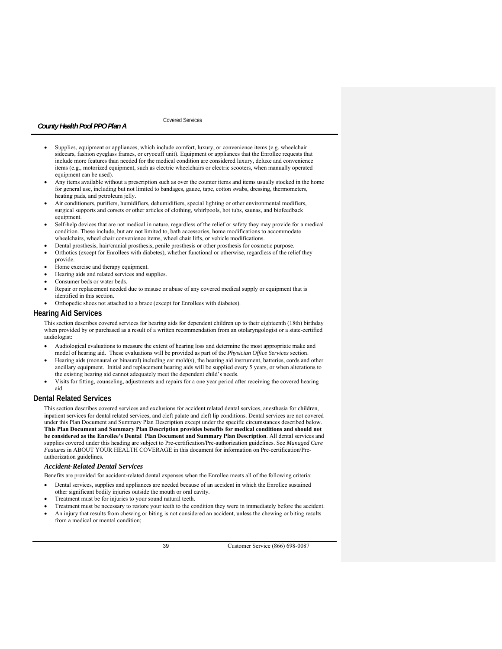# Covered Services

- Supplies, equipment or appliances, which include comfort, luxury, or convenience items (e.g. wheelchair sidecars, fashion eyeglass frames, or cryocuff unit). Equipment or appliances that the Enrollee requests that include more features than needed for the medical condition are considered luxury, deluxe and convenience items (e.g., motorized equipment, such as electric wheelchairs or electric scooters, when manually operated equipment can be used).
- Any items available without a prescription such as over the counter items and items usually stocked in the home for general use, including but not limited to bandages, gauze, tape, cotton swabs, dressing, thermometers, heating pads, and petroleum jelly.
- Air conditioners, purifiers, humidifiers, dehumidifiers, special lighting or other environmental modifiers, surgical supports and corsets or other articles of clothing, whirlpools, hot tubs, saunas, and biofeedback equipment.
- Self-help devices that are not medical in nature, regardless of the relief or safety they may provide for a medical condition. These include, but are not limited to, bath accessories, home modifications to accommodate wheelchairs, wheel chair convenience items, wheel chair lifts, or vehicle modifications.
- Dental prosthesis, hair/cranial prosthesis, penile prosthesis or other prosthesis for cosmetic purpose.
- Orthotics (except for Enrollees with diabetes), whether functional or otherwise, regardless of the relief they provide.
- Home exercise and therapy equipment.
- Hearing aids and related services and supplies.
- Consumer beds or water beds.
- Repair or replacement needed due to misuse or abuse of any covered medical supply or equipment that is identified in this section.
- Orthopedic shoes not attached to a brace (except for Enrollees with diabetes).

# **Hearing Aid Services**

This section describes covered services for hearing aids for dependent children up to their eighteenth (18th) birthday when provided by or purchased as a result of a written recommendation from an otolaryngologist or a state-certified audiologist:

- Audiological evaluations to measure the extent of hearing loss and determine the most appropriate make and model of hearing aid. These evaluations will be provided as part of the *Physician Office Services* section.
- Hearing aids (monaural or binaural) including ear mold(s), the hearing aid instrument, batteries, cords and other ancillary equipment. Initial and replacement hearing aids will be supplied every 5 years, or when alterations to the existing hearing aid cannot adequately meet the dependent child's needs.
- Visits for fitting, counseling, adjustments and repairs for a one year period after receiving the covered hearing aid.

# **Dental Related Services**

This section describes covered services and exclusions for accident related dental services, anesthesia for children, inpatient services for dental related services, and cleft palate and cleft lip conditions. Dental services are not covered under this Plan Document and Summary Plan Description except under the specific circumstances described below. **This Plan Document and Summary Plan Description provides benefits for medical conditions and should not be considered as the Enrollee's Dental Plan Document and Summary Plan Description**. All dental services and supplies covered under this heading are subject to Pre-certification/Pre-authorization guidelines. See *Managed Care Features* in ABOUT YOUR HEALTH COVERAGE in this document for information on Pre-certification/Preauthorization guidelines.

### *Accident-Related Dental Services*

Benefits are provided for accident-related dental expenses when the Enrollee meets all of the following criteria:

- Dental services, supplies and appliances are needed because of an accident in which the Enrollee sustained other significant bodily injuries outside the mouth or oral cavity.
- Treatment must be for injuries to your sound natural teeth.
- Treatment must be necessary to restore your teeth to the condition they were in immediately before the accident. An injury that results from chewing or biting is not considered an accident, unless the chewing or biting results from a medical or mental condition;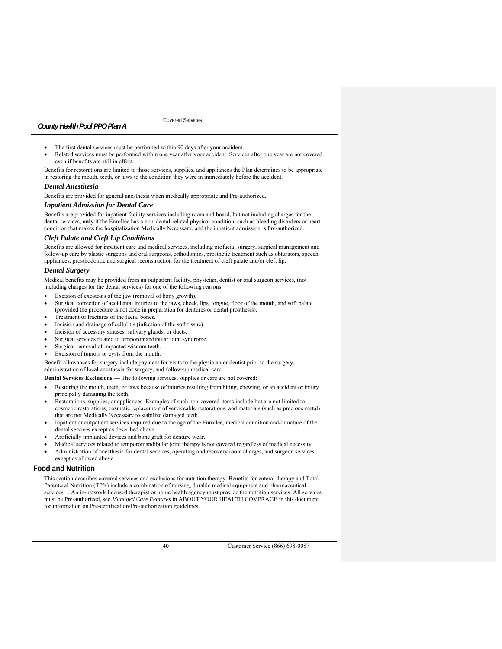Covered Services

- The first dental services must be performed within 90 days after your accident.
- Related services must be performed within one year after your accident. Services after one year are not covered even if benefits are still in effect.

Benefits for restorations are limited to those services, supplies, and appliances the Plan determines to be appropriate in restoring the mouth, teeth, or jaws to the condition they were in immediately before the accident.

### *Dental Anesthesia*

Benefits are provided for general anesthesia when medically appropriate and Pre-authorized.

### *Inpatient Admission for Dental Care*

Benefits are provided for inpatient facility services including room and board, but not including charges for the dental services, **only** if the Enrollee has a non-dental-related physical condition, such as bleeding disorders or heart condition that makes the hospitalization Medically Necessary, and the inpatient admission is Pre-authorized.

# *Cleft Palate and Cleft Lip Conditions*

Benefits are allowed for inpatient care and medical services, including orofacial surgery, surgical management and follow-up care by plastic surgeons and oral surgeons, orthodontics, prosthetic treatment such as obturators, speech appliances, prosthodontic and surgical reconstruction for the treatment of cleft palate and/or cleft lip.

## *Dental Surgery*

Medical benefits may be provided from an outpatient facility, physician, dentist or oral surgeon services, (not including charges for the dental services) for one of the following reasons:

- Excision of exostosis of the jaw (removal of bony growth).
- Surgical correction of accidental injuries to the jaws, cheek, lips, tongue, floor of the mouth, and soft palate (provided the procedure is not done in preparation for dentures or dental prosthesis).
- Treatment of fractures of the facial bones.
- Incision and drainage of cellulitis (infection of the soft tissue).
- Incision of accessory sinuses, salivary glands, or ducts.
- Surgical services related to temporomandibular joint syndrome.
- Surgical removal of impacted wisdom teeth.
- Excision of tumors or cysts from the mouth.

Benefit allowances for surgery include payment for visits to the physician or dentist prior to the surgery, administration of local anesthesia for surgery, and follow-up medical care.

**Dental Services Exclusions —** The following services, supplies or care are not covered:

- Restoring the mouth, teeth, or jaws because of injuries resulting from biting, chewing, or an accident or injury principally damaging the teeth.
- Restorations, supplies, or appliances. Examples of such non-covered items include but are not limited to: cosmetic restorations, cosmetic replacement of serviceable restorations, and materials (such as precious metal) that are not Medically Necessary to stabilize damaged teeth.
- Inpatient or outpatient services required due to the age of the Enrollee, medical condition and/or nature of the dental services except as described above.
- Artificially implanted devices and bone graft for denture wear.
- Medical services related to temporomandibular joint therapy is not covered regardless of medical necessity.
- Administration of anesthesia for dental services, operating and recovery room charges, and surgeon services except as allowed above.

### **Food and Nutrition**

This section describes covered services and exclusions for nutrition therapy. Benefits for enteral therapy and Total Parenteral Nutrition (TPN) include a combination of nursing, durable medical equipment and pharmaceutical services. . An in-network licensed therapist or home health agency must provide the nutrition services. All services must be Pre-authorized, see *Managed Care Features* in ABOUT YOUR HEALTH COVERAGE in this document for information on Pre-certification/Pre-authorization guidelines.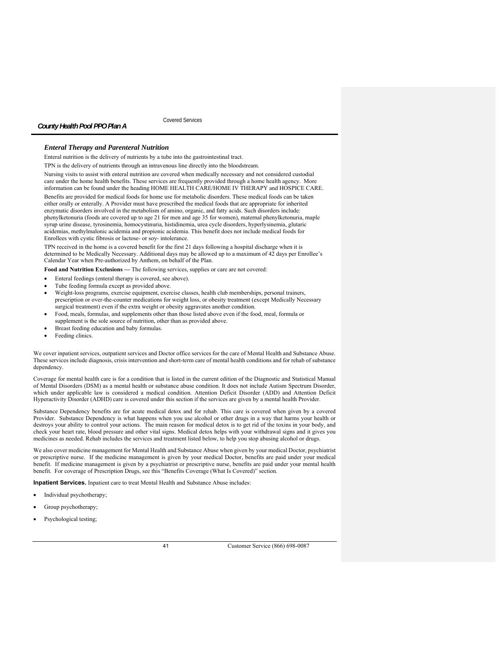Covered Services

### *Enteral Therapy and Parenteral Nutrition*

Enteral nutrition is the delivery of nutrients by a tube into the gastrointestinal tract.

TPN is the delivery of nutrients through an intravenous line directly into the bloodstream.

Nursing visits to assist with enteral nutrition are covered when medically necessary and not considered custodial care under the home health benefits. These services are frequently provided through a home health agency. More information can be found under the heading HOME HEALTH CARE/HOME IV THERAPY and HOSPICE CARE.

Benefits are provided for medical foods for home use for metabolic disorders. These medical foods can be taken either orally or enterally. A Provider must have prescribed the medical foods that are appropriate for inherited enzymatic disorders involved in the metabolism of amino, organic, and fatty acids. Such disorders include: phenylketonuria (foods are covered up to age 21 for men and age 35 for women), maternal phenylketonuria, maple syrup urine disease, tyrosinemia, homocystinuria, histidinemia, urea cycle disorders, hyperlysinemia, glutaric acidemias, methylmalonic acidemia and propionic acidemia. This benefit does not include medical foods for Enrollees with cystic fibrosis or lactose- or soy- intolerance.

TPN received in the home is a covered benefit for the first 21 days following a hospital discharge when it is determined to be Medically Necessary. Additional days may be allowed up to a maximum of 42 days per Enrollee's Calendar Year when Pre-authorized by Anthem, on behalf of the Plan.

**Food and Nutrition Exclusions —** The following services, supplies or care are not covered:

- Enteral feedings (enteral therapy is covered, see above).
- Tube feeding formula except as provided above.
- Weight-loss programs, exercise equipment, exercise classes, health club memberships, personal trainers, prescription or over-the-counter medications for weight loss, or obesity treatment (except Medically Necessary surgical treatment) even if the extra weight or obesity aggravates another condition.
- Food, meals, formulas, and supplements other than those listed above even if the food, meal, formula or supplement is the sole source of nutrition, other than as provided above.
- Breast feeding education and baby formulas.
- Feeding clinics.

We cover inpatient services, outpatient services and Doctor office services for the care of Mental Health and Substance Abuse. These services include diagnosis, crisis intervention and short-term care of mental health conditions and for rehab of substance dependency.

Coverage for mental health care is for a condition that is listed in the current edition of the Diagnostic and Statistical Manual of Mental Disorders (DSM) as a mental health or substance abuse condition. It does not include Autism Spectrum Disorder, which under applicable law is considered a medical condition. Attention Deficit Disorder (ADD) and Attention Deficit Hyperactivity Disorder (ADHD) care is covered under this section if the services are given by a mental health Provider.

Substance Dependency benefits are for acute medical detox and for rehab. This care is covered when given by a covered Provider. Substance Dependency is what happens when you use alcohol or other drugs in a way that harms your health or destroys your ability to control your actions. The main reason for medical detox is to get rid of the toxins in your body, and check your heart rate, blood pressure and other vital signs. Medical detox helps with your withdrawal signs and it gives you medicines as needed. Rehab includes the services and treatment listed below, to help you stop abusing alcohol or drugs.

We also cover medicine management for Mental Health and Substance Abuse when given by your medical Doctor, psychiatrist or prescriptive nurse. If the medicine management is given by your medical Doctor, benefits are paid under your medical benefit. If medicine management is given by a psychiatrist or prescriptive nurse, benefits are paid under your mental health benefit. For coverage of Prescription Drugs, see this "Benefits Coverage (What Is Covered)" section.

**Inpatient Services.** Inpatient care to treat Mental Health and Substance Abuse includes:

- Individual psychotherapy;
- Group psychotherapy;
- Psychological testing;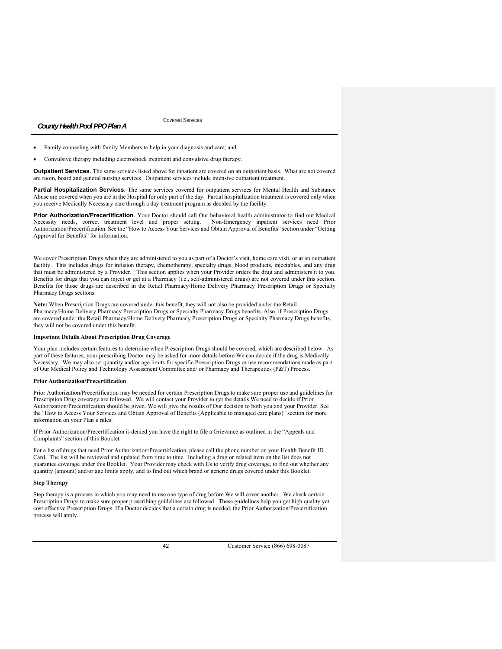Covered Services

- Family counseling with family Members to help in your diagnosis and care; and
- Convulsive therapy including electroshock treatment and convulsive drug therapy.

**Outpatient Services**. The same services listed above for inpatient are covered on an outpatient basis. What are not covered are room, board and general nursing services. Outpatient services include intensive outpatient treatment.

**Partial Hospitalization Services**. The same services covered for outpatient services for Mental Health and Substance Abuse are covered when you are in the Hospital for only part of the day. Partial hospitalization treatment is covered only when you receive Medically Necessary care through a day treatment program as decided by the facility.

**Prior Authorization/Precertification**. Your Doctor should call Our behavioral health administrator to find out Medical Necessity needs, correct treatment level and proper setting. Non-Emergency inpatient services need Prior Authorization/Precertification. See the "How to Access Your Services and Obtain Approval of Benefits" section under "Getting Approval for Benefits" for information.

We cover Prescription Drugs when they are administered to you as part of a Doctor's visit, home care visit, or at an outpatient facility. This includes drugs for infusion therapy, chemotherapy, specialty drugs, blood products, injectables, and any drug that must be administered by a Provider. This section applies when your Provider orders the drug and administers it to you. Benefits for drugs that you can inject or get at a Pharmacy (i.e., self-administered drugs) are not covered under this section. Benefits for those drugs are described in the Retail Pharmacy/Home Delivery Pharmacy Prescription Drugs or Specialty Pharmacy Drugs sections.

**Note:** When Prescription Drugs are covered under this benefit, they will not also be provided under the Retail Pharmacy/Home Delivery Pharmacy Prescription Drugs or Specialty Pharmacy Drugs benefits. Also, if Prescription Drugs are covered under the Retail Pharmacy/Home Delivery Pharmacy Prescription Drugs or Specialty Pharmacy Drugs benefits, they will not be covered under this benefit.

### **Important Details About Prescription Drug Coverage**

Your plan includes certain features to determine when Prescription Drugs should be covered, which are described below. As part of these features, your prescribing Doctor may be asked for more details before We can decide if the drug is Medically Necessary. We may also set quantity and/or age limits for specific Prescription Drugs or use recommendations made as part of Our Medical Policy and Technology Assessment Committee and/ or Pharmacy and Therapeutics (P&T) Process.

### **Prior Authorization/Precertification**

Prior Authorization/Precertification may be needed for certain Prescription Drugs to make sure proper use and guidelines for Prescription Drug coverage are followed. We will contact your Provider to get the details We need to decide if Prior Authorization/Precertification should be given. We will give the results of Our decision to both you and your Provider. See the "How to Access Your Services and Obtain Approval of Benefits (Applicable to managed care plans)" section for more information on your Plan's rules.

If Prior Authorization/Precertification is denied you have the right to file a Grievance as outlined in the "Appeals and Complaints" section of this Booklet.

For a list of drugs that need Prior Authorization/Precertification, please call the phone number on your Health Benefit ID Card. The list will be reviewed and updated from time to time. Including a drug or related item on the list does not guarantee coverage under this Booklet. Your Provider may check with Us to verify drug coverage, to find out whether any quantity (amount) and/or age limits apply, and to find out which brand or generic drugs covered under this Booklet.

### **Step Therapy**

Step therapy is a process in which you may need to use one type of drug before We will cover another. We check certain Prescription Drugs to make sure proper prescribing guidelines are followed. These guidelines help you get high quality yet cost effective Prescription Drugs. If a Doctor decides that a certain drug is needed, the Prior Authorization/Precertification process will apply.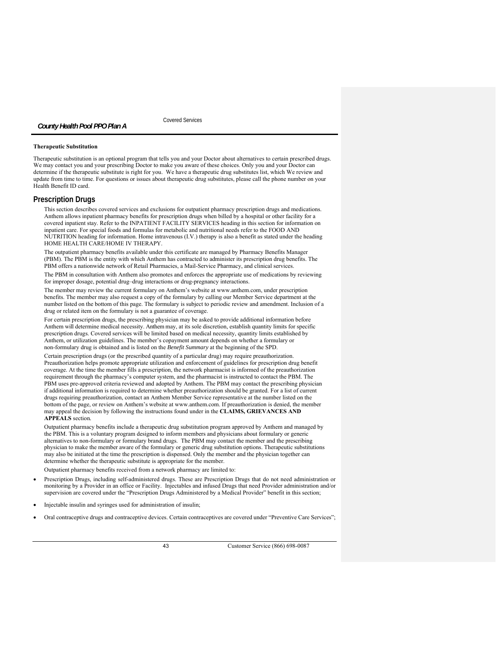Covered Services

# **Therapeutic Substitution**

*County Health Pool PPO Plan A* 

Therapeutic substitution is an optional program that tells you and your Doctor about alternatives to certain prescribed drugs. We may contact you and your prescribing Doctor to make you aware of these choices. Only you and your Doctor can determine if the therapeutic substitute is right for you. We have a therapeutic drug substitutes list, which We review and update from time to time. For questions or issues about therapeutic drug substitutes, please call the phone number on your Health Benefit ID card.

### **Prescription Drugs**

This section describes covered services and exclusions for outpatient pharmacy prescription drugs and medications. Anthem allows inpatient pharmacy benefits for prescription drugs when billed by a hospital or other facility for a covered inpatient stay. Refer to the INPATIENT FACILITY SERVICES heading in this section for information on inpatient care. For special foods and formulas for metabolic and nutritional needs refer to the FOOD AND NUTRITION heading for information. Home intravenous (I.V.) therapy is also a benefit as stated under the heading HOME HEALTH CARE/HOME IV THERAPY.

The outpatient pharmacy benefits available under this certificate are managed by Pharmacy Benefits Manager (PBM). The PBM is the entity with which Anthem has contracted to administer its prescription drug benefits. The PBM offers a nationwide network of Retail Pharmacies, a Mail-Service Pharmacy, and clinical services.

The PBM in consultation with Anthem also promotes and enforces the appropriate use of medications by reviewing for improper dosage, potential drug–drug interactions or drug-pregnancy interactions.

The member may review the current formulary on Anthem's website at www.anthem.com, under prescription benefits. The member may also request a copy of the formulary by calling our Member Service department at the number listed on the bottom of this page. The formulary is subject to periodic review and amendment. Inclusion of a drug or related item on the formulary is not a guarantee of coverage.

For certain prescription drugs, the prescribing physician may be asked to provide additional information before Anthem will determine medical necessity. Anthem may, at its sole discretion, establish quantity limits for specific prescription drugs. Covered services will be limited based on medical necessity, quantity limits established by Anthem, or utilization guidelines. The member's copayment amount depends on whether a formulary or non-formulary drug is obtained and is listed on the *Benefit Summary* at the beginning of the SPD.

Certain prescription drugs (or the prescribed quantity of a particular drug) may require preauthorization. Preauthorization helps promote appropriate utilization and enforcement of guidelines for prescription drug benefit coverage. At the time the member fills a prescription, the network pharmacist is informed of the preauthorization requirement through the pharmacy's computer system, and the pharmacist is instructed to contact the PBM. The PBM uses pre-approved criteria reviewed and adopted by Anthem. The PBM may contact the prescribing physician if additional information is required to determine whether preauthorization should be granted. For a list of current drugs requiring preauthorization, contact an Anthem Member Service representative at the number listed on the bottom of the page, or review on Anthem's website at www.anthem.com. If preauthorization is denied, the member may appeal the decision by following the instructions found under in the **CLAIMS, GRIEVANCES AND APPEALS** section*.*

Outpatient pharmacy benefits include a therapeutic drug substitution program approved by Anthem and managed by the PBM. This is a voluntary program designed to inform members and physicians about formulary or generic alternatives to non-formulary or formulary brand drugs. The PBM may contact the member and the prescribing physician to make the member aware of the formulary or generic drug substitution options. Therapeutic substitutions may also be initiated at the time the prescription is dispensed. Only the member and the physician together can determine whether the therapeutic substitute is appropriate for the member.

Outpatient pharmacy benefits received from a network pharmacy are limited to:

- Prescription Drugs, including self-administered drugs. These are Prescription Drugs that do not need administration or monitoring by a Provider in an office or Facility. Injectables and infused Drugs that need Provider administration and/or supervision are covered under the "Prescription Drugs Administered by a Medical Provider" benefit in this section;
- Injectable insulin and syringes used for administration of insulin;
- Oral contraceptive drugs and contraceptive devices. Certain contraceptives are covered under "Preventive Care Services";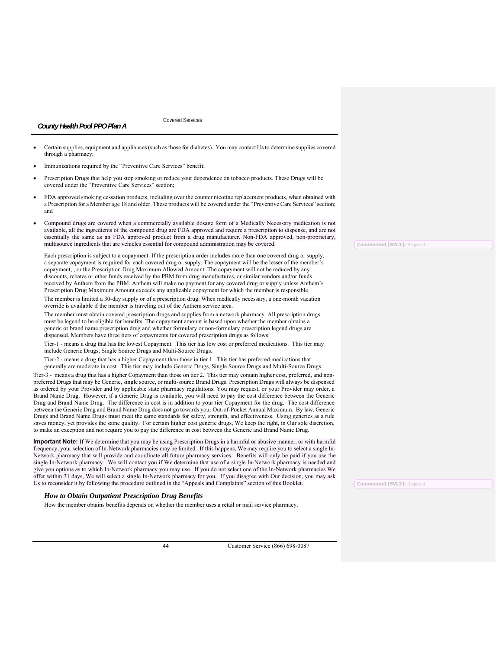Covered Services

| through a pharmacy;                                                                                                                                                                                                                                        |  |
|------------------------------------------------------------------------------------------------------------------------------------------------------------------------------------------------------------------------------------------------------------|--|
| Immunizations required by the "Preventive Care Services" benefit;                                                                                                                                                                                          |  |
| Prescription Drugs that help you stop smoking or reduce your dependence on tobacco products. These Drugs will be<br>covered under the "Preventive Care Services" section;                                                                                  |  |
| FDA approved smoking cessation products, including over the counter nicotine replacement products, when obtained with<br>a Prescription for a Member age 18 and older. These products will be covered under the "Preventive Care Services" section;<br>and |  |
| Compound drugs are covered when a commercially available dosage form of a Medically Necessary medication is not                                                                                                                                            |  |

Certain supplies, equipment and appliances (such as those for diabetes). You may contact Us to determine supplies covered

available, all the ingredients of the compound drug are FDA approved and require a prescription to dispense, and are not essentially the same as an FDA approved product from a drug manufacturer. Non-FDA approved, non-proprietary, multisource ingredients that are vehicles essential for compound administration may be covered.

Each prescription is subject to a copayment. If the prescription order includes more than one covered drug or supply, a separate copayment is required for each covered drug or supply. The copayment will be the lesser of the member's copayment, , or the Prescription Drug Maximum Allowed Amount. The copayment will not be reduced by any discounts, rebates or other funds received by the PBM from drug manufactures, or similar vendors and/or funds received by Anthem from the PBM. Anthem will make no payment for any covered drug or supply unless Anthem's Prescription Drug Maximum Amount exceeds any applicable copayment for which the member is responsible.

The member is limited a 30-day supply or of a prescription drug. When medically necessary, a one-month vacation override is available if the member is traveling out of the Anthem service area.

The member must obtain covered prescription drugs and supplies from a network pharmacy. All prescription drugs must be legend to be eligible for benefits. The copayment amount is based upon whether the member obtains a generic or brand name prescription drug and whether formulary or non-formulary prescription legend drugs are dispensed. Members have three tiers of copayments for covered prescription drugs as follows:

Tier-1 - means a drug that has the lowest Copayment. This tier has low cost or preferred medications. This tier may include Generic Drugs, Single Source Drugs and Multi-Source Drugs.

Tier-2 - means a drug that has a higher Copayment than those in tier 1. This tier has preferred medications that generally are moderate in cost. This tier may include Generic Drugs, Single Source Drugs and Multi-Source Drugs.

Tier-3 - means a drug that has a higher Copayment than those on tier 2. This tier may contain higher cost, preferred, and nonpreferred Drugs that may be Generic, single source, or multi-source Brand Drugs. Prescription Drugs will always be dispensed as ordered by your Provider and by applicable state pharmacy regulations. You may request, or your Provider may order, a Brand Name Drug. However, if a Generic Drug is available, you will need to pay the cost difference between the Generic Drug and Brand Name Drug. The difference in cost is in addition to your tier Copayment for the drug. The cost difference between the Generic Drug and Brand Name Drug does not go towards your Out-of-Pocket Annual Maximum. By law, Generic Drugs and Brand Name Drugs must meet the same standards for safety, strength, and effectiveness. Using generics as a rule saves money, yet provides the same quality. For certain higher cost generic drugs, We keep the right, in Our sole discretion, to make an exception and not require you to pay the difference in cost between the Generic and Brand Name Drug.

**Important Note:** If We determine that you may be using Prescription Drugs in a harmful or abusive manner, or with harmful frequency, your selection of In-Network pharmacies may be limited. If this happens, We may require you to select a single In-Network pharmacy that will provide and coordinate all future pharmacy services. Benefits will only be paid if you use the single In-Network pharmacy. We will contact you if We determine that use of a single In-Network pharmacy is needed and give you options as to which In-Network pharmacy you may use. If you do not select one of the In-Network pharmacies We offer within 31 days, We will select a single In-Network pharmacy for you. If you disagree with Our decision, you may ask Us to reconsider it by following the procedure outlined in the "Appeals and Complaints" section of this Booklet.

# *How to Obtain Outpatient Prescription Drug Benefits*

How the member obtains benefits depends on whether the member uses a retail or mail service pharmacy.

44 Customer Service (866) 698-0087

**Commented [SVL1]:** Required

**Commented [SVL2]:** Required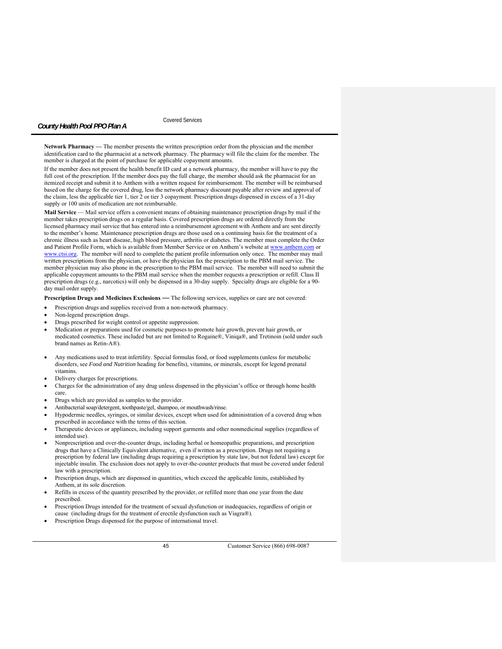Covered Services

**Network Pharmacy —** The member presents the written prescription order from the physician and the member identification card to the pharmacist at a network pharmacy. The pharmacy will file the claim for the member. The member is charged at the point of purchase for applicable copayment amounts.

If the member does not present the health benefit ID card at a network pharmacy, the member will have to pay the full cost of the prescription. If the member does pay the full charge, the member should ask the pharmacist for an itemized receipt and submit it to Anthem with a written request for reimbursement. The member will be reimbursed based on the charge for the covered drug, less the network pharmacy discount payable after review and approval of the claim, less the applicable tier 1, tier 2 or tier 3 copayment. Prescription drugs dispensed in excess of a 31-day supply or 100 units of medication are not reimbursable.

**Mail Service** — Mail service offers a convenient means of obtaining maintenance prescription drugs by mail if the member takes prescription drugs on a regular basis. Covered prescription drugs are ordered directly from the licensed pharmacy mail service that has entered into a reimbursement agreement with Anthem and are sent directly to the member's home. Maintenance prescription drugs are those used on a continuing basis for the treatment of a chronic illness such as heart disease, high blood pressure, arthritis or diabetes. The member must complete the Order and Patient Profile Form, which is available from Member Service or on Anthem's website at www.anthem.com or www.ctsi.org. The member will need to complete the patient profile information only once. The member may mail written prescriptions from the physician, or have the physician fax the prescription to the PBM mail service. The member physician may also phone in the prescription to the PBM mail service. The member will need to submit the applicable copayment amounts to the PBM mail service when the member requests a prescription or refill. Class II prescription drugs (e.g., narcotics) will only be dispensed in a 30-day supply. Specialty drugs are eligible for a 90 day mail order supply.

**Prescription Drugs and Medicines Exclusions** *—* The following services, supplies or care are not covered:

- Prescription drugs and supplies received from a non-network pharmacy.
- Non-legend prescription drugs.
- Drugs prescribed for weight control or appetite suppression.
- Medication or preparations used for cosmetic purposes to promote hair growth, prevent hair growth, or medicated cosmetics. These included but are not limited to Rogaine®, Viniqa®, and Tretinoin (sold under such brand names as Retin-A®).
- Any medications used to treat infertility. Special formulas food, or food supplements (unless for metabolic disorders, see *Food and Nutrition* heading for benefits), vitamins, or minerals, except for legend prenatal vitamins.
- Delivery charges for prescriptions.
- Charges for the administration of any drug unless dispensed in the physician's office or through home health care.
- Drugs which are provided as samples to the provider.
- Antibacterial soap/detergent, toothpaste/gel, shampoo, or mouthwash/rinse.
- Hypodermic needles, syringes, or similar devices, except when used for administration of a covered drug when prescribed in accordance with the terms of this section.
- Therapeutic devices or appliances, including support garments and other nonmedicinal supplies (regardless of intended use).
- Nonprescription and over-the-counter drugs, including herbal or homeopathic preparations, and prescription drugs that have a Clinically Equivalent alternative, even if written as a prescription. Drugs not requiring a prescription by federal law (including drugs requiring a prescription by state law, but not federal law) except for injectable insulin. The exclusion does not apply to over-the-counter products that must be covered under federal law with a prescription.
- Prescription drugs, which are dispensed in quantities, which exceed the applicable limits, established by Anthem, at its sole discretion.
- Refills in excess of the quantity prescribed by the provider, or refilled more than one year from the date prescribed.
- Prescription Drugs intended for the treatment of sexual dysfunction or inadequacies, regardless of origin or cause (including drugs for the treatment of erectile dysfunction such as Viagra®).
- Prescription Drugs dispensed for the purpose of international travel.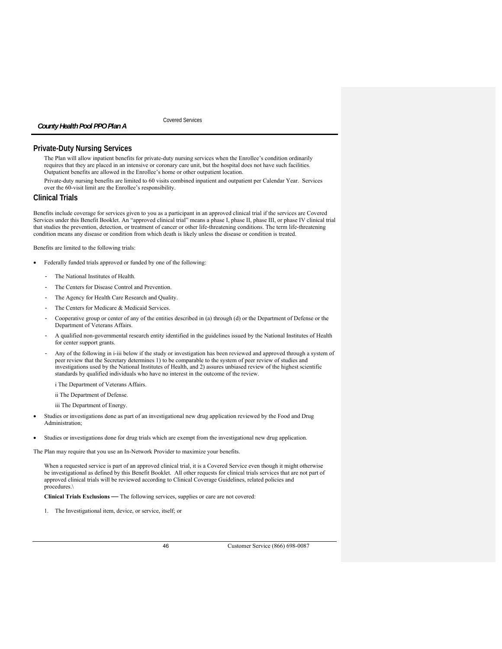Covered Services

# **Private-Duty Nursing Services**

The Plan will allow inpatient benefits for private-duty nursing services when the Enrollee's condition ordinarily requires that they are placed in an intensive or coronary care unit, but the hospital does not have such facilities. Outpatient benefits are allowed in the Enrollee's home or other outpatient location.

Private-duty nursing benefits are limited to 60 visits combined inpatient and outpatient per Calendar Year. Services over the 60-visit limit are the Enrollee's responsibility.

# **Clinical Trials**

Benefits include coverage for services given to you as a participant in an approved clinical trial if the services are Covered Services under this Benefit Booklet. An "approved clinical trial" means a phase I, phase II, phase III, or phase IV clinical trial that studies the prevention, detection, or treatment of cancer or other life-threatening conditions. The term life-threatening condition means any disease or condition from which death is likely unless the disease or condition is treated.

Benefits are limited to the following trials:

- Federally funded trials approved or funded by one of the following:
	- The National Institutes of Health.
	- The Centers for Disease Control and Prevention.
	- The Agency for Health Care Research and Quality.
	- The Centers for Medicare & Medicaid Services.
	- Cooperative group or center of any of the entities described in (a) through (d) or the Department of Defense or the Department of Veterans Affairs.
	- A qualified non-governmental research entity identified in the guidelines issued by the National Institutes of Health for center support grants.
	- Any of the following in i-iii below if the study or investigation has been reviewed and approved through a system of peer review that the Secretary determines 1) to be comparable to the system of peer review of studies and investigations used by the National Institutes of Health, and 2) assures unbiased review of the highest scientific standards by qualified individuals who have no interest in the outcome of the review.

i The Department of Veterans Affairs.

- ii The Department of Defense.
- iii The Department of Energy.
- Studies or investigations done as part of an investigational new drug application reviewed by the Food and Drug Administration;
- Studies or investigations done for drug trials which are exempt from the investigational new drug application.

The Plan may require that you use an In-Network Provider to maximize your benefits.

When a requested service is part of an approved clinical trial, it is a Covered Service even though it might otherwise be investigational as defined by this Benefit Booklet. All other requests for clinical trials services that are not part of approved clinical trials will be reviewed according to Clinical Coverage Guidelines, related policies and procedures.\

**Clinical Trials Exclusions** *—* The following services, supplies or care are not covered:

1. The Investigational item, device, or service, itself; or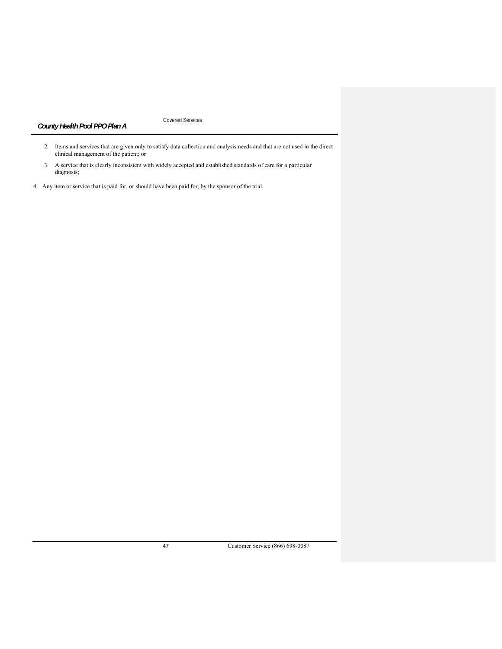Covered Services

- 2. Items and services that are given only to satisfy data collection and analysis needs and that are not used in the direct clinical management of the patient; or
- 3. A service that is clearly inconsistent with widely accepted and established standards of care for a particular diagnosis;
- 4. Any item or service that is paid for, or should have been paid for, by the sponsor of the trial.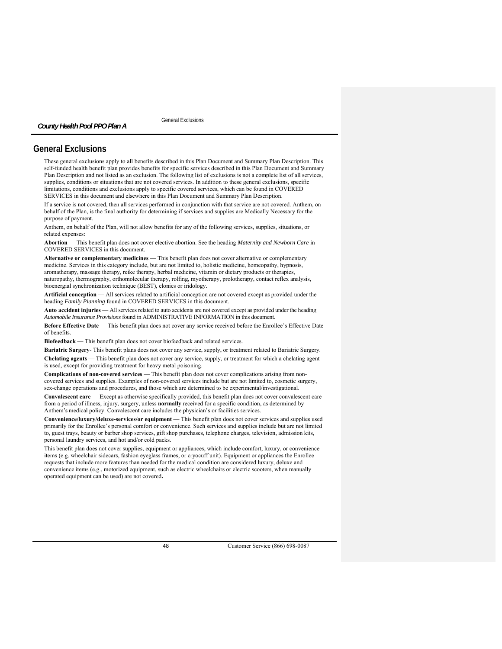General Exclusions

# **General Exclusions**

*County Health Pool PPO Plan A* 

These general exclusions apply to all benefits described in this Plan Document and Summary Plan Description. This self-funded health benefit plan provides benefits for specific services described in this Plan Document and Summary Plan Description and not listed as an exclusion. The following list of exclusions is not a complete list of all services, supplies, conditions or situations that are not covered services. In addition to these general exclusions, specific limitations, conditions and exclusions apply to specific covered services, which can be found in COVERED SERVICES in this document and elsewhere in this Plan Document and Summary Plan Description.

If a service is not covered, then all services performed in conjunction with that service are not covered. Anthem, on behalf of the Plan, is the final authority for determining if services and supplies are Medically Necessary for the purpose of payment.

Anthem, on behalf of the Plan, will not allow benefits for any of the following services, supplies, situations, or related expenses:

**Abortion** — This benefit plan does not cover elective abortion. See the heading *Maternity and Newborn Care* in COVERED SERVICES in this document.

**Alternative or complementary medicines** — This benefit plan does not cover alternative or complementary medicine. Services in this category include, but are not limited to, holistic medicine, homeopathy, hypnosis, aromatherapy, massage therapy, reike therapy, herbal medicine, vitamin or dietary products or therapies, naturopathy, thermography, orthomolecular therapy, rolfing, myotherapy, prolotherapy, contact reflex analysis, bioenergial synchronization technique (BEST), clonics or iridology.

**Artificial conception** — All services related to artificial conception are not covered except as provided under the heading *Family Planning* found in COVERED SERVICES in this document.

**Auto accident injuries** — All services related to auto accidents are not covered except as provided under the heading *Automobile Insurance Provisions* found in ADMINISTRATIVE INFORMATION in this document.

**Before Effective Date** — This benefit plan does not cover any service received before the Enrollee's Effective Date of benefits.

**Biofeedback** — This benefit plan does not cover biofeedback and related services.

**Bariatric Surgery**- This benefit plans does not cover any service, supply, or treatment related to Bariatric Surgery. **Chelating agents** — This benefit plan does not cover any service, supply, or treatment for which a chelating agent is used, except for providing treatment for heavy metal poisoning.

**Complications of non-covered services** — This benefit plan does not cover complications arising from noncovered services and supplies. Examples of non-covered services include but are not limited to, cosmetic surgery, sex-change operations and procedures, and those which are determined to be experimental/investigational.

**Convalescent care** — Except as otherwise specifically provided, this benefit plan does not cover convalescent care from a period of illness, injury, surgery, unless **normally** received for a specific condition, as determined by Anthem's medical policy. Convalescent care includes the physician's or facilities services.

**Convenience/luxury/deluxe-services/or equipment** — This benefit plan does not cover services and supplies used primarily for the Enrollee's personal comfort or convenience. Such services and supplies include but are not limited to, guest trays, beauty or barber shop services, gift shop purchases, telephone charges, television, admission kits, personal laundry services, and hot and/or cold packs.

This benefit plan does not cover supplies, equipment or appliances, which include comfort, luxury, or convenience items (e.g. wheelchair sidecars, fashion eyeglass frames, or cryocuff unit). Equipment or appliances the Enrollee requests that include more features than needed for the medical condition are considered luxury, deluxe and convenience items (e.g., motorized equipment, such as electric wheelchairs or electric scooters, when manually operated equipment can be used) are not covered**.**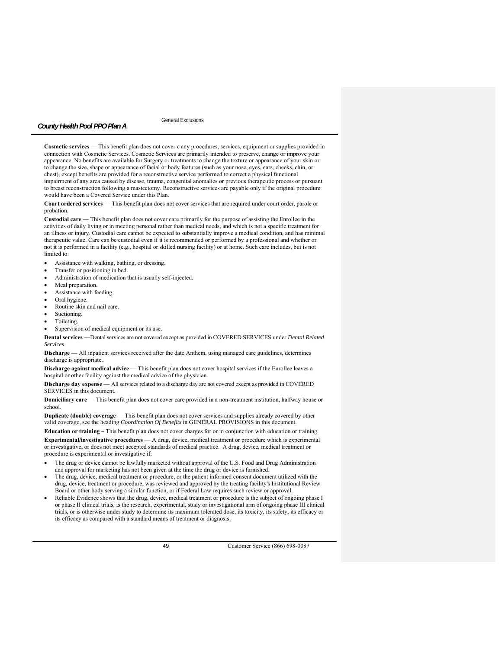General Exclusions

**Cosmetic services** — This benefit plan does not cover c any procedures, services, equipment or supplies provided in connection with Cosmetic Services. Cosmetic Services are primarily intended to preserve, change or improve your appearance. No benefits are available for Surgery or treatments to change the texture or appearance of your skin or to change the size, shape or appearance of facial or body features (such as your nose, eyes, ears, cheeks, chin, or chest), except benefits are provided for a reconstructive service performed to correct a physical functional impairment of any area caused by disease, trauma, congenital anomalies or previous therapeutic process or pursuant to breast reconstruction following a mastectomy. Reconstructive services are payable only if the original procedure would have been a Covered Service under this Plan.

**Court ordered services** — This benefit plan does not cover services that are required under court order, parole or probation.

**Custodial care** — This benefit plan does not cover care primarily for the purpose of assisting the Enrollee in the activities of daily living or in meeting personal rather than medical needs, and which is not a specific treatment for an illness or injury. Custodial care cannot be expected to substantially improve a medical condition, and has minimal therapeutic value. Care can be custodial even if it is recommended or performed by a professional and whether or not it is performed in a facility (e.g., hospital or skilled nursing facility) or at home. Such care includes, but is not limited to:

- Assistance with walking, bathing, or dressing.
- Transfer or positioning in bed.
- Administration of medication that is usually self-injected.
- Meal preparation.
- Assistance with feeding.
- Oral hygiene.
- Routine skin and nail care.
- Suctioning.
- Toileting.
- Supervision of medical equipment or its use.

**Dental services** —Dental services are not covered except as provided in COVERED SERVICES under *Dental Related Services*.

**Discharge —** All inpatient services received after the date Anthem, using managed care guidelines, determines discharge is appropriate.

**Discharge against medical advice** — This benefit plan does not cover hospital services if the Enrollee leaves a hospital or other facility against the medical advice of the physician.

**Discharge day expense** — All services related to a discharge day are not covered except as provided in COVERED SERVICES in this document.

**Domiciliary care** — This benefit plan does not cover care provided in a non-treatment institution, halfway house or school.

**Duplicate (double) coverage** — This benefit plan does not cover services and supplies already covered by other valid coverage, see the heading *Coordination Of Benefits* in GENERAL PROVISIONS in this document.

**Education or training –** This benefit plan does not cover charges for or in conjunction with education or training. **Experimental/investigative procedures** — A drug, device, medical treatment or procedure which is experimental or investigative, or does not meet accepted standards of medical practice. A drug, device, medical treatment or procedure is experimental or investigative if:

- The drug or device cannot be lawfully marketed without approval of the U.S. Food and Drug Administration and approval for marketing has not been given at the time the drug or device is furnished.
- The drug, device, medical treatment or procedure, or the patient informed consent document utilized with the drug, device, treatment or procedure, was reviewed and approved by the treating facility's Institutional Review Board or other body serving a similar function, or if Federal Law requires such review or approval.
- Reliable Evidence shows that the drug, device, medical treatment or procedure is the subject of ongoing phase I or phase II clinical trials, is the research, experimental, study or investigational arm of ongoing phase III clinical trials, or is otherwise under study to determine its maximum tolerated dose, its toxicity, its safety, its efficacy or its efficacy as compared with a standard means of treatment or diagnosis.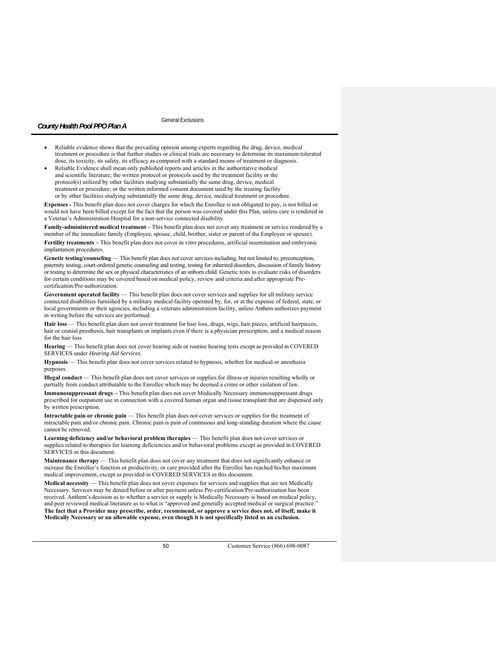General Exclusions

- Reliable evidence shows that the prevailing opinion among experts regarding the drug, device, medical treatment or procedure is that further studies or clinical trials are necessary to determine its maximum tolerated dose, its toxicity, its safety, its efficacy as compared with a standard means of treatment or diagnosis.
- Reliable Evidence shall mean only published reports and articles in the authoritative medical and scientific literature; the written protocol or protocols used by the treatment facility or the protocol(s) utilized by other facilities studying substantially the same drug, device, medical treatment or procedure; or the written informed consent document used by the treating facility or by other facilities studying substantially the same drug, device, medical treatment or procedure.

**Expenses -** This benefit plan does not cover charges for which the Enrollee is not obligated to pay, is not billed or would not have been billed except for the fact that the person was covered under this Plan, unless care is rendered in a Veteran's Administration Hospital for a non-service connected disability.

**Family-administered medical treatment –** This benefit plan does not cover any treatment or service rendered by a member of the immediate family (Employee, spouse, child, brother, sister or parent of the Employee or spouse). **Fertility treatments –** This benefit plan does not cover in vitro procedures, artificial insemination and embryonic implantation procedures.

Genetic testing/counseling — This benefit plan does not cover services including, but not limited to, preconception, paternity testing, court-ordered genetic counseling and testing, testing for inherited disorders, discussion of family history or testing to determine the sex or physical characteristics of an unborn child. Genetic tests to evaluate risks of disorders for certain conditions may be covered based on medical policy, review and criteria and after appropriate Precertification/Pre-authorization.

Government operated facility — This benefit plan does not cover services and supplies for all military service connected disabilities furnished by a military medical facility operated by, for, or at the expense of federal, state, or local governments or their agencies, including a veterans administration facility, unless Anthem authorizes payment in writing before the services are performed.

Hair loss — This benefit plan does not cover treatment for hair loss, drugs, wigs, hair pieces, artificial hairpieces, hair or cranial prosthesis, hair transplants or implants even if there is a physician prescription, and a medical reason for the hair loss.

**Hearing** — This benefit plan does not cover hearing aids or routine hearing tests except as provided in COVERED SERVICES under *Hearing Aid Services*.

**Hypnosis** — This benefit plan does not cover services related to hypnosis, whether for medical or anesthesia purposes.

**Illegal conduct** — This benefit plan does not cover services or supplies for illness or injuries resulting wholly or partially from conduct attributable to the Enrollee which may be deemed a crime or other violation of law.

**Immunosuppressant drugs –** This benefit plan does not cover Medically Necessary immunosuppressant drugs prescribed for outpatient use in connection with a covered human organ and tissue transplant that are dispensed only by written prescription.

**Intractable pain or chronic pain** — This benefit plan does not cover services or supplies for the treatment of intractable pain and/or chronic pain. Chronic pain is pain of continuous and long-standing duration where the cause cannot be removed.

**Learning deficiency and/or behavioral problem therapies** — This benefit plan does not cover services or supplies related to therapies for learning deficiencies and/or behavioral problems except as provided in COVERED SERVICES in this document.

**Maintenance therapy** — This benefit plan does not cover any treatment that does not significantly enhance or increase the Enrollee's function or productivity, or care provided after the Enrollee has reached his/her maximum medical improvement, except as provided in COVERED SERVICES in this document.

**Medical necessity** — This benefit plan does not cover expenses for services and supplies that are not Medically Necessary. Services may be denied before or after payment unless Pre-certification/Pre-authorization has been received. Anthem's decision as to whether a service or supply is Medically Necessary is based on medical policy, and peer reviewed medical literature as to what is "approved and generally accepted medical or surgical practice." **The fact that a Provider may prescribe, order, recommend, or approve a service does not, of itself, make it Medically Necessary or an allowable expense, even though it is not specifically listed as an exclusion.**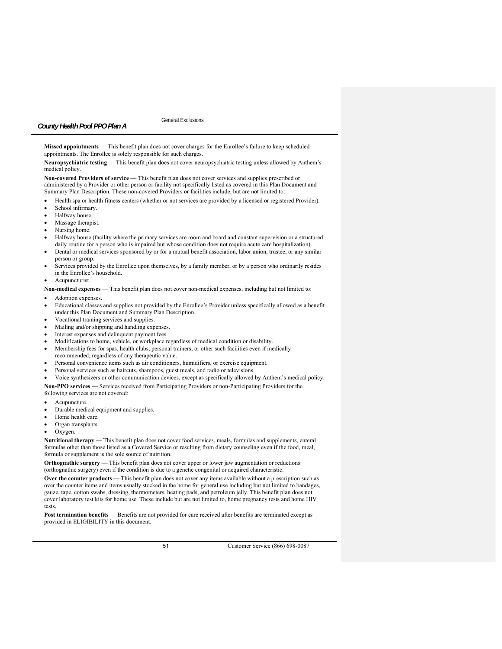**Missed appointments** — This benefit plan does not cover charges for the Enrollee's failure to keep scheduled appointments. The Enrollee is solely responsible for such charges.

**Neuropsychiatric testing** — This benefit plan does not cover neuropsychiatric testing unless allowed by Anthem's medical policy.

**Non-covered Providers of service** — This benefit plan does not cover services and supplies prescribed or administered by a Provider or other person or facility not specifically listed as covered in this Plan Document and Summary Plan Description. These non-covered Providers or facilities include, but are not limited to:

- Health spa or health fitness centers (whether or not services are provided by a licensed or registered Provider).
- School infirmary.
- Halfway house.
- Massage therapist.
- Nursing home.
- Halfway house (facility where the primary services are room and board and constant supervision or a structured daily routine for a person who is impaired but whose condition does not require acute care hospitalization).
- Dental or medical services sponsored by or for a mutual benefit association, labor union, trustee, or any similar person or group.
- Services provided by the Enrollee upon themselves, by a family member, or by a person who ordinarily resides in the Enrollee's household.
- Acupuncturist.

**Non-medical expenses** — This benefit plan does not cover non-medical expenses, including but not limited to:

- Adoption expenses.
- Educational classes and supplies not provided by the Enrollee's Provider unless specifically allowed as a benefit under this Plan Document and Summary Plan Description.
- Vocational training services and supplies.
- Mailing and/or shipping and handling expenses.
- Interest expenses and delinquent payment fees.
- Modifications to home, vehicle, or workplace regardless of medical condition or disability.
- Membership fees for spas, health clubs, personal trainers, or other such facilities even if medically
- recommended, regardless of any therapeutic value.
- Personal convenience items such as air conditioners, humidifiers, or exercise equipment.
- Personal services such as haircuts, shampoos, guest meals, and radio or televisions.
- Voice synthesizers or other communication devices, except as specifically allowed by Anthem's medical policy.
- **Non-PPO services**  Services received from Participating Providers or non-Participating Providers for the
- following services are not covered:
- Acupuncture.
- Durable medical equipment and supplies.
- Home health care.
- Organ transplants.
- Oxygen.

**Nutritional therapy** — This benefit plan does not cover food services, meals, formulas and supplements, enteral formulas other than those listed as a Covered Service or resulting from dietary counseling even if the food, meal, formula or supplement is the sole source of nutrition.

**Orthognathic surgery —** This benefit plan does not cover upper or lower jaw augmentation or reductions (orthognathic surgery) even if the condition is due to a genetic congenital or acquired characteristic.

**Over the counter products —** This benefit plan does not cover any items available without a prescription such as over the counter items and items usually stocked in the home for general use including but not limited to bandages, gauze, tape, cotton swabs, dressing, thermometers, heating pads, and petroleum jelly. This benefit plan does not cover laboratory test kits for home use. These include but are not limited to, home pregnancy tests and home HIV tests.

**Post termination benefits** — Benefits are not provided for care received after benefits are terminated except as provided in ELIGIBILITY in this document.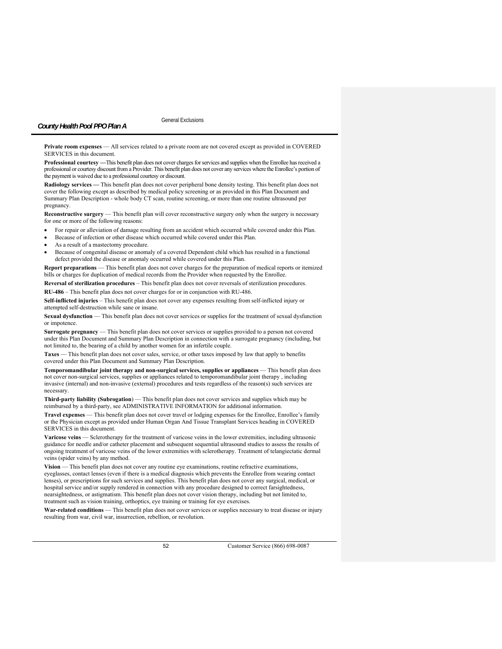General Exclusions

**Private room expenses** — All services related to a private room are not covered except as provided in COVERED SERVICES in this document.

**Professional courtesy —**This benefit plan does not cover charges for services and supplies when the Enrollee has received a professional or courtesy discount from a Provider. This benefit plan does not cover any services where the Enrollee's portion of the payment is waived due to a professional courtesy or discount.

**Radiology services —** This benefit plan does not cover peripheral bone density testing. This benefit plan does not cover the following except as described by medical policy screening or as provided in this Plan Document and Summary Plan Description - whole body CT scan, routine screening, or more than one routine ultrasound per pregnancy.

**Reconstructive surgery** — This benefit plan will cover reconstructive surgery only when the surgery is necessary for one or more of the following reasons:

- For repair or alleviation of damage resulting from an accident which occurred while covered under this Plan.
- Because of infection or other disease which occurred while covered under this Plan.
- As a result of a mastectomy procedure.
- Because of congenital disease or anomaly of a covered Dependent child which has resulted in a functional defect provided the disease or anomaly occurred while covered under this Plan.

**Report preparations** — This benefit plan does not cover charges for the preparation of medical reports or itemized bills or charges for duplication of medical records from the Provider when requested by the Enrollee.

**Reversal of sterilization procedures** – This benefit plan does not cover reversals of sterilization procedures. **RU-486** – This benefit plan does not cover charges for or in conjunction with RU-486.

**Self-inflicted injuries** – This benefit plan does not cover any expenses resulting from self-inflicted injury or attempted self-destruction while sane or insane.

**Sexual dysfunction** — This benefit plan does not cover services or supplies for the treatment of sexual dysfunction or impotence.

**Surrogate pregnancy** — This benefit plan does not cover services or supplies provided to a person not covered under this Plan Document and Summary Plan Description in connection with a surrogate pregnancy (including, but not limited to, the bearing of a child by another women for an infertile couple.

**Taxes** — This benefit plan does not cover sales, service, or other taxes imposed by law that apply to benefits covered under this Plan Document and Summary Plan Description.

**Temporomandibular joint therapy and non-surgical services, supplies or appliances** — This benefit plan does not cover non-surgical services, supplies or appliances related to temporomandibular joint therapy , including invasive (internal) and non-invasive (external) procedures and tests regardless of the reason(s) such services are necessary.

**Third-party liability (Subrogation**) — This benefit plan does not cover services and supplies which may be reimbursed by a third-party, see ADMINISTRATIVE INFORMATION for additional information.

**Travel expenses** — This benefit plan does not cover travel or lodging expenses for the Enrollee, Enrollee's family or the Physician except as provided under Human Organ And Tissue Transplant Services heading in COVERED SERVICES in this document.

**Varicose veins** — Sclerotherapy for the treatment of varicose veins in the lower extremities, including ultrasonic guidance for needle and/or catheter placement and subsequent sequential ultrasound studies to assess the results of ongoing treatment of varicose veins of the lower extremities with sclerotherapy. Treatment of telangiectatic dermal veins (spider veins) by any method.

Vision — This benefit plan does not cover any routine eye examinations, routine refractive examinations, eyeglasses, contact lenses (even if there is a medical diagnosis which prevents the Enrollee from wearing contact lenses), or prescriptions for such services and supplies. This benefit plan does not cover any surgical, medical, or hospital service and/or supply rendered in connection with any procedure designed to correct farsightedness, nearsightedness, or astigmatism. This benefit plan does not cover vision therapy, including but not limited to, treatment such as vision training, orthoptics, eye training or training for eye exercises.

War-related conditions — This benefit plan does not cover services or supplies necessary to treat disease or injury resulting from war, civil war, insurrection, rebellion, or revolution.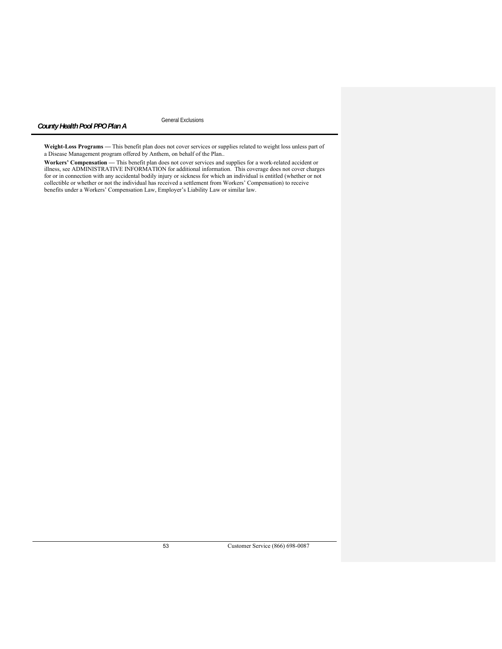General Exclusions

**Weight-Loss Programs —** This benefit plan does not cover services or supplies related to weight loss unless part of a Disease Management program offered by Anthem, on behalf of the Plan..

**Workers' Compensation —** This benefit plan does not cover services and supplies for a work-related accident or illness, see ADMINISTRATIVE INFORMATION for additional information. This coverage does not cover charges for or in connection with any accidental bodily injury or sickness for which an individual is entitled (whether or not collectible or whether or not the individual has received a settlement from Workers' Compensation) to receive benefits under a Workers' Compensation Law, Employer's Liability Law or similar law.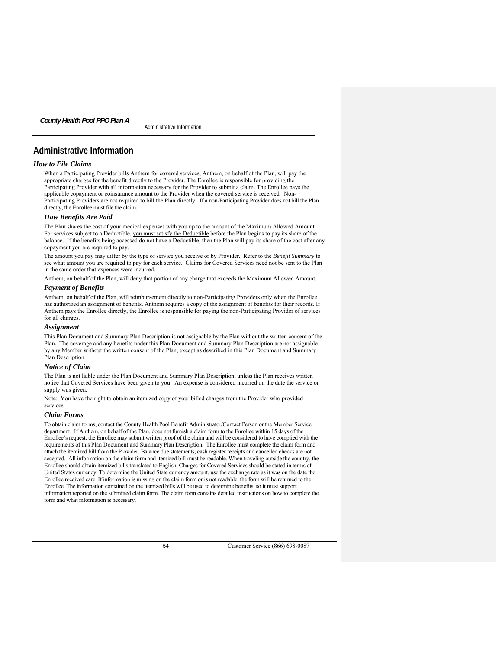Administrative Information *County Health Pool PPO Plan A* 

# **Administrative Information**

# *How to File Claims*

When a Participating Provider bills Anthem for covered services, Anthem, on behalf of the Plan, will pay the appropriate charges for the benefit directly to the Provider. The Enrollee is responsible for providing the Participating Provider with all information necessary for the Provider to submit a claim. The Enrollee pays the applicable copayment or coinsurance amount to the Provider when the covered service is received. Non-Participating Providers are not required to bill the Plan directly. If a non-Participating Provider does not bill the Plan directly, the Enrollee must file the claim.

### *How Benefits Are Paid*

The Plan shares the cost of your medical expenses with you up to the amount of the Maximum Allowed Amount. For services subject to a Deductible, you must satisfy the Deductible before the Plan begins to pay its share of the balance. If the benefits being accessed do not have a Deductible, then the Plan will pay its share of the cost after any copayment you are required to pay.

The amount you pay may differ by the type of service you receive or by Provider. Refer to the *Benefit Summary* to see what amount you are required to pay for each service. Claims for Covered Services need not be sent to the Plan in the same order that expenses were incurred.

Anthem, on behalf of the Plan, will deny that portion of any charge that exceeds the Maximum Allowed Amount.

# *Payment of Benefits*

Anthem, on behalf of the Plan, will reimbursement directly to non-Participating Providers only when the Enrollee has authorized an assignment of benefits. Anthem requires a copy of the assignment of benefits for their records. If Anthem pays the Enrollee directly, the Enrollee is responsible for paying the non-Participating Provider of services for all charges.

### *Assignment*

This Plan Document and Summary Plan Description is not assignable by the Plan without the written consent of the Plan. The coverage and any benefits under this Plan Document and Summary Plan Description are not assignable by any Member without the written consent of the Plan, except as described in this Plan Document and Summary Plan Description.

# *Notice of Claim*

The Plan is not liable under the Plan Document and Summary Plan Description, unless the Plan receives written notice that Covered Services have been given to you. An expense is considered incurred on the date the service or supply was given.

Note: You have the right to obtain an itemized copy of your billed charges from the Provider who provided services.

# *Claim Forms*

To obtain claim forms, contact the County Health Pool Benefit Administrator/Contact Person or the Member Service department. If Anthem, on behalf of the Plan, does not furnish a claim form to the Enrollee within 15 days of the Enrollee's request, the Enrollee may submit written proof of the claim and will be considered to have complied with the requirements of this Plan Document and Summary Plan Description.The Enrollee must complete the claim form and attach the itemized bill from the Provider. Balance due statements, cash register receipts and cancelled checks are not accepted. All information on the claim form and itemized bill must be readable. When traveling outside the country, the Enrollee should obtain itemized bills translated to English. Charges for Covered Services should be stated in terms of United States currency. To determine the United State currency amount, use the exchange rate as it was on the date the Enrollee received care. If information is missing on the claim form or is not readable, the form will be returned to the Enrollee. The information contained on the itemized bills will be used to determine benefits, so it must support information reported on the submitted claim form. The claim form contains detailed instructions on how to complete the form and what information is necessary.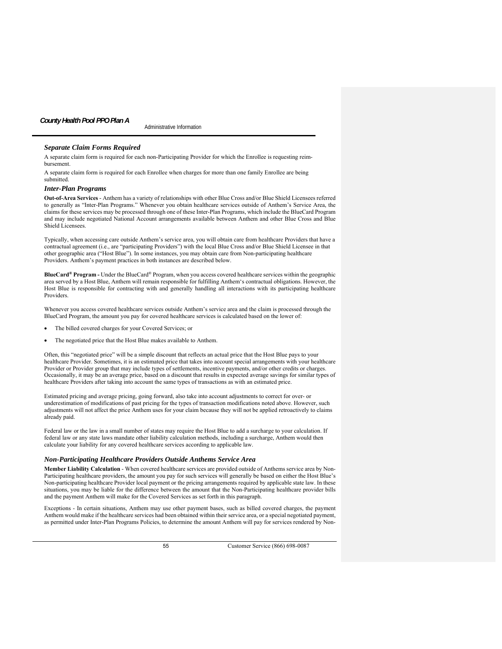# Administrative Information *County Health Pool PPO Plan A*

# *Separate Claim Forms Required*

A separate claim form is required for each non-Participating Provider for which the Enrollee is requesting reimbursement.

A separate claim form is required for each Enrollee when charges for more than one family Enrollee are being submitted.

### *Inter-Plan Programs*

**Out-of-Area Services** *-* Anthem has a variety of relationships with other Blue Cross and/or Blue Shield Licensees referred to generally as "Inter-Plan Programs." Whenever you obtain healthcare services outside of Anthem's Service Area, the claims for these services may be processed through one of these Inter-Plan Programs, which include the BlueCard Program and may include negotiated National Account arrangements available between Anthem and other Blue Cross and Blue Shield Licensees.

Typically, when accessing care outside Anthem's service area, you will obtain care from healthcare Providers that have a contractual agreement (i.e., are "participating Providers") with the local Blue Cross and/or Blue Shield Licensee in that other geographic area ("Host Blue"). In some instances, you may obtain care from Non-participating healthcare Providers. Anthem's payment practices in both instances are described below.

**BlueCard® Program -** Under the BlueCard® Program, when you access covered healthcare services within the geographic area served by a Host Blue, Anthem will remain responsible for fulfilling Anthem's contractual obligations. However, the Host Blue is responsible for contracting with and generally handling all interactions with its participating healthcare Providers.

Whenever you access covered healthcare services outside Anthem's service area and the claim is processed through the BlueCard Program, the amount you pay for covered healthcare services is calculated based on the lower of:

- The billed covered charges for your Covered Services; or
- The negotiated price that the Host Blue makes available to Anthem.

Often, this "negotiated price" will be a simple discount that reflects an actual price that the Host Blue pays to your healthcare Provider. Sometimes, it is an estimated price that takes into account special arrangements with your healthcare Provider or Provider group that may include types of settlements, incentive payments, and/or other credits or charges. Occasionally, it may be an average price, based on a discount that results in expected average savings for similar types of healthcare Providers after taking into account the same types of transactions as with an estimated price.

Estimated pricing and average pricing, going forward, also take into account adjustments to correct for over- or underestimation of modifications of past pricing for the types of transaction modifications noted above. However, such adjustments will not affect the price Anthem uses for your claim because they will not be applied retroactively to claims already paid.

Federal law or the law in a small number of states may require the Host Blue to add a surcharge to your calculation. If federal law or any state laws mandate other liability calculation methods, including a surcharge, Anthem would then calculate your liability for any covered healthcare services according to applicable law.

### *Non-Participating Healthcare Providers Outside Anthems Service Area*

**Member Liability Calculation** - When covered healthcare services are provided outside of Anthems service area by Non-Participating healthcare providers, the amount you pay for such services will generally be based on either the Host Blue's Non-participating healthcare Provider local payment or the pricing arrangements required by applicable state law. In these situations, you may be liable for the difference between the amount that the Non-Participating healthcare provider bills and the payment Anthem will make for the Covered Services as set forth in this paragraph.

Exceptions - In certain situations, Anthem may use other payment bases, such as billed covered charges, the payment Anthem would make if the healthcare services had been obtained within their service area, or a special negotiated payment, as permitted under Inter-Plan Programs Policies, to determine the amount Anthem will pay for services rendered by Non-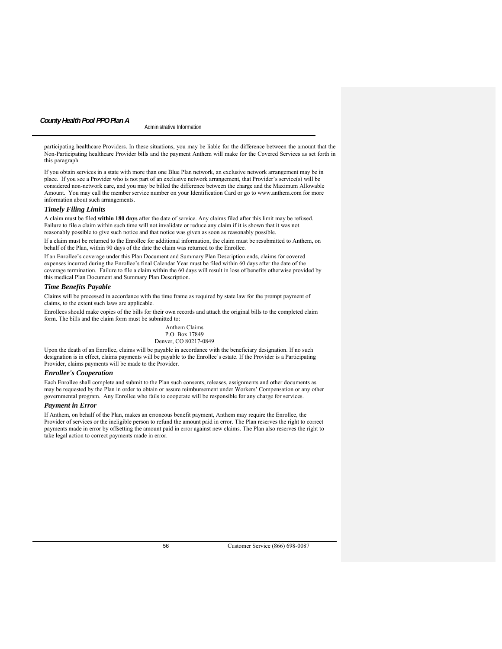# Administrative Information *County Health Pool PPO Plan A*

participating healthcare Providers. In these situations, you may be liable for the difference between the amount that the Non-Participating healthcare Provider bills and the payment Anthem will make for the Covered Services as set forth in this paragraph.

If you obtain services in a state with more than one Blue Plan network, an exclusive network arrangement may be in place. If you see a Provider who is not part of an exclusive network arrangement, that Provider's service(s) will be considered non-network care, and you may be billed the difference between the charge and the Maximum Allowable Amount. You may call the member service number on your Identification Card or go to www.anthem.com for more information about such arrangements.

### *Timely Filing Limits*

A claim must be filed **within 180 days** after the date of service. Any claims filed after this limit may be refused. Failure to file a claim within such time will not invalidate or reduce any claim if it is shown that it was not reasonably possible to give such notice and that notice was given as soon as reasonably possible.

If a claim must be returned to the Enrollee for additional information, the claim must be resubmitted to Anthem, on behalf of the Plan, within 90 days of the date the claim was returned to the Enrollee.

If an Enrollee's coverage under this Plan Document and Summary Plan Description ends, claims for covered expenses incurred during the Enrollee's final Calendar Year must be filed within 60 days after the date of the coverage termination. Failure to file a claim within the 60 days will result in loss of benefits otherwise provided by this medical Plan Document and Summary Plan Description.

# *Time Benefits Payable*

Claims will be processed in accordance with the time frame as required by state law for the prompt payment of claims, to the extent such laws are applicable.

Enrollees should make copies of the bills for their own records and attach the original bills to the completed claim form. The bills and the claim form must be submitted to:

> Anthem Claims P.O. Box 17849 Denver, CO 80217-0849

Upon the death of an Enrollee, claims will be payable in accordance with the beneficiary designation. If no such designation is in effect, claims payments will be payable to the Enrollee's estate. If the Provider is a Participating Provider, claims payments will be made to the Provider.

# *Enrollee's Cooperation*

Each Enrollee shall complete and submit to the Plan such consents, releases, assignments and other documents as may be requested by the Plan in order to obtain or assure reimbursement under Workers' Compensation or any other governmental program. Any Enrollee who fails to cooperate will be responsible for any charge for services.

# *Payment in Error*

If Anthem, on behalf of the Plan, makes an erroneous benefit payment, Anthem may require the Enrollee, the Provider of services or the ineligible person to refund the amount paid in error. The Plan reserves the right to correct payments made in error by offsetting the amount paid in error against new claims. The Plan also reserves the right to take legal action to correct payments made in error.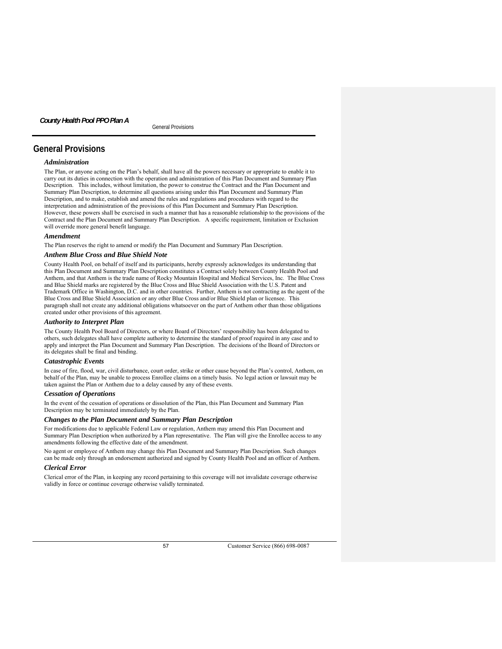# **General Provisions**

### *Administration*

The Plan, or anyone acting on the Plan's behalf, shall have all the powers necessary or appropriate to enable it to carry out its duties in connection with the operation and administration of this Plan Document and Summary Plan Description. This includes, without limitation, the power to construe the Contract and the Plan Document and Summary Plan Description, to determine all questions arising under this Plan Document and Summary Plan Description, and to make, establish and amend the rules and regulations and procedures with regard to the interpretation and administration of the provisions of this Plan Document and Summary Plan Description. However, these powers shall be exercised in such a manner that has a reasonable relationship to the provisions of the Contract and the Plan Document and Summary Plan Description. A specific requirement, limitation or Exclusion will override more general benefit language.

# *Amendment*

The Plan reserves the right to amend or modify the Plan Document and Summary Plan Description.

# *Anthem Blue Cross and Blue Shield Note*

County Health Pool, on behalf of itself and its participants, hereby expressly acknowledges its understanding that this Plan Document and Summary Plan Description constitutes a Contract solely between County Health Pool and Anthem, and that Anthem is the trade name of Rocky Mountain Hospital and Medical Services, Inc. The Blue Cross and Blue Shield marks are registered by the Blue Cross and Blue Shield Association with the U.S. Patent and Trademark Office in Washington, D.C. and in other countries. Further, Anthem is not contracting as the agent of the Blue Cross and Blue Shield Association or any other Blue Cross and/or Blue Shield plan or licensee. This paragraph shall not create any additional obligations whatsoever on the part of Anthem other than those obligations created under other provisions of this agreement.

### *Authority to Interpret Plan*

The County Health Pool Board of Directors, or where Board of Directors' responsibility has been delegated to others, such delegates shall have complete authority to determine the standard of proof required in any case and to apply and interpret the Plan Document and Summary Plan Description. The decisions of the Board of Directors or its delegates shall be final and binding.

## *Catastrophic Events*

In case of fire, flood, war, civil disturbance, court order, strike or other cause beyond the Plan's control, Anthem, on behalf of the Plan, may be unable to process Enrollee claims on a timely basis. No legal action or lawsuit may be taken against the Plan or Anthem due to a delay caused by any of these events.

### *Cessation of Operations*

In the event of the cessation of operations or dissolution of the Plan, this Plan Document and Summary Plan Description may be terminated immediately by the Plan.

### *Changes to the Plan Document and Summary Plan Description*

For modifications due to applicable Federal Law or regulation, Anthem may amend this Plan Document and Summary Plan Description when authorized by a Plan representative. The Plan will give the Enrollee access to any amendments following the effective date of the amendment.

No agent or employee of Anthem may change this Plan Document and Summary Plan Description. Such changes can be made only through an endorsement authorized and signed by County Health Pool and an officer of Anthem.

# *Clerical Error*

Clerical error of the Plan, in keeping any record pertaining to this coverage will not invalidate coverage otherwise validly in force or continue coverage otherwise validly terminated.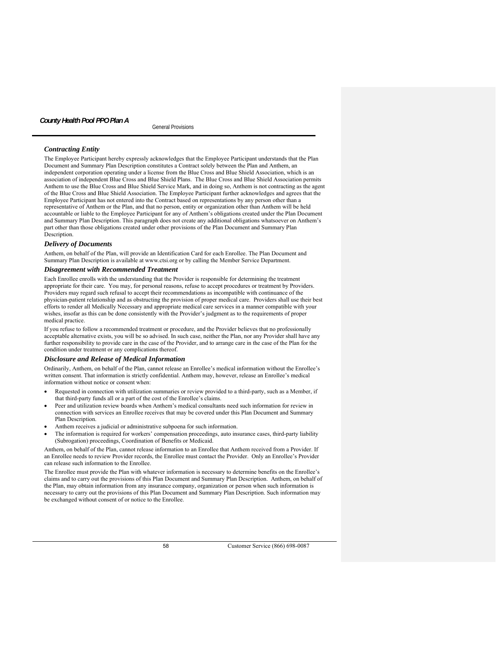## *Contracting Entity*

The Employee Participant hereby expressly acknowledges that the Employee Participant understands that the Plan Document and Summary Plan Description constitutes a Contract solely between the Plan and Anthem, an independent corporation operating under a license from the Blue Cross and Blue Shield Association, which is an association of independent Blue Cross and Blue Shield Plans. The Blue Cross and Blue Shield Association permits Anthem to use the Blue Cross and Blue Shield Service Mark, and in doing so, Anthem is not contracting as the agent of the Blue Cross and Blue Shield Association. The Employee Participant further acknowledges and agrees that the Employee Participant has not entered into the Contract based on representations by any person other than a representative of Anthem or the Plan, and that no person, entity or organization other than Anthem will be held accountable or liable to the Employee Participant for any of Anthem's obligations created under the Plan Document and Summary Plan Description. This paragraph does not create any additional obligations whatsoever on Anthem's part other than those obligations created under other provisions of the Plan Document and Summary Plan Description.

### *Delivery of Documents*

Anthem, on behalf of the Plan, will provide an Identification Card for each Enrollee. The Plan Document and Summary Plan Description is available at www.ctsi.org or by calling the Member Service Department.

## *Disagreement with Recommended Treatment*

Each Enrollee enrolls with the understanding that the Provider is responsible for determining the treatment appropriate for their care. You may, for personal reasons, refuse to accept procedures or treatment by Providers. Providers may regard such refusal to accept their recommendations as incompatible with continuance of the physician-patient relationship and as obstructing the provision of proper medical care. Providers shall use their best efforts to render all Medically Necessary and appropriate medical care services in a manner compatible with your wishes, insofar as this can be done consistently with the Provider's judgment as to the requirements of proper medical practice.

If you refuse to follow a recommended treatment or procedure, and the Provider believes that no professionally acceptable alternative exists, you will be so advised. In such case, neither the Plan, nor any Provider shall have any further responsibility to provide care in the case of the Provider, and to arrange care in the case of the Plan for the condition under treatment or any complications thereof.

### *Disclosure and Release of Medical Information*

Ordinarily, Anthem, on behalf of the Plan, cannot release an Enrollee's medical information without the Enrollee's written consent. That information is strictly confidential. Anthem may, however, release an Enrollee's medical information without notice or consent when:

- Requested in connection with utilization summaries or review provided to a third-party, such as a Member, if that third-party funds all or a part of the cost of the Enrollee's claims.
- Peer and utilization review boards when Anthem's medical consultants need such information for review in connection with services an Enrollee receives that may be covered under this Plan Document and Summary Plan Description.
- Anthem receives a judicial or administrative subpoena for such information.
- The information is required for workers' compensation proceedings, auto insurance cases, third-party liability (Subrogation) proceedings, Coordination of Benefits or Medicaid.

Anthem, on behalf of the Plan, cannot release information to an Enrollee that Anthem received from a Provider. If an Enrollee needs to review Provider records, the Enrollee must contact the Provider. Only an Enrollee's Provider can release such information to the Enrollee.

The Enrollee must provide the Plan with whatever information is necessary to determine benefits on the Enrollee's claims and to carry out the provisions of this Plan Document and Summary Plan Description. Anthem, on behalf of the Plan, may obtain information from any insurance company, organization or person when such information is necessary to carry out the provisions of this Plan Document and Summary Plan Description. Such information may be exchanged without consent of or notice to the Enrollee.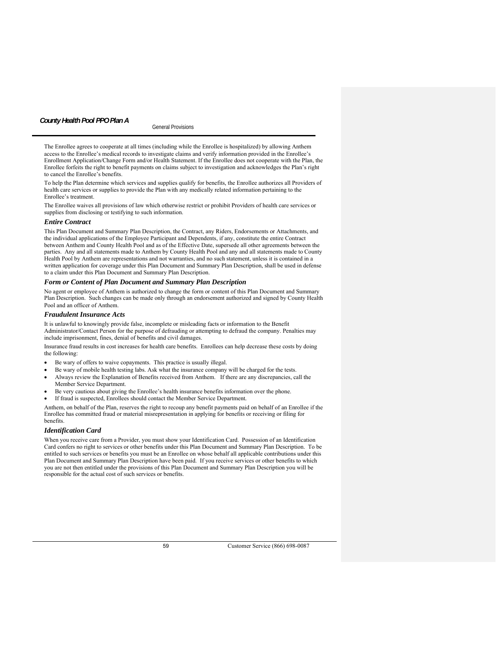The Enrollee agrees to cooperate at all times (including while the Enrollee is hospitalized) by allowing Anthem access to the Enrollee's medical records to investigate claims and verify information provided in the Enrollee's Enrollment Application/Change Form and/or Health Statement. If the Enrollee does not cooperate with the Plan, the Enrollee forfeits the right to benefit payments on claims subject to investigation and acknowledges the Plan's right to cancel the Enrollee's benefits.

To help the Plan determine which services and supplies qualify for benefits, the Enrollee authorizes all Providers of health care services or supplies to provide the Plan with any medically related information pertaining to the Enrollee's treatment.

The Enrollee waives all provisions of law which otherwise restrict or prohibit Providers of health care services or supplies from disclosing or testifying to such information.

### *Entire Contract*

This Plan Document and Summary Plan Description, the Contract, any Riders, Endorsements or Attachments, and the individual applications of the Employee Participant and Dependents, if any, constitute the entire Contract between Anthem and County Health Pool and as of the Effective Date, supersede all other agreements between the parties. Any and all statements made to Anthem by County Health Pool and any and all statements made to County Health Pool by Anthem are representations and not warranties, and no such statement, unless it is contained in a written application for coverage under this Plan Document and Summary Plan Description, shall be used in defense to a claim under this Plan Document and Summary Plan Description.

# *Form or Content of Plan Document and Summary Plan Description*

No agent or employee of Anthem is authorized to change the form or content of this Plan Document and Summary Plan Description. Such changes can be made only through an endorsement authorized and signed by County Health Pool and an officer of Anthem.

### *Fraudulent Insurance Acts*

It is unlawful to knowingly provide false, incomplete or misleading facts or information to the Benefit Administrator/Contact Person for the purpose of defrauding or attempting to defraud the company. Penalties may include imprisonment, fines, denial of benefits and civil damages.

Insurance fraud results in cost increases for health care benefits. Enrollees can help decrease these costs by doing the following:

- Be wary of offers to waive copayments. This practice is usually illegal.
- Be wary of mobile health testing labs. Ask what the insurance company will be charged for the tests. Always review the Explanation of Benefits received from Anthem. If there are any discrepancies, call the Member Service Department.
- Be very cautious about giving the Enrollee's health insurance benefits information over the phone.
- If fraud is suspected, Enrollees should contact the Member Service Department*.*

Anthem, on behalf of the Plan, reserves the right to recoup any benefit payments paid on behalf of an Enrollee if the Enrollee has committed fraud or material misrepresentation in applying for benefits or receiving or filing for benefits.

### *Identification Card*

When you receive care from a Provider, you must show your Identification Card. Possession of an Identification Card confers no right to services or other benefits under this Plan Document and Summary Plan Description. To be entitled to such services or benefits you must be an Enrollee on whose behalf all applicable contributions under this Plan Document and Summary Plan Description have been paid. If you receive services or other benefits to which you are not then entitled under the provisions of this Plan Document and Summary Plan Description you will be responsible for the actual cost of such services or benefits.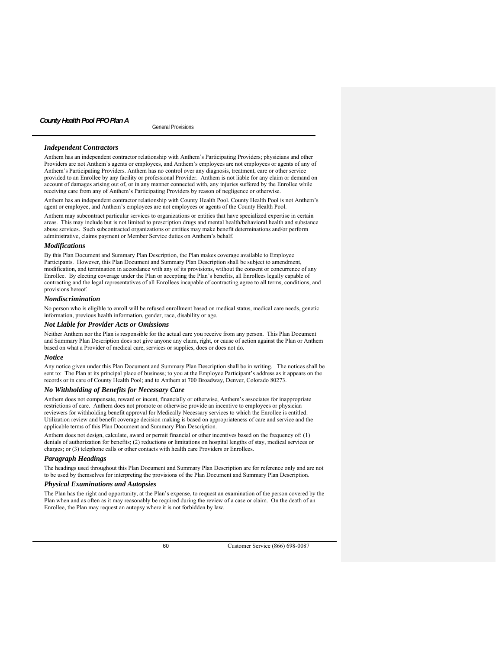# *Independent Contractors*

Anthem has an independent contractor relationship with Anthem's Participating Providers; physicians and other Providers are not Anthem's agents or employees, and Anthem's employees are not employees or agents of any of Anthem's Participating Providers. Anthem has no control over any diagnosis, treatment, care or other service provided to an Enrollee by any facility or professional Provider. Anthem is not liable for any claim or demand on account of damages arising out of, or in any manner connected with, any injuries suffered by the Enrollee while receiving care from any of Anthem's Participating Providers by reason of negligence or otherwise.

Anthem has an independent contractor relationship with County Health Pool. County Health Pool is not Anthem's agent or employee, and Anthem's employees are not employees or agents of the County Health Pool.

Anthem may subcontract particular services to organizations or entities that have specialized expertise in certain areas. This may include but is not limited to prescription drugs and mental health/behavioral health and substance abuse services. Such subcontracted organizations or entities may make benefit determinations and/or perform administrative, claims payment or Member Service duties on Anthem's behalf.

### *Modifications*

By this Plan Document and Summary Plan Description, the Plan makes coverage available to Employee Participants. However, this Plan Document and Summary Plan Description shall be subject to amendment, modification, and termination in accordance with any of its provisions, without the consent or concurrence of any Enrollee. By electing coverage under the Plan or accepting the Plan's benefits, all Enrollees legally capable of contracting and the legal representatives of all Enrollees incapable of contracting agree to all terms, conditions, and provisions hereof.

# *Nondiscrimination*

No person who is eligible to enroll will be refused enrollment based on medical status, medical care needs, genetic information, previous health information, gender, race, disability or age.

### *Not Liable for Provider Acts or Omissions*

Neither Anthem nor the Plan is responsible for the actual care you receive from any person. This Plan Document and Summary Plan Description does not give anyone any claim, right, or cause of action against the Plan or Anthem based on what a Provider of medical care, services or supplies, does or does not do.

#### *Notice*

Any notice given under this Plan Document and Summary Plan Description shall be in writing. The notices shall be sent to: The Plan at its principal place of business; to you at the Employee Participant's address as it appears on the records or in care of County Health Pool; and to Anthem at 700 Broadway, Denver, Colorado 80273.

### *No Withholding of Benefits for Necessary Care*

Anthem does not compensate, reward or incent, financially or otherwise, Anthem's associates for inappropriate restrictions of care. Anthem does not promote or otherwise provide an incentive to employees or physician reviewers for withholding benefit approval for Medically Necessary services to which the Enrollee is entitled. Utilization review and benefit coverage decision making is based on appropriateness of care and service and the applicable terms of this Plan Document and Summary Plan Description.

Anthem does not design, calculate, award or permit financial or other incentives based on the frequency of: (1) denials of authorization for benefits; (2) reductions or limitations on hospital lengths of stay, medical services or charges; or (3) telephone calls or other contacts with health care Providers or Enrollees.

# *Paragraph Headings*

The headings used throughout this Plan Document and Summary Plan Description are for reference only and are not to be used by themselves for interpreting the provisions of the Plan Document and Summary Plan Description.

### *Physical Examinations and Autopsies*

The Plan has the right and opportunity, at the Plan's expense, to request an examination of the person covered by the Plan when and as often as it may reasonably be required during the review of a case or claim. On the death of an Enrollee, the Plan may request an autopsy where it is not forbidden by law.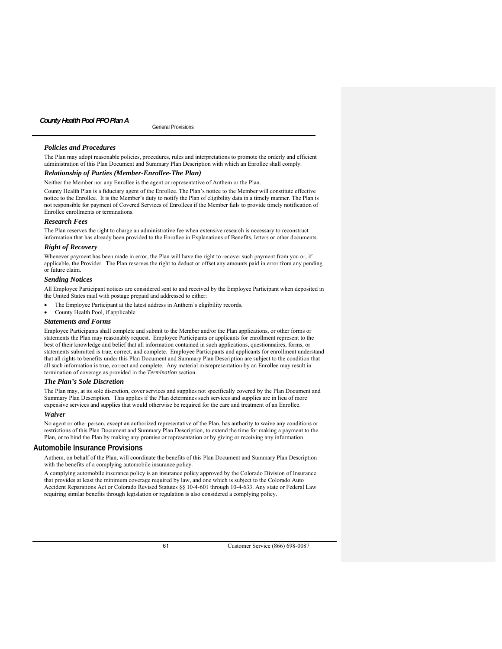# *Policies and Procedures*

The Plan may adopt reasonable policies, procedures, rules and interpretations to promote the orderly and efficient administration of this Plan Document and Summary Plan Description with which an Enrollee shall comply.

# *Relationship of Parties (Member-Enrollee-The Plan)*

Neither the Member nor any Enrollee is the agent or representative of Anthem or the Plan.

County Health Plan is a fiduciary agent of the Enrollee. The Plan's notice to the Member will constitute effective notice to the Enrollee. It is the Member's duty to notify the Plan of eligibility data in a timely manner. The Plan is not responsible for payment of Covered Services of Enrollees if the Member fails to provide timely notification of Enrollee enrollments or terminations.

### *Research Fees*

The Plan reserves the right to charge an administrative fee when extensive research is necessary to reconstruct information that has already been provided to the Enrollee in Explanations of Benefits, letters or other documents.

### *Right of Recovery*

Whenever payment has been made in error, the Plan will have the right to recover such payment from you or, if applicable, the Provider. The Plan reserves the right to deduct or offset any amounts paid in error from any pending or future claim.

### *Sending Notices*

All Employee Participant notices are considered sent to and received by the Employee Participant when deposited in the United States mail with postage prepaid and addressed to either:

- The Employee Participant at the latest address in Anthem's eligibility records.
- County Health Pool, if applicable.

#### *Statements and Forms*

Employee Participants shall complete and submit to the Member and/or the Plan applications, or other forms or statements the Plan may reasonably request. Employee Participants or applicants for enrollment represent to the best of their knowledge and belief that all information contained in such applications, questionnaires, forms, or statements submitted is true, correct, and complete. Employee Participants and applicants for enrollment understand that all rights to benefits under this Plan Document and Summary Plan Description are subject to the condition that all such information is true, correct and complete. Any material misrepresentation by an Enrollee may result in termination of coverage as provided in the *Termination* section.

# *The Plan's Sole Discretion*

The Plan may, at its sole discretion, cover services and supplies not specifically covered by the Plan Document and Summary Plan Description. This applies if the Plan determines such services and supplies are in lieu of more expensive services and supplies that would otherwise be required for the care and treatment of an Enrollee.

### *Waiver*

No agent or other person, except an authorized representative of the Plan, has authority to waive any conditions or restrictions of this Plan Document and Summary Plan Description, to extend the time for making a payment to the Plan, or to bind the Plan by making any promise or representation or by giving or receiving any information.

#### **Automobile Insurance Provisions**

Anthem, on behalf of the Plan, will coordinate the benefits of this Plan Document and Summary Plan Description with the benefits of a complying automobile insurance policy.

A complying automobile insurance policy is an insurance policy approved by the Colorado Division of Insurance that provides at least the minimum coverage required by law, and one which is subject to the Colorado Auto Accident Reparations Act or Colorado Revised Statutes §§ 10-4-601 through 10-4-633. Any state or Federal Law requiring similar benefits through legislation or regulation is also considered a complying policy.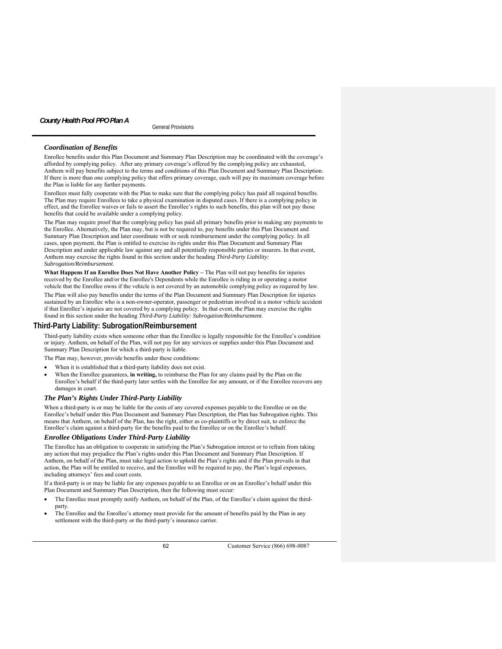# *Coordination of Benefits*

Enrollee benefits under this Plan Document and Summary Plan Description may be coordinated with the coverage's afforded by complying policy. After any primary coverage's offered by the complying policy are exhausted, Anthem will pay benefits subject to the terms and conditions of this Plan Document and Summary Plan Description. If there is more than one complying policy that offers primary coverage, each will pay its maximum coverage before the Plan is liable for any further payments.

Enrollees must fully cooperate with the Plan to make sure that the complying policy has paid all required benefits. The Plan may require Enrollees to take a physical examination in disputed cases. If there is a complying policy in effect, and the Enrollee waives or fails to assert the Enrollee's rights to such benefits, this plan will not pay those benefits that could be available under a complying policy.

The Plan may require proof that the complying policy has paid all primary benefits prior to making any payments to the Enrollee. Alternatively, the Plan may, but is not be required to, pay benefits under this Plan Document and Summary Plan Description and later coordinate with or seek reimbursement under the complying policy. In all cases, upon payment, the Plan is entitled to exercise its rights under this Plan Document and Summary Plan Description and under applicable law against any and all potentially responsible parties or insurers. In that event, Anthem may exercise the rights found in this section under the heading *Third-Party Liability: Subrogation/Reimbursement*.

What Happens If an Enrollee Does Not Have Another Policy – The Plan will not pay benefits for injuries received by the Enrollee and/or the Enrollee's Dependents while the Enrollee is riding in or operating a motor vehicle that the Enrollee owns if the vehicle is not covered by an automobile complying policy as required by law.

The Plan will also pay benefits under the terms of the Plan Document and Summary Plan Description for injuries sustained by an Enrollee who is a non-owner-operator, passenger or pedestrian involved in a motor vehicle accident if that Enrollee's injuries are not covered by a complying policy. In that event, the Plan may exercise the rights found in this section under the heading *Third-Party Liability: Subrogation/Reimbursement*.

### **Third-Party Liability: Subrogation/Reimbursement**

Third-party liability exists when someone other than the Enrollee is legally responsible for the Enrollee's condition or injury. Anthem, on behalf of the Plan, will not pay for any services or supplies under this Plan Document and Summary Plan Description for which a third-party is liable.

The Plan may, however, provide benefits under these conditions:

- When it is established that a third-party liability does not exist.
- When the Enrollee guarantees, **in writing,** to reimburse the Plan for any claims paid by the Plan on the Enrollee's behalf if the third-party later settles with the Enrollee for any amount, or if the Enrollee recovers any damages in court.

### *The Plan's Rights Under Third-Party Liability*

When a third-party is or may be liable for the costs of any covered expenses payable to the Enrollee or on the Enrollee's behalf under this Plan Document and Summary Plan Description, the Plan has Subrogation rights. This means that Anthem, on behalf of the Plan, has the right, either as co-plaintiffs or by direct suit, to enforce the Enrollee's claim against a third-party for the benefits paid to the Enrollee or on the Enrollee's behalf.

# *Enrollee Obligations Under Third-Party Liability*

The Enrollee has an obligation to cooperate in satisfying the Plan's Subrogation interest or to refrain from taking any action that may prejudice the Plan's rights under this Plan Document and Summary Plan Description. If Anthem, on behalf of the Plan, must take legal action to uphold the Plan's rights and if the Plan prevails in that action, the Plan will be entitled to receive, and the Enrollee will be required to pay, the Plan's legal expenses, including attorneys' fees and court costs.

If a third-party is or may be liable for any expenses payable to an Enrollee or on an Enrollee's behalf under this Plan Document and Summary Plan Description, then the following must occur:

- The Enrollee must promptly notify Anthem, on behalf of the Plan, of the Enrollee's claim against the thirdparty.
- The Enrollee and the Enrollee's attorney must provide for the amount of benefits paid by the Plan in any settlement with the third-party or the third-party's insurance carrier.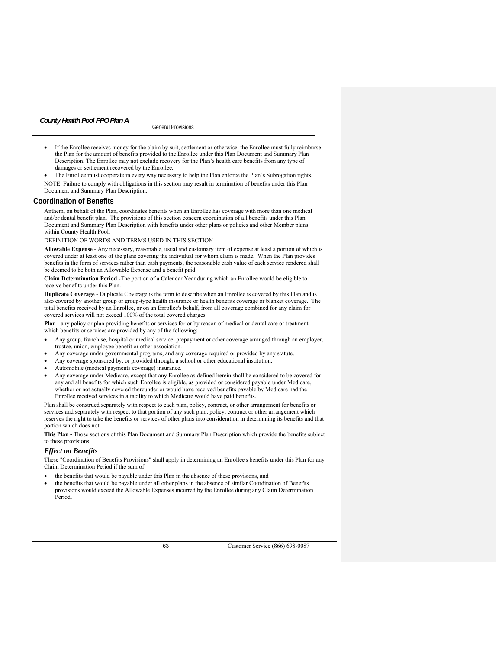- If the Enrollee receives money for the claim by suit, settlement or otherwise, the Enrollee must fully reimburse the Plan for the amount of benefits provided to the Enrollee under this Plan Document and Summary Plan Description. The Enrollee may not exclude recovery for the Plan's health care benefits from any type of damages or settlement recovered by the Enrollee.
- The Enrollee must cooperate in every way necessary to help the Plan enforce the Plan's Subrogation rights. NOTE: Failure to comply with obligations in this section may result in termination of benefits under this Plan Document and Summary Plan Description.

### **Coordination of Benefits**

Anthem, on behalf of the Plan, coordinates benefits when an Enrollee has coverage with more than one medical and/or dental benefit plan. The provisions of this section concern coordination of all benefits under this Plan Document and Summary Plan Description with benefits under other plans or policies and other Member plans within County Health Pool.

DEFINITION OF WORDS AND TERMS USED IN THIS SECTION

**Allowable Expense** - Any necessary, reasonable, usual and customary item of expense at least a portion of which is covered under at least one of the plans covering the individual for whom claim is made. When the Plan provides benefits in the form of services rather than cash payments, the reasonable cash value of each service rendered shall be deemed to be both an Allowable Expense and a benefit paid.

**Claim Determination Period** -The portion of a Calendar Year during which an Enrollee would be eligible to receive benefits under this Plan.

**Duplicate Coverage** - Duplicate Coverage is the term to describe when an Enrollee is covered by this Plan and is also covered by another group or group-type health insurance or health benefits coverage or blanket coverage. The total benefits received by an Enrollee, or on an Enrollee's behalf, from all coverage combined for any claim for covered services will not exceed 100% of the total covered charges.

**Plan -** any policy or plan providing benefits or services for or by reason of medical or dental care or treatment, which benefits or services are provided by any of the following:

- Any group, franchise, hospital or medical service, prepayment or other coverage arranged through an employer, trustee, union, employee benefit or other association.
- Any coverage under governmental programs, and any coverage required or provided by any statute.
- Any coverage sponsored by, or provided through, a school or other educational institution.
- Automobile (medical payments coverage) insurance.
- Any coverage under Medicare, except that any Enrollee as defined herein shall be considered to be covered for any and all benefits for which such Enrollee is eligible, as provided or considered payable under Medicare, whether or not actually covered thereunder or would have received benefits payable by Medicare had the Enrollee received services in a facility to which Medicare would have paid benefits.

Plan shall be construed separately with respect to each plan, policy, contract, or other arrangement for benefits or services and separately with respect to that portion of any such plan, policy, contract or other arrangement which reserves the right to take the benefits or services of other plans into consideration in determining its benefits and that portion which does not.

**This Plan -** Those sections of this Plan Document and Summary Plan Description which provide the benefits subject to these provisions.

### *Effect on Benefits*

These "Coordination of Benefits Provisions" shall apply in determining an Enrollee's benefits under this Plan for any Claim Determination Period if the sum of:

- the benefits that would be payable under this Plan in the absence of these provisions, and
- the benefits that would be payable under all other plans in the absence of similar Coordination of Benefits provisions would exceed the Allowable Expenses incurred by the Enrollee during any Claim Determination Period.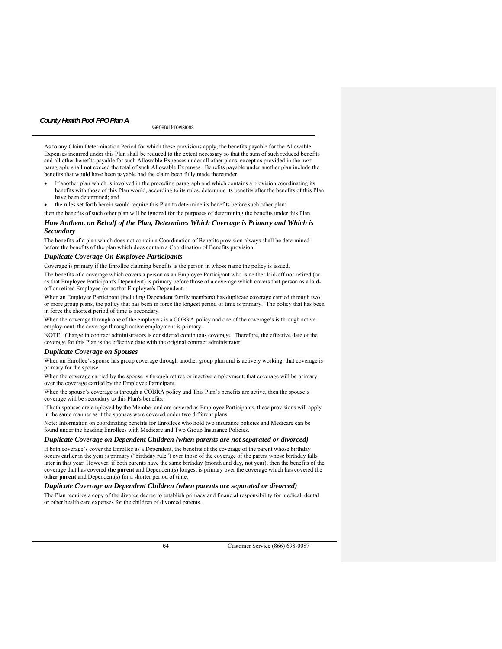As to any Claim Determination Period for which these provisions apply, the benefits payable for the Allowable Expenses incurred under this Plan shall be reduced to the extent necessary so that the sum of such reduced benefits and all other benefits payable for such Allowable Expenses under all other plans, except as provided in the next paragraph, shall not exceed the total of such Allowable Expenses. Benefits payable under another plan include the benefits that would have been payable had the claim been fully made thereunder.

- If another plan which is involved in the preceding paragraph and which contains a provision coordinating its benefits with those of this Plan would, according to its rules, determine its benefits after the benefits of this Plan have been determined; and
- the rules set forth herein would require this Plan to determine its benefits before such other plan;

# then the benefits of such other plan will be ignored for the purposes of determining the benefits under this Plan. *How Anthem, on Behalf of the Plan, Determines Which Coverage is Primary and Which is*

#### *Secondary*

The benefits of a plan which does not contain a Coordination of Benefits provision always shall be determined before the benefits of the plan which does contain a Coordination of Benefits provision.

### *Duplicate Coverage On Employee Participants*

Coverage is primary if the Enrollee claiming benefits is the person in whose name the policy is issued.

The benefits of a coverage which covers a person as an Employee Participant who is neither laid-off nor retired (or as that Employee Participant's Dependent) is primary before those of a coverage which covers that person as a laidoff or retired Employee (or as that Employee's Dependent.

When an Employee Participant (including Dependent family members) has duplicate coverage carried through two or more group plans, the policy that has been in force the longest period of time is primary. The policy that has been in force the shortest period of time is secondary.

When the coverage through one of the employers is a COBRA policy and one of the coverage's is through active employment, the coverage through active employment is primary.

NOTE: Change in contract administrators is considered continuous coverage. Therefore, the effective date of the coverage for this Plan is the effective date with the original contract administrator.

### *Duplicate Coverage on Spouses*

When an Enrollee's spouse has group coverage through another group plan and is actively working, that coverage is primary for the spouse.

When the coverage carried by the spouse is through retiree or inactive employment, that coverage will be primary over the coverage carried by the Employee Participant.

When the spouse's coverage is through a COBRA policy and This Plan's benefits are active, then the spouse's coverage will be secondary to this Plan's benefits.

If both spouses are employed by the Member and are covered as Employee Participants, these provisions will apply in the same manner as if the spouses were covered under two different plans.

Note: Information on coordinating benefits for Enrollees who hold two insurance policies and Medicare can be found under the heading Enrollees with Medicare and Two Group Insurance Policies.

### *Duplicate Coverage on Dependent Children (when parents are not separated or divorced)*

If both coverage's cover the Enrollee as a Dependent, the benefits of the coverage of the parent whose birthday occurs earlier in the year is primary ("birthday rule") over those of the coverage of the parent whose birthday falls later in that year. However, if both parents have the same birthday (month and day, not year), then the benefits of the coverage that has covered **the parent** and Dependent(s) longest is primary over the coverage which has covered the **other parent** and Dependent(s) for a shorter period of time.

### *Duplicate Coverage on Dependent Children (when parents are separated or divorced)*

The Plan requires a copy of the divorce decree to establish primacy and financial responsibility for medical, dental or other health care expenses for the children of divorced parents.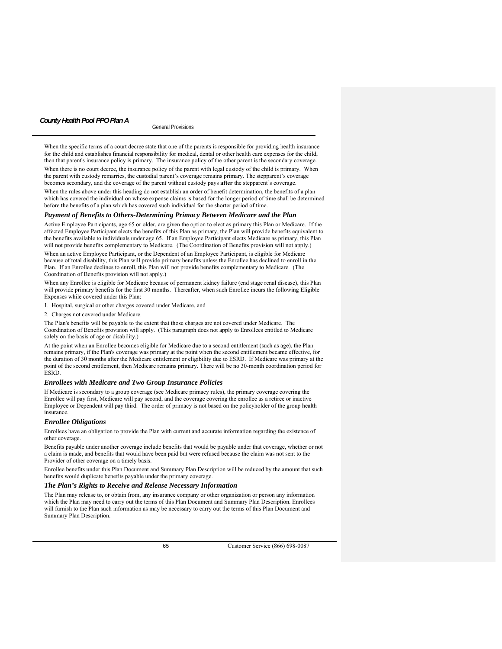# General Provisions *County Health Pool PPO Plan A*

When the specific terms of a court decree state that one of the parents is responsible for providing health insurance for the child and establishes financial responsibility for medical, dental or other health care expenses for the child, then that parent's insurance policy is primary. The insurance policy of the other parent is the secondary coverage. When there is no court decree, the insurance policy of the parent with legal custody of the child is primary. When the parent with custody remarries, the custodial parent's coverage remains primary. The stepparent's coverage becomes secondary, and the coverage of the parent without custody pays **after** the stepparent's coverage.

When the rules above under this heading do not establish an order of benefit determination, the benefits of a plan which has covered the individual on whose expense claims is based for the longer period of time shall be determined before the benefits of a plan which has covered such individual for the shorter period of time.

### *Payment of Benefits to Others-Determining Primacy Between Medicare and the Plan*

Active Employee Participants, age 65 or older, are given the option to elect as primary this Plan or Medicare. If the affected Employee Participant elects the benefits of this Plan as primary, the Plan will provide benefits equivalent to the benefits available to individuals under age 65. If an Employee Participant elects Medicare as primary, this Plan will not provide benefits complementary to Medicare. (The Coordination of Benefits provision will not apply.) When an active Employee Participant, or the Dependent of an Employee Participant, is eligible for Medicare because of total disability, this Plan will provide primary benefits unless the Enrollee has declined to enroll in the Plan. If an Enrollee declines to enroll, this Plan will not provide benefits complementary to Medicare. (The Coordination of Benefits provision will not apply.)

When any Enrollee is eligible for Medicare because of permanent kidney failure (end stage renal disease), this Plan will provide primary benefits for the first 30 months. Thereafter, when such Enrollee incurs the following Eligible Expenses while covered under this Plan:

1. Hospital, surgical or other charges covered under Medicare, and

2. Charges not covered under Medicare.

The Plan's benefits will be payable to the extent that those charges are not covered under Medicare. The Coordination of Benefits provision will apply. (This paragraph does not apply to Enrollees entitled to Medicare solely on the basis of age or disability.)

At the point when an Enrollee becomes eligible for Medicare due to a second entitlement (such as age), the Plan remains primary, if the Plan's coverage was primary at the point when the second entitlement became effective, for the duration of 30 months after the Medicare entitlement or eligibility due to ESRD. If Medicare was primary at the point of the second entitlement, then Medicare remains primary. There will be no 30-month coordination period for ESRD.

### *Enrollees with Medicare and Two Group Insurance Policies*

If Medicare is secondary to a group coverage (see Medicare primacy rules), the primary coverage covering the Enrollee will pay first, Medicare will pay second, and the coverage covering the enrollee as a retiree or inactive Employee or Dependent will pay third. The order of primacy is not based on the policyholder of the group health insurance.

### *Enrollee Obligations*

Enrollees have an obligation to provide the Plan with current and accurate information regarding the existence of other coverage.

Benefits payable under another coverage include benefits that would be payable under that coverage, whether or not a claim is made, and benefits that would have been paid but were refused because the claim was not sent to the Provider of other coverage on a timely basis.

Enrollee benefits under this Plan Document and Summary Plan Description will be reduced by the amount that such benefits would duplicate benefits payable under the primary coverage.

### *The Plan's Rights to Receive and Release Necessary Information*

The Plan may release to, or obtain from, any insurance company or other organization or person any information which the Plan may need to carry out the terms of this Plan Document and Summary Plan Description. Enrollees will furnish to the Plan such information as may be necessary to carry out the terms of this Plan Document and Summary Plan Description.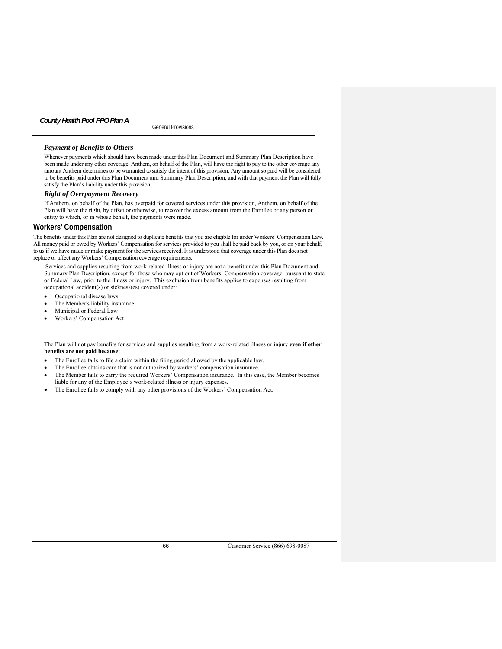# General Provisions *County Health Pool PPO Plan A*

# *Payment of Benefits to Others*

Whenever payments which should have been made under this Plan Document and Summary Plan Description have been made under any other coverage, Anthem, on behalf of the Plan, will have the right to pay to the other coverage any amount Anthem determines to be warranted to satisfy the intent of this provision. Any amount so paid will be considered to be benefits paid under this Plan Document and Summary Plan Description, and with that payment the Plan will fully satisfy the Plan's liability under this provision.

### *Right of Overpayment Recovery*

If Anthem, on behalf of the Plan, has overpaid for covered services under this provision, Anthem, on behalf of the Plan will have the right, by offset or otherwise, to recover the excess amount from the Enrollee or any person or entity to which, or in whose behalf, the payments were made.

# **Workers' Compensation**

The benefits under this Plan are not designed to duplicate benefits that you are eligible for under Workers' Compensation Law. All money paid or owed by Workers' Compensation for services provided to you shall be paid back by you, or on your behalf, to us if we have made or make payment for the services received. It is understood that coverage under this Plan does not replace or affect any Workers' Compensation coverage requirements.

.Services and supplies resulting from work-related illness or injury are not a benefit under this Plan Document and Summary Plan Description, except for those who may opt out of Workers' Compensation coverage, pursuant to state or Federal Law, prior to the illness or injury. This exclusion from benefits applies to expenses resulting from occupational accident(s) or sickness(es) covered under:

- Occupational disease laws
- The Member's liability insurance
- Municipal or Federal Law
- Workers' Compensation Act

The Plan will not pay benefits for services and supplies resulting from a work-related illness or injury **even if other benefits are not paid because:**

- The Enrollee fails to file a claim within the filing period allowed by the applicable law.
- The Enrollee obtains care that is not authorized by workers' compensation insurance.
- The Member fails to carry the required Workers' Compensation insurance. In this case, the Member becomes liable for any of the Employee's work-related illness or injury expenses.
- The Enrollee fails to comply with any other provisions of the Workers' Compensation Act.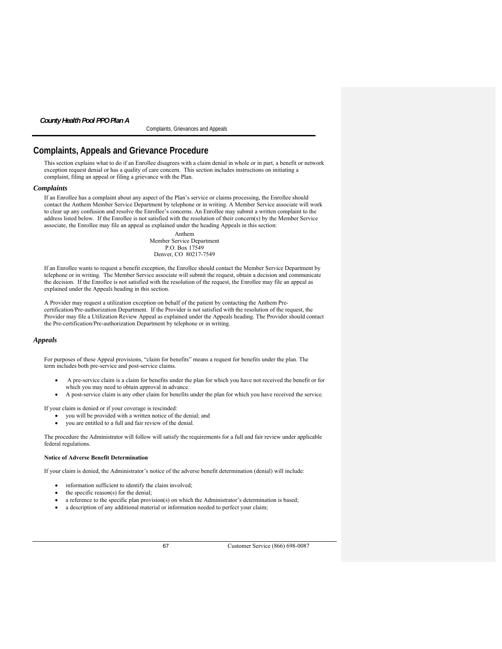Complaints, Grievances and Appeals

# **Complaints, Appeals and Grievance Procedure**

This section explains what to do if an Enrollee disagrees with a claim denial in whole or in part, a benefit or network exception request denial or has a quality of care concern. This section includes instructions on initiating a complaint, filing an appeal or filing a grievance with the Plan.

### *Complaints*

If an Enrollee has a complaint about any aspect of the Plan's service or claims processing, the Enrollee should contact the Anthem Member Service Department by telephone or in writing. A Member Service associate will work to clear up any confusion and resolve the Enrollee's concerns. An Enrollee may submit a written complaint to the address listed below. If the Enrollee is not satisfied with the resolution of their concern(s) by the Member Service associate, the Enrollee may file an appeal as explained under the heading Appeal*s* in this section:

> Anthem Member Service Department P.O. Box 17549 Denver, CO 80217-7549

If an Enrollee wants to request a benefit exception, the Enrollee should contact the Member Service Department by telephone or in writing. The Member Service associate will submit the request, obtain a decision and communicate the decision. If the Enrollee is not satisfied with the resolution of the request, the Enrollee may file an appeal as explained under the Appeal*s* heading in this section.

A Provider may request a utilization exception on behalf of the patient by contacting the Anthem Precertification/Pre-authorization Department. If the Provider is not satisfied with the resolution of the request, the Provider may file a Utilization Review Appeal as explained under the Appeal*s* heading. The Provider should contact the Pre-certification/Pre-authorization Department by telephone or in writing.

# *Appeals*

For purposes of these Appeal provisions, "claim for benefits" means a request for benefits under the plan. The term includes both pre-service and post-service claims.

- A pre-service claim is a claim for benefits under the plan for which you have not received the benefit or for which you may need to obtain approval in advance.
- A post-service claim is any other claim for benefits under the plan for which you have received the service.

If your claim is denied or if your coverage is rescinded:

- you will be provided with a written notice of the denial; and
- you are entitled to a full and fair review of the denial.

The procedure the Administrator will follow will satisfy the requirements for a full and fair review under applicable federal regulations.

### **Notice of Adverse Benefit Determination**

If your claim is denied, the Administrator's notice of the adverse benefit determination (denial) will include:

- information sufficient to identify the claim involved;
- the specific reason(s) for the denial;
- a reference to the specific plan provision(s) on which the Administrator's determination is based;
- a description of any additional material or information needed to perfect your claim;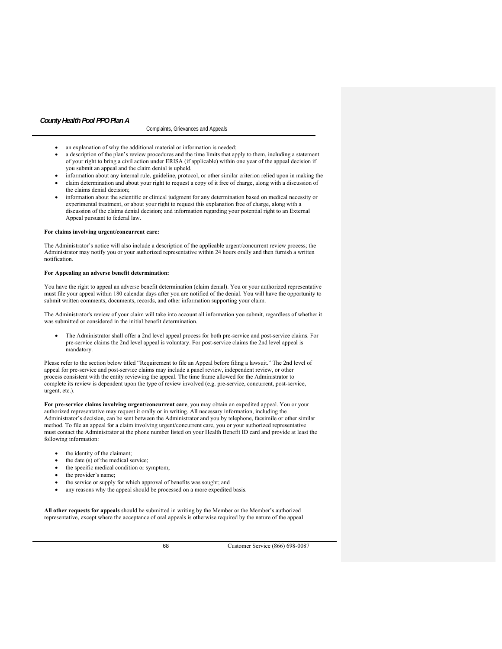### Complaints, Grievances and Appeals

- an explanation of why the additional material or information is needed;
- a description of the plan's review procedures and the time limits that apply to them, including a statement of your right to bring a civil action under ERISA (if applicable) within one year of the appeal decision if you submit an appeal and the claim denial is upheld.
- information about any internal rule, guideline, protocol, or other similar criterion relied upon in making the
- claim determination and about your right to request a copy of it free of charge, along with a discussion of the claims denial decision;
- information about the scientific or clinical judgment for any determination based on medical necessity or experimental treatment, or about your right to request this explanation free of charge, along with a discussion of the claims denial decision; and information regarding your potential right to an External Appeal pursuant to federal law.

### **For claims involving urgent/concurrent care:**

The Administrator's notice will also include a description of the applicable urgent/concurrent review process; the Administrator may notify you or your authorized representative within 24 hours orally and then furnish a written notification.

### **For Appealing an adverse benefit determination:**

You have the right to appeal an adverse benefit determination (claim denial). You or your authorized representative must file your appeal within 180 calendar days after you are notified of the denial. You will have the opportunity to submit written comments, documents, records, and other information supporting your claim.

The Administrator's review of your claim will take into account all information you submit, regardless of whether it was submitted or considered in the initial benefit determination.

 The Administrator shall offer a 2nd level appeal process for both pre-service and post-service claims. For pre-service claims the 2nd level appeal is voluntary. For post-service claims the 2nd level appeal is mandatory.

Please refer to the section below titled "Requirement to file an Appeal before filing a lawsuit." The 2nd level of appeal for pre-service and post-service claims may include a panel review, independent review, or other process consistent with the entity reviewing the appeal. The time frame allowed for the Administrator to complete its review is dependent upon the type of review involved (e.g. pre-service, concurrent, post-service, urgent, etc.).

**For pre-service claims involving urgent/concurrent care**, you may obtain an expedited appeal. You or your authorized representative may request it orally or in writing. All necessary information, including the Administrator's decision, can be sent between the Administrator and you by telephone, facsimile or other similar method. To file an appeal for a claim involving urgent/concurrent care, you or your authorized representative must contact the Administrator at the phone number listed on your Health Benefit ID card and provide at least the following information:

- the identity of the claimant;
- the date (s) of the medical service;
- the specific medical condition or symptom;
- the provider's name;
- the service or supply for which approval of benefits was sought; and
- any reasons why the appeal should be processed on a more expedited basis.

**All other requests for appeals** should be submitted in writing by the Member or the Member's authorized representative, except where the acceptance of oral appeals is otherwise required by the nature of the appeal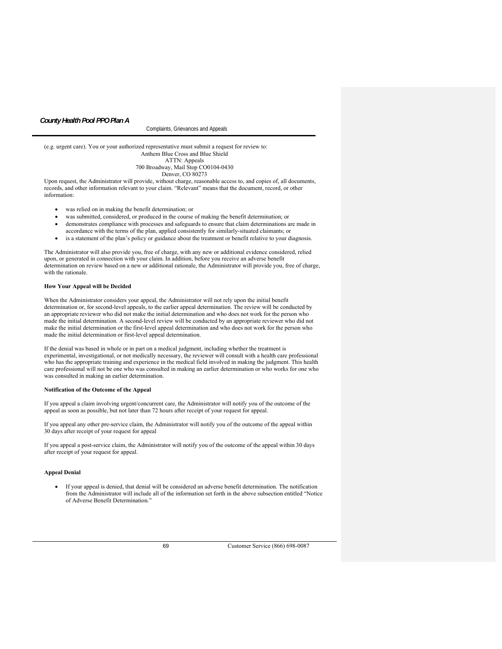Complaints, Grievances and Appeals

(e.g. urgent care). You or your authorized representative must submit a request for review to: Anthem Blue Cross and Blue Shield ATTN: Appeals 700 Broadway, Mail Stop CO0104-0430 Denver, CO 80273

Upon request, the Administrator will provide, without charge, reasonable access to, and copies of, all documents, records, and other information relevant to your claim. "Relevant" means that the document, record, or other information:

- was relied on in making the benefit determination; or
- was submitted, considered, or produced in the course of making the benefit determination; or
- demonstrates compliance with processes and safeguards to ensure that claim determinations are made in
- accordance with the terms of the plan, applied consistently for similarly-situated claimants; or
- is a statement of the plan's policy or guidance about the treatment or benefit relative to your diagnosis.

The Administrator will also provide you, free of charge, with any new or additional evidence considered, relied upon, or generated in connection with your claim. In addition, before you receive an adverse benefit determination on review based on a new or additional rationale, the Administrator will provide you, free of charge, with the rationale.

### **How Your Appeal will be Decided**

When the Administrator considers your appeal, the Administrator will not rely upon the initial benefit determination or, for second-level appeals, to the earlier appeal determination. The review will be conducted by an appropriate reviewer who did not make the initial determination and who does not work for the person who made the initial determination. A second-level review will be conducted by an appropriate reviewer who did not make the initial determination or the first-level appeal determination and who does not work for the person who made the initial determination or first-level appeal determination.

If the denial was based in whole or in part on a medical judgment, including whether the treatment is experimental, investigational, or not medically necessary, the reviewer will consult with a health care professional who has the appropriate training and experience in the medical field involved in making the judgment. This health care professional will not be one who was consulted in making an earlier determination or who works for one who was consulted in making an earlier determination.

#### **Notification of the Outcome of the Appeal**

If you appeal a claim involving urgent/concurrent care, the Administrator will notify you of the outcome of the appeal as soon as possible, but not later than 72 hours after receipt of your request for appeal.

If you appeal any other pre-service claim, the Administrator will notify you of the outcome of the appeal within 30 days after receipt of your request for appeal

If you appeal a post-service claim, the Administrator will notify you of the outcome of the appeal within 30 days after receipt of your request for appeal.

# **Appeal Denial**

 If your appeal is denied, that denial will be considered an adverse benefit determination. The notification from the Administrator will include all of the information set forth in the above subsection entitled "Notice of Adverse Benefit Determination."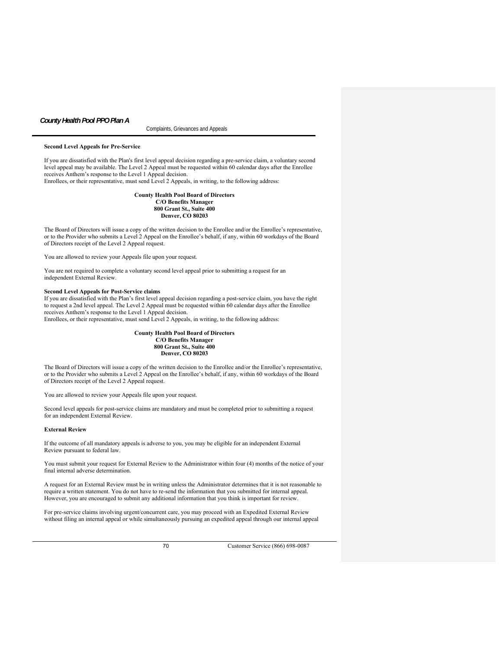### Complaints, Grievances and Appeals

### **Second Level Appeals for Pre-Service**

If you are dissatisfied with the Plan's first level appeal decision regarding a pre-service claim, a voluntary second level appeal may be available. The Level 2 Appeal must be requested within 60 calendar days after the Enrollee receives Anthem's response to the Level 1 Appeal decision.

Enrollees, or their representative, must send Level 2 Appeals, in writing, to the following address:

### **County Health Pool Board of Directors C/O Benefits Manager 800 Grant St., Suite 400 Denver, CO 80203**

The Board of Directors will issue a copy of the written decision to the Enrollee and/or the Enrollee's representative, or to the Provider who submits a Level 2 Appeal on the Enrollee's behalf, if any, within 60 workdays of the Board of Directors receipt of the Level 2 Appeal request.

You are allowed to review your Appeals file upon your request.

You are not required to complete a voluntary second level appeal prior to submitting a request for an independent External Review.

### **Second Level Appeals for Post-Service claims**

If you are dissatisfied with the Plan's first level appeal decision regarding a post-service claim, you have the right to request a 2nd level appeal. The Level 2 Appeal must be requested within 60 calendar days after the Enrollee receives Anthem's response to the Level 1 Appeal decision. Enrollees, or their representative, must send Level 2 Appeals, in writing, to the following address:

### **County Health Pool Board of Directors C/O Benefits Manager 800 Grant St., Suite 400 Denver, CO 80203**

The Board of Directors will issue a copy of the written decision to the Enrollee and/or the Enrollee's representative, or to the Provider who submits a Level 2 Appeal on the Enrollee's behalf, if any, within 60 workdays of the Board of Directors receipt of the Level 2 Appeal request.

You are allowed to review your Appeals file upon your request.

Second level appeals for post-service claims are mandatory and must be completed prior to submitting a request for an independent External Review.

### **External Review**

If the outcome of all mandatory appeals is adverse to you, you may be eligible for an independent External Review pursuant to federal law.

You must submit your request for External Review to the Administrator within four (4) months of the notice of your final internal adverse determination.

A request for an External Review must be in writing unless the Administrator determines that it is not reasonable to require a written statement. You do not have to re-send the information that you submitted for internal appeal. However, you are encouraged to submit any additional information that you think is important for review.

For pre-service claims involving urgent/concurrent care, you may proceed with an Expedited External Review without filing an internal appeal or while simultaneously pursuing an expedited appeal through our internal appeal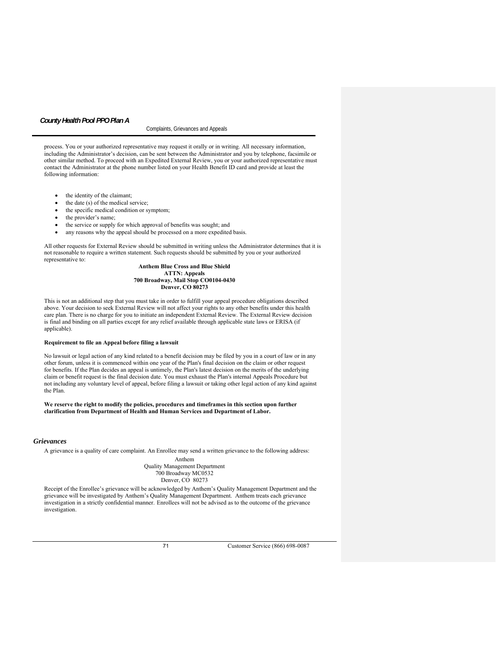#### Complaints, Grievances and Appeals

process. You or your authorized representative may request it orally or in writing. All necessary information, including the Administrator's decision, can be sent between the Administrator and you by telephone, facsimile or other similar method. To proceed with an Expedited External Review, you or your authorized representative must contact the Administrator at the phone number listed on your Health Benefit ID card and provide at least the following information:

- the identity of the claimant;
- the date (s) of the medical service;
- the specific medical condition or symptom;
- the provider's name;
- the service or supply for which approval of benefits was sought; and
- any reasons why the appeal should be processed on a more expedited basis.

All other requests for External Review should be submitted in writing unless the Administrator determines that it is not reasonable to require a written statement. Such requests should be submitted by you or your authorized representative to:

### **Anthem Blue Cross and Blue Shield ATTN: Appeals 700 Broadway, Mail Stop CO0104-0430 Denver, CO 80273**

This is not an additional step that you must take in order to fulfill your appeal procedure obligations described above. Your decision to seek External Review will not affect your rights to any other benefits under this health care plan. There is no charge for you to initiate an independent External Review. The External Review decision is final and binding on all parties except for any relief available through applicable state laws or ERISA (if applicable).

### **Requirement to file an Appeal before filing a lawsuit**

No lawsuit or legal action of any kind related to a benefit decision may be filed by you in a court of law or in any other forum, unless it is commenced within one year of the Plan's final decision on the claim or other request for benefits. If the Plan decides an appeal is untimely, the Plan's latest decision on the merits of the underlying claim or benefit request is the final decision date. You must exhaust the Plan's internal Appeals Procedure but not including any voluntary level of appeal, before filing a lawsuit or taking other legal action of any kind against the Plan.

**We reserve the right to modify the policies, procedures and timeframes in this section upon further clarification from Department of Health and Human Services and Department of Labor.**

### *Grievances*

A grievance is a quality of care complaint. An Enrollee may send a written grievance to the following address:

Anthem Quality Management Department 700 Broadway MC0532 Denver, CO 80273

Receipt of the Enrollee's grievance will be acknowledged by Anthem's Quality Management Department and the grievance will be investigated by Anthem's Quality Management Department. Anthem treats each grievance investigation in a strictly confidential manner. Enrollees will not be advised as to the outcome of the grievance investigation.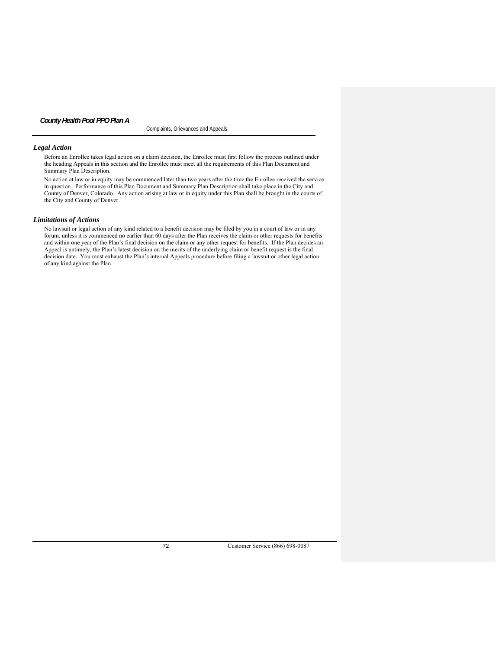Complaints, Grievances and Appeals

# *Legal Action*

Before an Enrollee takes legal action on a claim decision, the Enrollee must first follow the process outlined under the heading Appeals in this section and the Enrollee must meet all the requirements of this Plan Document and Summary Plan Description.

No action at law or in equity may be commenced later than two years after the time the Enrollee received the service in question. Performance of this Plan Document and Summary Plan Description shall take place in the City and County of Denver, Colorado. Any action arising at law or in equity under this Plan shall be brought in the courts of the City and County of Denver.

# *Limitations of Actions*

No lawsuit or legal action of any kind related to a benefit decision may be filed by you in a court of law or in any forum, unless it is commenced no earlier than 60 days after the Plan receives the claim or other requests for benefits and within one year of the Plan's final decision on the claim or any other request for benefits. If the Plan decides an Appeal is untimely, the Plan's latest decision on the merits of the underlying claim or benefit request is the final decision date. You must exhaust the Plan's internal Appeals procedure before filing a lawsuit or other legal action of any kind against the Plan.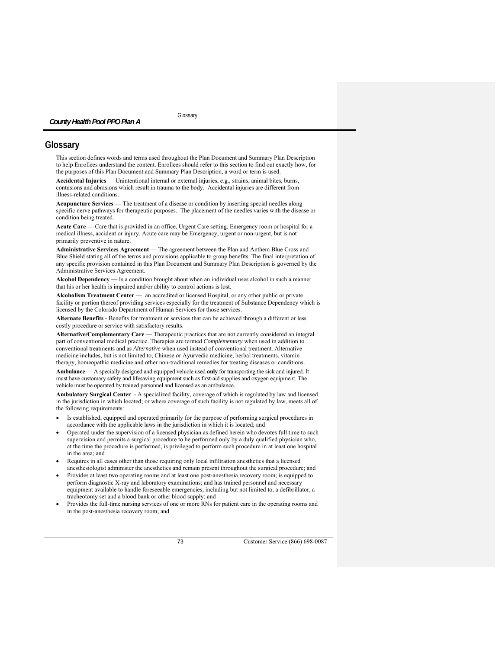# **Glossary**

This section defines words and terms used throughout the Plan Document and Summary Plan Description to help Enrollees understand the content. Enrollees should refer to this section to find out exactly how, for the purposes of this Plan Document and Summary Plan Description, a word or term is used.

**Accidental Injuries** — Unintentional internal or external injuries, e.g., strains, animal bites, burns, contusions and abrasions which result in trauma to the body. Accidental injuries are different from illness-related conditions.

**Acupuncture Services —** The treatment of a disease or condition by inserting special needles along specific nerve pathways for therapeutic purposes. The placement of the needles varies with the disease or condition being treated.

**Acute Care —** Care that is provided in an office, Urgent Care setting, Emergency room or hospital for a medical illness, accident or injury. Acute care may be Emergency, urgent or non-urgent, but is not primarily preventive in nature.

**Administrative Services Agreement** — The agreement between the Plan and Anthem Blue Cross and Blue Shield stating all of the terms and provisions applicable to group benefits. The final interpretation of any specific provision contained in this Plan Document and Summary Plan Description is governed by the Administrative Services Agreement.

**Alcohol Dependency —** Is a condition brought about when an individual uses alcohol in such a manner that his or her health is impaired and/or ability to control actions is lost.

Alcoholism Treatment Center — an accredited or licensed Hospital, or any other public or private facility or portion thereof providing services especially for the treatment of Substance Dependency which is licensed by the Colorado Department of Human Services for those services.

**Alternate Benefits** - Benefits for treatment or services that can be achieved through a different or less costly procedure or service with satisfactory results.

**Alternative/Complementary Care** — Therapeutic practices that are not currently considered an integral part of conventional medical practice. Therapies are termed *Complementary* when used in addition to conventional treatments and as *Alternative* when used instead of conventional treatment. Alternative medicine includes, but is not limited to, Chinese or Ayurvedic medicine, herbal treatments, vitamin therapy, homeopathic medicine and other non-traditional remedies for treating diseases or conditions.

**Ambulance** — A specially designed and equipped vehicle used **only** for transporting the sick and injured. It must have customary safety and lifesaving equipment such as first-aid supplies and oxygen equipment. The vehicle must be operated by trained personnel and licensed as an ambulance.

**Ambulatory Surgical Center** - A specialized facility, coverage of which is regulated by law and licensed in the jurisdiction in which located; or where coverage of such facility is not regulated by law, meets all of the following requirements:

- Is established, equipped and operated primarily for the purpose of performing surgical procedures in accordance with the applicable laws in the jurisdiction in which it is located; and
- Operated under the supervision of a licensed physician as defined herein who devotes full time to such supervision and permits a surgical procedure to be performed only by a duly qualified physician who, at the time the procedure is performed, is privileged to perform such procedure in at least one hospital in the area; and
- Requires in all cases other than those requiring only local infiltration anesthetics that a licensed anesthesiologist administer the anesthetics and remain present throughout the surgical procedure; and
- Provides at least two operating rooms and at least one post-anesthesia recovery room; is equipped to perform diagnostic X-ray and laboratory examinations; and has trained personnel and necessary equipment available to handle foreseeable emergencies, including but not limited to, a defibrillator, a tracheotomy set and a blood bank or other blood supply; and
- Provides the full-time nursing services of one or more RNs for patient care in the operating rooms and in the post-anesthesia recovery room; and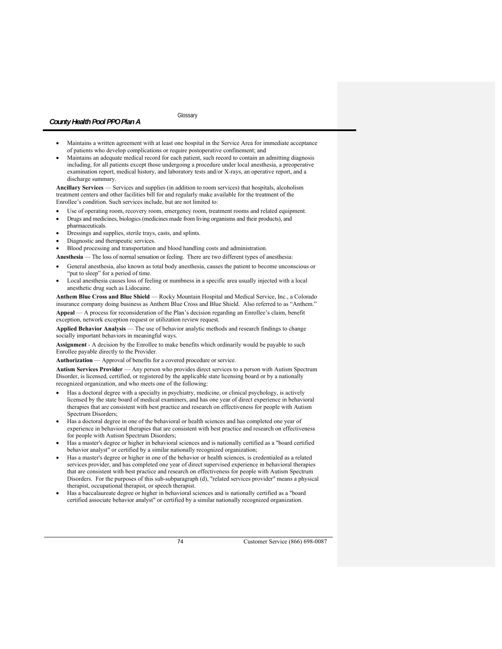# **Glossary**

- Maintains a written agreement with at least one hospital in the Service Area for immediate acceptance of patients who develop complications or require postoperative confinement; and
- Maintains an adequate medical record for each patient, such record to contain an admitting diagnosis including, for all patients except those undergoing a procedure under local anesthesia, a preoperative examination report, medical history, and laboratory tests and/or X-rays, an operative report, and a discharge summary.

**Ancillary Services** — Services and supplies (in addition to room services) that hospitals, alcoholism treatment centers and other facilities bill for and regularly make available for the treatment of the Enrollee's condition. Such services include, but are not limited to:

Use of operating room, recovery room, emergency room, treatment rooms and related equipment.

- Drugs and medicines, biologics (medicines made from living organisms and their products), and pharmaceuticals.
- Dressings and supplies, sterile trays, casts, and splints.
- Diagnostic and therapeutic services.
- Blood processing and transportation and blood handling costs and administration.

**Anesthesia** — The loss of normal sensation or feeling. There are two different types of anesthesia:

- General anesthesia, also known as total body anesthesia, causes the patient to become unconscious or "put to sleep" for a period of time.
- Local anesthesia causes loss of feeling or numbness in a specific area usually injected with a local anesthetic drug such as Lidocaine.

**Anthem Blue Cross and Blue Shield** — Rocky Mountain Hospital and Medical Service, Inc., a Colorado insurance company doing business as Anthem Blue Cross and Blue Shield. Also referred to as "Anthem."

**Appeal** — A process for reconsideration of the Plan's decision regarding an Enrollee's claim, benefit exception, network exception request or utilization review request.

Applied Behavior Analysis - The use of behavior analytic methods and research findings to change socially important behaviors in meaningful ways.

**Assignment** - A decision by the Enrollee to make benefits which ordinarily would be payable to such Enrollee payable directly to the Provider.

**Authorization** — Approval of benefits for a covered procedure or service.

**Autism Services Provider** — Any person who provides direct services to a person with Autism Spectrum Disorder, is licensed, certified, or registered by the applicable state licensing board or by a nationally recognized organization, and who meets one of the following:

- Has a doctoral degree with a specialty in psychiatry, medicine, or clinical psychology, is actively licensed by the state board of medical examiners, and has one year of direct experience in behavioral therapies that are consistent with best practice and research on effectiveness for people with Autism Spectrum Disorders;
- Has a doctoral degree in one of the behavioral or health sciences and has completed one year of experience in behavioral therapies that are consistent with best practice and research on effectiveness for people with Autism Spectrum Disorders;
- Has a master's degree or higher in behavioral sciences and is nationally certified as a "board certified behavior analyst" or certified by a similar nationally recognized organization;
- Has a master's degree or higher in one of the behavior or health sciences, is credentialed as a related services provider, and has completed one year of direct supervised experience in behavioral therapies that are consistent with best practice and research on effectiveness for people with Autism Spectrum Disorders. For the purposes of this sub-subparagraph (d), "related services provider" means a physical therapist, occupational therapist, or speech therapist.
- Has a baccalaureate degree or higher in behavioral sciences and is nationally certified as a "board certified associate behavior analyst" or certified by a similar nationally recognized organization.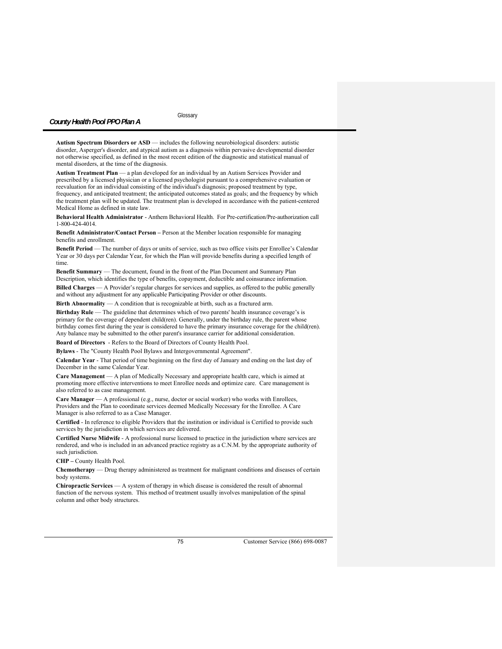**Autism Spectrum Disorders or ASD** — includes the following neurobiological disorders: autistic disorder, Asperger's disorder, and atypical autism as a diagnosis within pervasive developmental disorder not otherwise specified, as defined in the most recent edition of the diagnostic and statistical manual of mental disorders, at the time of the diagnosis.

**Autism Treatment Plan** — a plan developed for an individual by an Autism Services Provider and prescribed by a licensed physician or a licensed psychologist pursuant to a comprehensive evaluation or reevaluation for an individual consisting of the individual's diagnosis; proposed treatment by type, frequency, and anticipated treatment; the anticipated outcomes stated as goals; and the frequency by which the treatment plan will be updated. The treatment plan is developed in accordance with the patient-centered Medical Home as defined in state law.

**Behavioral Health Administrator** - Anthem Behavioral Health. For Pre-certification/Pre-authorization call 1-800-424-4014.

**Benefit Administrator/Contact Person –** Person at the Member location responsible for managing benefits and enrollment.

**Benefit Period** — The number of days or units of service, such as two office visits per Enrollee's Calendar Year or 30 days per Calendar Year, for which the Plan will provide benefits during a specified length of time.

**Benefit Summary** — The document, found in the front of the Plan Document and Summary Plan Description, which identifies the type of benefits, copayment, deductible and coinsurance information.

**Billed Charges** — A Provider's regular charges for services and supplies, as offered to the public generally and without any adjustment for any applicable Participating Provider or other discounts.

**Birth Abnormality** — A condition that is recognizable at birth, such as a fractured arm.

**Birthday Rule** — The guideline that determines which of two parents' health insurance coverage's is primary for the coverage of dependent child(ren). Generally, under the birthday rule, the parent whose birthday comes first during the year is considered to have the primary insurance coverage for the child(ren). Any balance may be submitted to the other parent's insurance carrier for additional consideration.

**Board of Directors** - Refers to the Board of Directors of County Health Pool.

**Bylaws** - The "County Health Pool Bylaws and Intergovernmental Agreement".

**Calendar Year** - That period of time beginning on the first day of January and ending on the last day of December in the same Calendar Year.

**Care Management** — A plan of Medically Necessary and appropriate health care, which is aimed at promoting more effective interventions to meet Enrollee needs and optimize care. Care management is also referred to as case management.

**Care Manager** — A professional (e.g., nurse, doctor or social worker) who works with Enrollees, Providers and the Plan to coordinate services deemed Medically Necessary for the Enrollee. A Care Manager is also referred to as a Case Manager.

**Certified** - In reference to eligible Providers that the institution or individual is Certified to provide such services by the jurisdiction in which services are delivered.

**Certified Nurse Midwife** - A professional nurse licensed to practice in the jurisdiction where services are rendered, and who is included in an advanced practice registry as a C.N.M. by the appropriate authority of such jurisdiction.

**CHP –** County Health Pool.

**Chemotherapy** — Drug therapy administered as treatment for malignant conditions and diseases of certain body systems.

**Chiropractic Services** — A system of therapy in which disease is considered the result of abnormal function of the nervous system. This method of treatment usually involves manipulation of the spinal column and other body structures.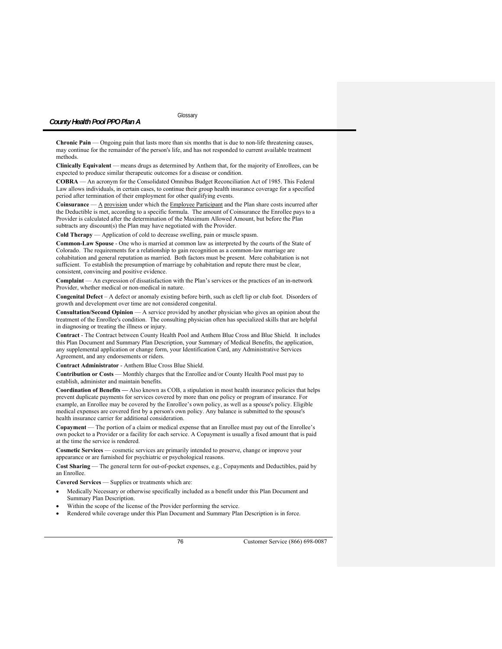**Chronic Pain** — Ongoing pain that lasts more than six months that is due to non-life threatening causes, may continue for the remainder of the person's life, and has not responded to current available treatment methods.

**Clinically Equivalent** — means drugs as determined by Anthem that, for the majority of Enrollees, can be expected to produce similar therapeutic outcomes for a disease or condition.

**COBRA** — An acronym for the Consolidated Omnibus Budget Reconciliation Act of 1985. This Federal Law allows individuals, in certain cases, to continue their group health insurance coverage for a specified period after termination of their employment for other qualifying events.

Coinsurance — A provision under which the *Employee Participant* and the Plan share costs incurred after the Deductible is met, according to a specific formula. The amount of Coinsurance the Enrollee pays to a Provider is calculated after the determination of the Maximum Allowed Amount, but before the Plan subtracts any discount(s) the Plan may have negotiated with the Provider.

**Cold Therapy** — Application of cold to decrease swelling, pain or muscle spasm.

**Common-Law Spouse** - One who is married at common law as interpreted by the courts of the State of Colorado. The requirements for a relationship to gain recognition as a common-law marriage are cohabitation and general reputation as married. Both factors must be present. Mere cohabitation is not sufficient. To establish the presumption of marriage by cohabitation and repute there must be clear, consistent, convincing and positive evidence.

**Complaint** — An expression of dissatisfaction with the Plan's services or the practices of an in-network Provider, whether medical or non-medical in nature.

**Congenital Defect** – A defect or anomaly existing before birth, such as cleft lip or club foot. Disorders of growth and development over time are not considered congenital.

**Consultation/Second Opinion** — A service provided by another physician who gives an opinion about the treatment of the Enrollee's condition. The consulting physician often has specialized skills that are helpful in diagnosing or treating the illness or injury.

**Contract** - The Contract between County Health Pool and Anthem Blue Cross and Blue Shield. It includes this Plan Document and Summary Plan Description, your Summary of Medical Benefits, the application, any supplemental application or change form, your Identification Card, any Administrative Services Agreement, and any endorsements or riders.

**Contract Administrator** - Anthem Blue Cross Blue Shield.

**Contribution or Costs** — Monthly charges that the Enrollee and/or County Health Pool must pay to establish, administer and maintain benefits.

**Coordination of Benefits —** Also known as COB, a stipulation in most health insurance policies that helps prevent duplicate payments for services covered by more than one policy or program of insurance. For example, an Enrollee may be covered by the Enrollee's own policy, as well as a spouse's policy. Eligible medical expenses are covered first by a person's own policy. Any balance is submitted to the spouse's health insurance carrier for additional consideration.

**Copayment** — The portion of a claim or medical expense that an Enrollee must pay out of the Enrollee's own pocket to a Provider or a facility for each service. A Copayment is usually a fixed amount that is paid at the time the service is rendered.

**Cosmetic Services** — cosmetic services are primarily intended to preserve, change or improve your appearance or are furnished for psychiatric or psychological reasons.

**Cost Sharing** — The general term for out-of-pocket expenses, e.g., Copayments and Deductibles, paid by an Enrollee.

**Covered Services** — Supplies or treatments which are:

- Medically Necessary or otherwise specifically included as a benefit under this Plan Document and Summary Plan Description.
- Within the scope of the license of the Provider performing the service.
- Rendered while coverage under this Plan Document and Summary Plan Description is in force.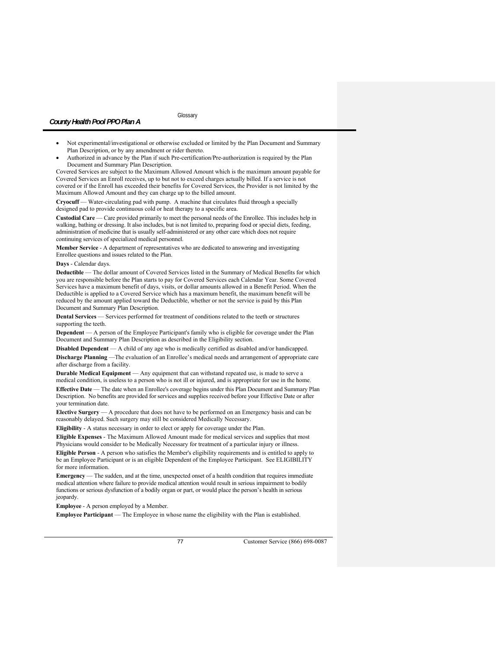- Not experimental/investigational or otherwise excluded or limited by the Plan Document and Summary Plan Description, or by any amendment or rider thereto.
- Authorized in advance by the Plan if such Pre-certification/Pre-authorization is required by the Plan Document and Summary Plan Description.

Covered Services are subject to the Maximum Allowed Amount which is the maximum amount payable for Covered Services an Enroll receives, up to but not to exceed charges actually billed. If a service is not covered or if the Enroll has exceeded their benefits for Covered Services, the Provider is not limited by the Maximum Allowed Amount and they can charge up to the billed amount.

**Cryocuff** — Water-circulating pad with pump. A machine that circulates fluid through a specially designed pad to provide continuous cold or heat therapy to a specific area.

**Custodial Care** — Care provided primarily to meet the personal needs of the Enrollee. This includes help in walking, bathing or dressing. It also includes, but is not limited to, preparing food or special diets, feeding, administration of medicine that is usually self-administered or any other care which does not require continuing services of specialized medical personnel.

**Member Service** - A department of representatives who are dedicated to answering and investigating Enrollee questions and issues related to the Plan.

### **Days** - Calendar days.

**Deductible** — The dollar amount of Covered Services listed in the Summary of Medical Benefits for which you are responsible before the Plan starts to pay for Covered Services each Calendar Year. Some Covered Services have a maximum benefit of days, visits, or dollar amounts allowed in a Benefit Period. When the Deductible is applied to a Covered Service which has a maximum benefit, the maximum benefit will be reduced by the amount applied toward the Deductible, whether or not the service is paid by this Plan Document and Summary Plan Description.

**Dental Services** — Services performed for treatment of conditions related to the teeth or structures supporting the teeth.

**Dependent** — A person of the Employee Participant's family who is eligible for coverage under the Plan Document and Summary Plan Description as described in the Eligibility section.

**Disabled Dependent** — A child of any age who is medically certified as disabled and/or handicapped.

**Discharge Planning** —The evaluation of an Enrollee's medical needs and arrangement of appropriate care after discharge from a facility.

**Durable Medical Equipment** — Any equipment that can withstand repeated use, is made to serve a medical condition, is useless to a person who is not ill or injured, and is appropriate for use in the home.

**Effective Date** — The date when an Enrollee's coverage begins under this Plan Document and Summary Plan Description. No benefits are provided for services and supplies received before your Effective Date or after your termination date.

**Elective Surgery** — A procedure that does not have to be performed on an Emergency basis and can be reasonably delayed. Such surgery may still be considered Medically Necessary.

**Eligibility** - A status necessary in order to elect or apply for coverage under the Plan.

**Eligible Expenses** - The Maximum Allowed Amount made for medical services and supplies that most Physicians would consider to be Medically Necessary for treatment of a particular injury or illness.

**Eligible Person** - A person who satisfies the Member's eligibility requirements and is entitled to apply to be an Employee Participant or is an eligible Dependent of the Employee Participant. See ELIGIBILITY for more information.

**Emergency** — The sudden, and at the time, unexpected onset of a health condition that requires immediate medical attention where failure to provide medical attention would result in serious impairment to bodily functions or serious dysfunction of a bodily organ or part, or would place the person's health in serious jeopardy.

**Employee** - A person employed by a Member.

**Employee Participant** — The Employee in whose name the eligibility with the Plan is established.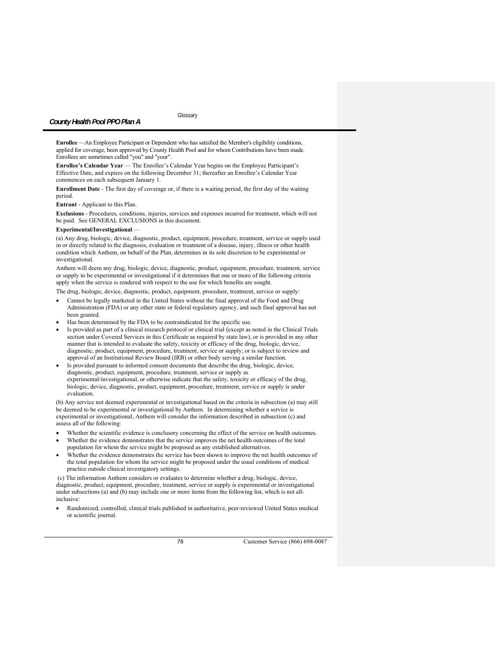**Enrollee** —An Employee Participant or Dependent who has satisfied the Member's eligibility conditions, applied for coverage, been approved by County Health Pool and for whom Contributions have been made. Enrollees are sometimes called "you" and "your".

**Enrollee's Calendar Year** — The Enrollee's Calendar Year begins on the Employee Participant's Effective Date, and expires on the following December 31; thereafter an Enrollee's Calendar Year commences on each subsequent January 1.

**Enrollment Date** - The first day of coverage or, if there is a waiting period, the first day of the waiting period.

**Entrant** - Applicant to this Plan.

**Exclusions** - Procedures, conditions, injuries, services and expenses incurred for treatment, which will not be paid. See GENERAL EXCLUSIONS in this document.

### **Experimental/Investigational** —

(a) Any drug, biologic, device, diagnostic, product, equipment, procedure, treatment, service or supply used in or directly related to the diagnosis, evaluation or treatment of a disease, injury, illness or other health condition which Anthem, on behalf of the Plan, determines in its sole discretion to be experimental or investigational.

Anthem will deem any drug, biologic, device, diagnostic, product, equipment, procedure, treatment, service or supply to be experimental or investigational if it determines that one or more of the following criteria apply when the service is rendered with respect to the use for which benefits are sought.

The drug, biologic, device, diagnostic, product, equipment, procedure, treatment, service or supply:

- Cannot be legally marketed in the United States without the final approval of the Food and Drug Administration (FDA) or any other state or federal regulatory agency, and such final approval has not been granted.
- Has been determined by the FDA to be contraindicated for the specific use.
- Is provided as part of a clinical research protocol or clinical trial (except as noted in the Clinical Trials section under Covered Services in this Certificate as required by state law), or is provided in any other manner that is intended to evaluate the safety, toxicity or efficacy of the drug, biologic, device, diagnostic, product, equipment, procedure, treatment, service or supply; or is subject to review and approval of an Institutional Review Board (IRB) or other body serving a similar function.
- Is provided pursuant to informed consent documents that describe the drug, biologic, device, diagnostic, product, equipment, procedure, treatment, service or supply as experimental/investigational, or otherwise indicate that the safety, toxicity or efficacy of the drug, biologic, device, diagnostic, product, equipment, procedure, treatment, service or supply is under evaluation.

(b) Any service not deemed experimental or investigational based on the criteria in subsection (a) may still be deemed to be experimental or investigational by Anthem. In determining whether a service is experimental or investigational, Anthem will consider the information described in subsection (c) and assess all of the following:

- Whether the scientific evidence is conclusory concerning the effect of the service on health outcomes.
- Whether the evidence demonstrates that the service improves the net health outcomes of the total population for whom the service might be proposed as any established alternatives.
- Whether the evidence demonstrates the service has been shown to improve the net health outcomes of the total population for whom the service might be proposed under the usual conditions of medical practice outside clinical investigatory settings.

 (c) The information Anthem considers or evaluates to determine whether a drug, biologic, device, diagnostic, product, equipment, procedure, treatment, service or supply is experimental or investigational under subsections (a) and (b) may include one or more items from the following list, which is not allinclusive:

 Randomized, controlled, clinical trials published in authoritative, peer-reviewed United States medical or scientific journal.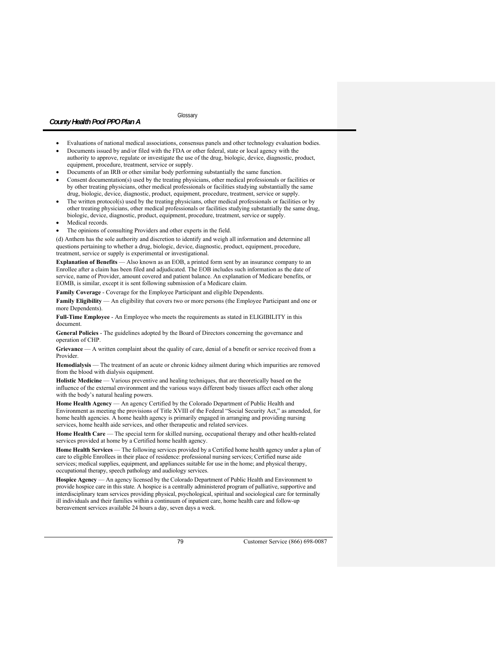**Glossary** 

- Evaluations of national medical associations, consensus panels and other technology evaluation bodies.
- Documents issued by and/or filed with the FDA or other federal, state or local agency with the authority to approve, regulate or investigate the use of the drug, biologic, device, diagnostic, product, equipment, procedure, treatment, service or supply.
- Documents of an IRB or other similar body performing substantially the same function.
- Consent documentation(s) used by the treating physicians, other medical professionals or facilities or by other treating physicians, other medical professionals or facilities studying substantially the same drug, biologic, device, diagnostic, product, equipment, procedure, treatment, service or supply.
- The written protocol(s) used by the treating physicians, other medical professionals or facilities or by other treating physicians, other medical professionals or facilities studying substantially the same drug, biologic, device, diagnostic, product, equipment, procedure, treatment, service or supply.
- Medical records.
- The opinions of consulting Providers and other experts in the field.

(d) Anthem has the sole authority and discretion to identify and weigh all information and determine all questions pertaining to whether a drug, biologic, device, diagnostic, product, equipment, procedure, treatment, service or supply is experimental or investigational.

**Explanation of Benefits** — Also known as an EOB, a printed form sent by an insurance company to an Enrollee after a claim has been filed and adjudicated. The EOB includes such information as the date of service, name of Provider, amount covered and patient balance. An explanation of Medicare benefits, or EOMB, is similar, except it is sent following submission of a Medicare claim.

**Family Coverage** - Coverage for the Employee Participant and eligible Dependents.

**Family Eligibility** — An eligibility that covers two or more persons (the Employee Participant and one or more Dependents).

**Full-Time Employee** - An Employee who meets the requirements as stated in ELIGIBILITY in this document.

**General Policies** - The guidelines adopted by the Board of Directors concerning the governance and operation of CHP.

**Grievance** — A written complaint about the quality of care, denial of a benefit or service received from a Provider.

**Hemodialysis** — The treatment of an acute or chronic kidney ailment during which impurities are removed from the blood with dialysis equipment.

**Holistic Medicine** — Various preventive and healing techniques, that are theoretically based on the influence of the external environment and the various ways different body tissues affect each other along with the body's natural healing powers.

**Home Health Agency** — An agency Certified by the Colorado Department of Public Health and Environment as meeting the provisions of Title XVIII of the Federal "Social Security Act," as amended, for home health agencies. A home health agency is primarily engaged in arranging and providing nursing services, home health aide services, and other therapeutic and related services.

Home Health Care — The special term for skilled nursing, occupational therapy and other health-related services provided at home by a Certified home health agency.

**Home Health Services** — The following services provided by a Certified home health agency under a plan of care to eligible Enrollees in their place of residence: professional nursing services; Certified nurse aide services; medical supplies, equipment, and appliances suitable for use in the home; and physical therapy, occupational therapy, speech pathology and audiology services.

**Hospice Agency** — An agency licensed by the Colorado Department of Public Health and Environment to provide hospice care in this state. A hospice is a centrally administered program of palliative, supportive and interdisciplinary team services providing physical, psychological, spiritual and sociological care for terminally ill individuals and their families within a continuum of inpatient care, home health care and follow-up bereavement services available 24 hours a day, seven days a week.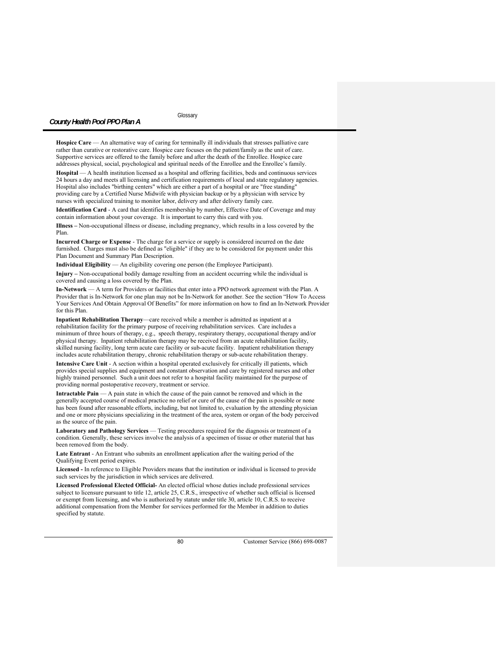**Glossary** 

Hospice Care — An alternative way of caring for terminally ill individuals that stresses palliative care rather than curative or restorative care. Hospice care focuses on the patient/family as the unit of care. Supportive services are offered to the family before and after the death of the Enrollee. Hospice care addresses physical, social, psychological and spiritual needs of the Enrollee and the Enrollee's family.

**Hospital** — A health institution licensed as a hospital and offering facilities, beds and continuous services 24 hours a day and meets all licensing and certification requirements of local and state regulatory agencies. Hospital also includes "birthing centers" which are either a part of a hospital or are "free standing" providing care by a Certified Nurse Midwife with physician backup or by a physician with service by nurses with specialized training to monitor labor, delivery and after delivery family care.

**Identification Card** - A card that identifies membership by number, Effective Date of Coverage and may contain information about your coverage. It is important to carry this card with you.

**Illness –** Non-occupational illness or disease, including pregnancy, which results in a loss covered by the Plan.

**Incurred Charge or Expense** - The charge for a service or supply is considered incurred on the date furnished. Charges must also be defined as "eligible" if they are to be considered for payment under this Plan Document and Summary Plan Description.

**Individual Eligibility** — An eligibility covering one person (the Employee Participant).

**Injury –** Non-occupational bodily damage resulting from an accident occurring while the individual is covered and causing a loss covered by the Plan.

**In-Network** — A term for Providers or facilities that enter into a PPO network agreement with the Plan. A Provider that is In-Network for one plan may not be In-Network for another. See the section "How To Access Your Services And Obtain Approval Of Benefits" for more information on how to find an In-Network Provider for this Plan.

**Inpatient Rehabilitation Therapy**—care received while a member is admitted as inpatient at a rehabilitation facility for the primary purpose of receiving rehabilitation services. Care includes a minimum of three hours of therapy, e.g., speech therapy, respiratory therapy, occupational therapy and/or physical therapy. Inpatient rehabilitation therapy may be received from an acute rehabilitation facility, skilled nursing facility, long term acute care facility or sub-acute facility. Inpatient rehabilitation therapy includes acute rehabilitation therapy, chronic rehabilitation therapy or sub-acute rehabilitation therapy.

**Intensive Care Unit** - A section within a hospital operated exclusively for critically ill patients, which provides special supplies and equipment and constant observation and care by registered nurses and other highly trained personnel. Such a unit does not refer to a hospital facility maintained for the purpose of providing normal postoperative recovery, treatment or service.

**Intractable Pain** — A pain state in which the cause of the pain cannot be removed and which in the generally accepted course of medical practice no relief or cure of the cause of the pain is possible or none has been found after reasonable efforts, including, but not limited to, evaluation by the attending physician and one or more physicians specializing in the treatment of the area, system or organ of the body perceived as the source of the pain.

**Laboratory and Pathology Services** — Testing procedures required for the diagnosis or treatment of a condition. Generally, these services involve the analysis of a specimen of tissue or other material that has been removed from the body.

**Late Entrant** - An Entrant who submits an enrollment application after the waiting period of the Qualifying Event period expires.

**Licensed -** In reference to Eligible Providers means that the institution or individual is licensed to provide such services by the jurisdiction in which services are delivered.

**Licensed Professional Elected Official-** An elected official whose duties include professional services subject to licensure pursuant to title 12, article 25, C.R.S., irrespective of whether such official is licensed or exempt from licensing, and who is authorized by statute under title 30, article 10, C.R.S. to receive additional compensation from the Member for services performed for the Member in addition to duties specified by statute.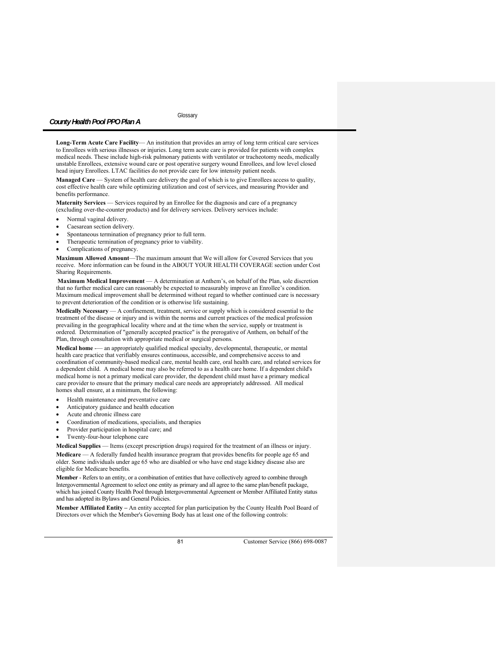**Long-Term Acute Care Facility**— An institution that provides an array of long term critical care services to Enrollees with serious illnesses or injuries. Long term acute care is provided for patients with complex medical needs. These include high-risk pulmonary patients with ventilator or tracheotomy needs, medically unstable Enrollees, extensive wound care or post operative surgery wound Enrollees, and low level closed head injury Enrollees. LTAC facilities do not provide care for low intensity patient needs.

**Managed Care** — System of health care delivery the goal of which is to give Enrollees access to quality, cost effective health care while optimizing utilization and cost of services, and measuring Provider and benefits performance.

**Maternity Services** — Services required by an Enrollee for the diagnosis and care of a pregnancy (excluding over-the-counter products) and for delivery services. Delivery services include:

- Normal vaginal delivery.
- Caesarean section delivery.
- Spontaneous termination of pregnancy prior to full term.
- Therapeutic termination of pregnancy prior to viability.
- Complications of pregnancy.

**Maximum Allowed Amount**—The maximum amount that We will allow for Covered Services that you receive. More information can be found in the ABOUT YOUR HEALTH COVERAGE section under Cost Sharing Requirements.

**Maximum Medical Improvement** — A determination at Anthem's, on behalf of the Plan, sole discretion that no further medical care can reasonably be expected to measurably improve an Enrollee's condition. Maximum medical improvement shall be determined without regard to whether continued care is necessary to prevent deterioration of the condition or is otherwise life sustaining.

**Medically Necessary** — A confinement, treatment, service or supply which is considered essential to the treatment of the disease or injury and is within the norms and current practices of the medical profession prevailing in the geographical locality where and at the time when the service, supply or treatment is ordered. Determination of "generally accepted practice" is the prerogative of Anthem, on behalf of the Plan, through consultation with appropriate medical or surgical persons.

**Medical home** -— an appropriately qualified medical specialty, developmental, therapeutic, or mental health care practice that verifiably ensures continuous, accessible, and comprehensive access to and coordination of community-based medical care, mental health care, oral health care, and related services for a dependent child. A medical home may also be referred to as a health care home. If a dependent child's medical home is not a primary medical care provider, the dependent child must have a primary medical care provider to ensure that the primary medical care needs are appropriately addressed. All medical homes shall ensure, at a minimum, the following:

- Health maintenance and preventative care
- Anticipatory guidance and health education
- Acute and chronic illness care
- Coordination of medications, specialists, and therapies
- Provider participation in hospital care; and
- Twenty-four-hour telephone care

**Medical Supplies** — Items (except prescription drugs) required for the treatment of an illness or injury. **Medicare** — A federally funded health insurance program that provides benefits for people age 65 and older. Some individuals under age 65 who are disabled or who have end stage kidney disease also are eligible for Medicare benefits.

**Member** - Refers to an entity, or a combination of entities that have collectively agreed to combine through Intergovernmental Agreement to select one entity as primary and all agree to the same plan/benefit package, which has joined County Health Pool through Intergovernmental Agreement or Member Affiliated Entity status and has adopted its Bylaws and General Policies.

**Member Affiliated Entity –** An entity accepted for plan participation by the County Health Pool Board of Directors over which the Member's Governing Body has at least one of the following controls: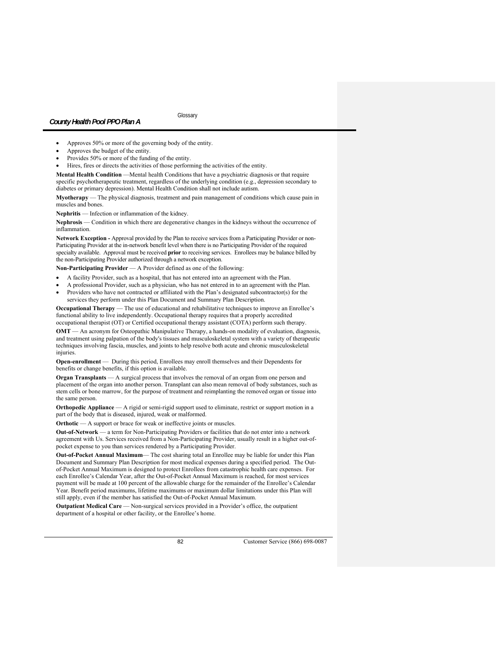- Approves 50% or more of the governing body of the entity.
- Approves the budget of the entity.
- Provides 50% or more of the funding of the entity.
- Hires, fires or directs the activities of those performing the activities of the entity.

**Mental Health Condition** —Mental health Conditions that have a psychiatric diagnosis or that require specific psychotherapeutic treatment, regardless of the underlying condition (e.g., depression secondary to diabetes or primary depression). Mental Health Condition shall not include autism.

**Myotherapy** — The physical diagnosis, treatment and pain management of conditions which cause pain in muscles and bones.

**Nephritis** — Infection or inflammation of the kidney.

**Nephrosis** — Condition in which there are degenerative changes in the kidneys without the occurrence of inflammation.

**Network Exception -** Approval provided by the Plan to receive services from a Participating Provider or non-Participating Provider at the in-network benefit level when there is no Participating Provider of the required specialty available. Approval must be received **prior** to receiving services. Enrollees may be balance billed by the non-Participating Provider authorized through a network exception.

**Non-Participating Provider** — A Provider defined as one of the following:

- A facility Provider, such as a hospital, that has not entered into an agreement with the Plan.
- A professional Provider, such as a physician, who has not entered in to an agreement with the Plan.
- Providers who have not contracted or affiliated with the Plan's designated subcontractor(s) for the services they perform under this Plan Document and Summary Plan Description.

**Occupational Therapy** — The use of educational and rehabilitative techniques to improve an Enrollee's functional ability to live independently. Occupational therapy requires that a properly accredited occupational therapist (OT) or Certified occupational therapy assistant (COTA) perform such therapy.

**OMT** — An acronym for Osteopathic Manipulative Therapy, a hands-on modality of evaluation, diagnosis, and treatment using palpation of the body's tissues and musculoskeletal system with a variety of therapeutic techniques involving fascia, muscles, and joints to help resolve both acute and chronic musculoskeletal injuries.

**Open-enrollment** — During this period, Enrollees may enroll themselves and their Dependents for benefits or change benefits, if this option is available.

**Organ Transplants** — A surgical process that involves the removal of an organ from one person and placement of the organ into another person. Transplant can also mean removal of body substances, such as stem cells or bone marrow, for the purpose of treatment and reimplanting the removed organ or tissue into the same person.

**Orthopedic Appliance** — A rigid or semi-rigid support used to eliminate, restrict or support motion in a part of the body that is diseased, injured, weak or malformed.

**Orthotic** — A support or brace for weak or ineffective joints or muscles.

**Out-of-Network** — a term for Non-Participating Providers or facilities that do not enter into a network agreement with Us. Services received from a Non-Participating Provider, usually result in a higher out-ofpocket expense to you than services rendered by a Participating Provider.

**Out-of-Pocket Annual Maximum**— The cost sharing total an Enrollee may be liable for under this Plan Document and Summary Plan Description for most medical expenses during a specified period. The Outof-Pocket Annual Maximum is designed to protect Enrollees from catastrophic health care expenses. For each Enrollee's Calendar Year, after the Out-of-Pocket Annual Maximum is reached, for most services payment will be made at 100 percent of the allowable charge for the remainder of the Enrollee's Calendar Year. Benefit period maximums, lifetime maximums or maximum dollar limitations under this Plan will still apply, even if the member has satisfied the Out-of-Pocket Annual Maximum.

**Outpatient Medical Care** — Non-surgical services provided in a Provider's office, the outpatient department of a hospital or other facility, or the Enrollee's home.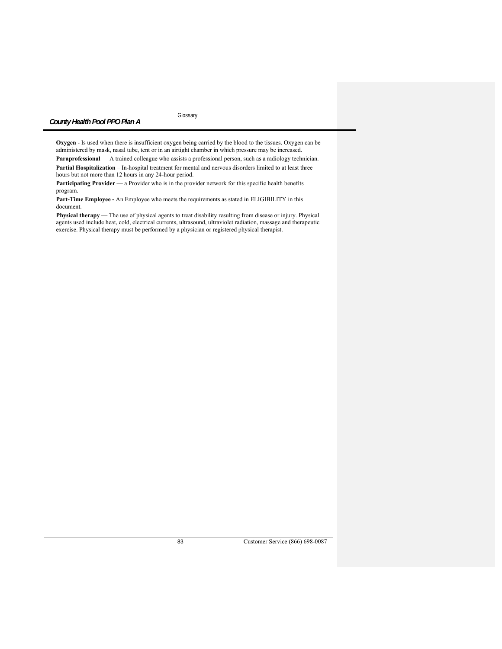Glossary

**Oxygen** - Is used when there is insufficient oxygen being carried by the blood to the tissues. Oxygen can be administered by mask, nasal tube, tent or in an airtight chamber in which pressure may be increased.

**Paraprofessional** — A trained colleague who assists a professional person, such as a radiology technician. **Partial Hospitalization** – In-hospital treatment for mental and nervous disorders limited to at least three hours but not more than 12 hours in any 24-hour period.

Participating Provider — a Provider who is in the provider network for this specific health benefits program.

**Part-Time Employee -** An Employee who meets the requirements as stated in ELIGIBILITY in this document.

**Physical therapy** — The use of physical agents to treat disability resulting from disease or injury. Physical agents used include heat, cold, electrical currents, ultrasound, ultraviolet radiation, massage and therapeutic exercise. Physical therapy must be performed by a physician or registered physical therapist.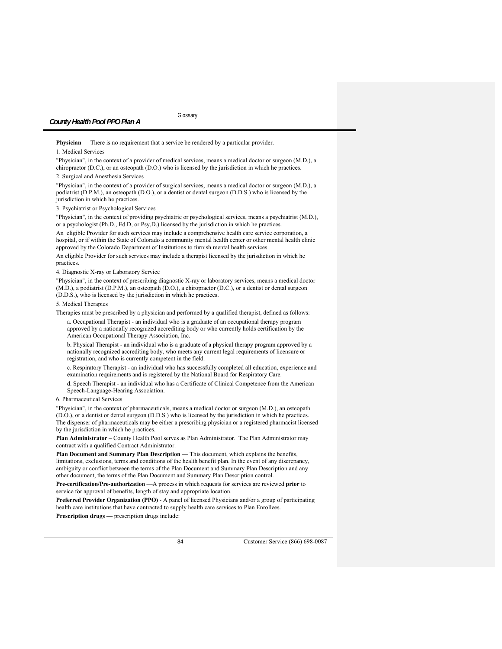**Physician** — There is no requirement that a service be rendered by a particular provider.

1. Medical Services

"Physician", in the context of a provider of medical services, means a medical doctor or surgeon (M.D.), a chiropractor (D.C.), or an osteopath (D.O.) who is licensed by the jurisdiction in which he practices.

2. Surgical and Anesthesia Services

"Physician", in the context of a provider of surgical services, means a medical doctor or surgeon (M.D.), a podiatrist (D.P.M.), an osteopath (D.O.), or a dentist or dental surgeon (D.D.S.) who is licensed by the jurisdiction in which he practices.

3. Psychiatrist or Psychological Services

"Physician", in the context of providing psychiatric or psychological services, means a psychiatrist (M.D.), or a psychologist (Ph.D., Ed.D, or Psy,D.) licensed by the jurisdiction in which he practices.

An eligible Provider for such services may include a comprehensive health care service corporation, a hospital, or if within the State of Colorado a community mental health center or other mental health clinic approved by the Colorado Department of Institutions to furnish mental health services.

An eligible Provider for such services may include a therapist licensed by the jurisdiction in which he practices.

4. Diagnostic X-ray or Laboratory Service

"Physician", in the context of prescribing diagnostic X-ray or laboratory services, means a medical doctor (M.D.), a podiatrist (D.P.M.), an osteopath (D.O.), a chiropractor (D.C.), or a dentist or dental surgeon (D.D.S.), who is licensed by the jurisdiction in which he practices.

5. Medical Therapies

Therapies must be prescribed by a physician and performed by a qualified therapist, defined as follows:

a. Occupational Therapist - an individual who is a graduate of an occupational therapy program approved by a nationally recognized accrediting body or who currently holds certification by the American Occupational Therapy Association, Inc.

b. Physical Therapist - an individual who is a graduate of a physical therapy program approved by a nationally recognized accrediting body, who meets any current legal requirements of licensure or registration, and who is currently competent in the field.

c. Respiratory Therapist - an individual who has successfully completed all education, experience and examination requirements and is registered by the National Board for Respiratory Care.

d. Speech Therapist - an individual who has a Certificate of Clinical Competence from the American Speech-Language-Hearing Association.

6. Pharmaceutical Services

"Physician", in the context of pharmaceuticals, means a medical doctor or surgeon (M.D.), an osteopath (D.O.), or a dentist or dental surgeon (D.D.S.) who is licensed by the jurisdiction in which he practices. The dispenser of pharmaceuticals may be either a prescribing physician or a registered pharmacist licensed by the jurisdiction in which he practices.

**Plan Administrator** – County Health Pool serves as Plan Administrator. The Plan Administrator may contract with a qualified Contract Administrator.

Plan Document and Summary Plan Description — This document, which explains the benefits, limitations, exclusions, terms and conditions of the health benefit plan. In the event of any discrepancy, ambiguity or conflict between the terms of the Plan Document and Summary Plan Description and any other document, the terms of the Plan Document and Summary Plan Description control.

**Pre-certification/Pre-authorization** —A process in which requests for services are reviewed **prior** to service for approval of benefits, length of stay and appropriate location.

**Preferred Provider Organization (PPO)** - A panel of licensed Physicians and/or a group of participating health care institutions that have contracted to supply health care services to Plan Enrollees. **Prescription drugs — prescription drugs include:**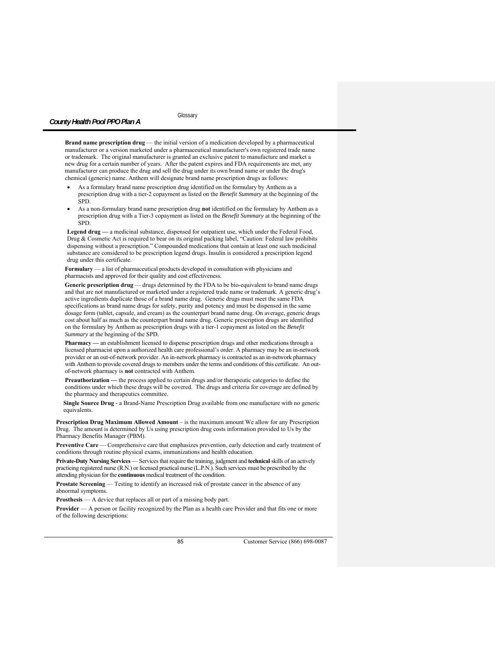**Brand name prescription drug** — the initial version of a medication developed by a pharmaceutical manufacturer or a version marketed under a pharmaceutical manufacturer's own registered trade name or trademark. The original manufacturer is granted an exclusive patent to manufacture and market a new drug for a certain number of years. After the patent expires and FDA requirements are met, any manufacturer can produce the drug and sell the drug under its own brand name or under the drug's chemical (generic) name. Anthem will designate brand name prescription drugs as follows:

- As a formulary brand name prescription drug identified on the formulary by Anthem as a prescription drug with a tier-2 copayment as listed on the *Benefit Summary* at the beginning of the SPD.
- As a non-formulary brand name prescription drug **not** identified on the formulary by Anthem as a prescription drug with a Tier-3 copayment as listed on the *Benefit Summary* at the beginning of the SPD.

**Legend drug —** a medicinal substance, dispensed for outpatient use, which under the Federal Food, Drug & Cosmetic Act is required to bear on its original packing label, "Caution: Federal law prohibits dispensing without a prescription." Compounded medications that contain at least one such medicinal substance are considered to be prescription legend drugs. Insulin is considered a prescription legend drug under this certificate.

**Formulary** — a list of pharmaceutical products developed in consultation with physicians and pharmacists and approved for their quality and cost effectiveness*.*

Generic prescription drug - drugs determined by the FDA to be bio-equivalent to brand name drugs and that are not manufactured or marketed under a registered trade name or trademark. A generic drug's active ingredients duplicate those of a brand name drug. Generic drugs must meet the same FDA specifications as brand name drugs for safety, purity and potency and must be dispensed in the same dosage form (tablet, capsule, and cream) as the counterpart brand name drug. On average, generic drugs cost about half as much as the counterpart brand name drug. Generic prescription drugs are identified on the formulary by Anthem as prescription drugs with a tier-1 copayment as listed on the *Benefit Summary* at the beginning of the SPD*.*

**Pharmacy —** an establishment licensed to dispense prescription drugs and other medications through a licensed pharmacist upon a authorized health care professional's order. A pharmacy may be an in-network provider or an out-of-network provider. An in-network pharmacy is contracted as an in-network pharmacy with Anthem to provide covered drugs to members under the terms and conditions of this certificate. An outof-network pharmacy is **not** contracted with Anthem.

**Preauthorization —** the process applied to certain drugs and/or therapeutic categories to define the conditions under which these drugs will be covered. The drugs and criteria for coverage are defined by the pharmacy and therapeutics committee*.* 

**Single Source Drug** - a Brand-Name Prescription Drug available from one manufacture with no generic equivalents.

**Prescription Drug Maximum Allowed Amount** – is the maximum amount We allow for any Prescription Drug. The amount is determined by Us using prescription drug costs information provided to Us by the Pharmacy Benefits Manager (PBM).

**Preventive Care** — Comprehensive care that emphasizes prevention, early detection and early treatment of conditions through routine physical exams, immunizations and health education.

**Private-Duty Nursing Services** — Services that require the training, judgment and **technical** skills of an actively practicing registered nurse (R.N.) or licensed practical nurse (L.P.N.). Such services must be prescribed by the attending physician for the **continuous** medical treatment of the condition.

**Prostate Screening** — Testing to identify an increased risk of prostate cancer in the absence of any abnormal symptoms.

**Prosthesis** — A device that replaces all or part of a missing body part.

**Provider** — A person or facility recognized by the Plan as a health care Provider and that fits one or more of the following descriptions: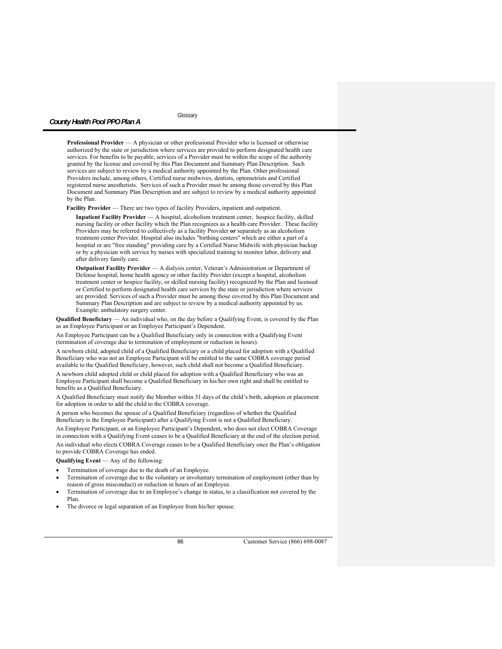**Glossary** 

**Professional Provider** — A physician or other professional Provider who is licensed or otherwise authorized by the state or jurisdiction where services are provided to perform designated health care services. For benefits to be payable, services of a Provider must be within the scope of the authority granted by the license and covered by this Plan Document and Summary Plan Description. Such services are subject to review by a medical authority appointed by the Plan. Other professional Providers include, among others, Certified nurse midwives, dentists, optometrists and Certified registered nurse anesthetists. Services of such a Provider must be among those covered by this Plan Document and Summary Plan Description and are subject to review by a medical authority appointed by the Plan.

Facility Provider - There are two types of facility Providers, inpatient and outpatient.

 **Inpatient Facility Provider** — A hospital, alcoholism treatment center, hospice facility, skilled nursing facility or other facility which the Plan recognizes as a health care Provider. These facility Providers may be referred to collectively as a facility Provider **or** separately as an alcoholism treatment center Provider. Hospital also includes "birthing centers" which are either a part of a hospital or are "free standing" providing care by a Certified Nurse Midwife with physician backup or by a physician with service by nurses with specialized training to monitor labor, delivery and after delivery family care.

 **Outpatient Facility Provider** — A dialysis center, Veteran's Administration or Department of Defense hospital, home health agency or other facility Provider (except a hospital, alcoholism treatment center or hospice facility, or skilled nursing facility) recognized by the Plan and licensed or Certified to perform designated health care services by the state or jurisdiction where services are provided. Services of such a Provider must be among those covered by this Plan Document and Summary Plan Description and are subject to review by a medical authority appointed by us. Example: ambulatory surgery center.

**Qualified Beneficiary** — An individual who, on the day before a Qualifying Event, is covered by the Plan as an Employee Participant or an Employee Participant's Dependent.

An Employee Participant can be a Qualified Beneficiary only in connection with a Qualifying Event (termination of coverage due to termination of employment or reduction in hours).

A newborn child, adopted child of a Qualified Beneficiary or a child placed for adoption with a Qualified Beneficiary who was not an Employee Participant will be entitled to the same COBRA coverage period available to the Qualified Beneficiary, however, such child shall not become a Qualified Beneficiary. A newborn child adopted child or child placed for adoption with a Qualified Beneficiary who was an Employee Participant shall become a Qualified Beneficiary in his/her own right and shall be entitled to benefits as a Qualified Beneficiary.

A Qualified Beneficiary must notify the Member within 31 days of the child's birth, adoption or placement for adoption in order to add the child to the COBRA coverage.

A person who becomes the spouse of a Qualified Beneficiary (regardless of whether the Qualified Beneficiary is the Employee Participant) after a Qualifying Event is not a Qualified Beneficiary.

An Employee Participant, or an Employee Participant's Dependent, who does not elect COBRA Coverage in connection with a Qualifying Event ceases to be a Qualified Beneficiary at the end of the election period. An individual who elects COBRA Coverage ceases to be a Qualified Beneficiary once the Plan's obligation to provide COBRA Coverage has ended.

**Qualifying Event** — Any of the following:

- Termination of coverage due to the death of an Employee.
- Termination of coverage due to the voluntary or involuntary termination of employment (other than by reason of gross misconduct) or reduction in hours of an Employee.
- Termination of coverage due to an Employee's change in status, to a classification not covered by the Plan.
- The divorce or legal separation of an Employee from his/her spouse.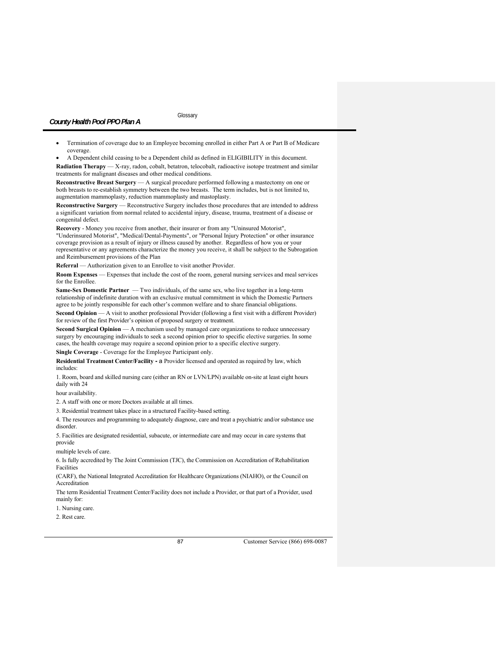Termination of coverage due to an Employee becoming enrolled in either Part A or Part B of Medicare coverage.

 A Dependent child ceasing to be a Dependent child as defined in ELIGIBILITY in this document. **Radiation Therapy** — X-ray, radon, cobalt, betatron, telocobalt, radioactive isotope treatment and similar treatments for malignant diseases and other medical conditions.

**Reconstructive Breast Surgery** — A surgical procedure performed following a mastectomy on one or both breasts to re-establish symmetry between the two breasts. The term includes, but is not limited to, augmentation mammoplasty, reduction mammoplasty and mastoplasty.

**Reconstructive Surgery** — Reconstructive Surgery includes those procedures that are intended to address a significant variation from normal related to accidental injury, disease, trauma, treatment of a disease or congenital defect.

**Recovery** - Money you receive from another, their insurer or from any "Uninsured Motorist", "Underinsured Motorist", "Medical/Dental-Payments", or "Personal Injury Protection" or other insurance coverage provision as a result of injury or illness caused by another. Regardless of how you or your representative or any agreements characterize the money you receive, it shall be subject to the Subrogation and Reimbursement provisions of the Plan

**Referral** — Authorization given to an Enrollee to visit another Provider.

**Room Expenses** — Expenses that include the cost of the room, general nursing services and meal services for the Enrollee.

**Same-Sex Domestic Partner** — Two individuals, of the same sex, who live together in a long-term relationship of indefinite duration with an exclusive mutual commitment in which the Domestic Partners agree to be jointly responsible for each other's common welfare and to share financial obligations.

**Second Opinion** — A visit to another professional Provider (following a first visit with a different Provider) for review of the first Provider's opinion of proposed surgery or treatment.

**Second Surgical Opinion** — A mechanism used by managed care organizations to reduce unnecessary surgery by encouraging individuals to seek a second opinion prior to specific elective surgeries. In some cases, the health coverage may require a second opinion prior to a specific elective surgery.

**Single Coverage** - Coverage for the Employee Participant only.

**Residential Treatment Center/Facility -** a Provider licensed and operated as required by law, which includes:

1. Room, board and skilled nursing care (either an RN or LVN/LPN) available on-site at least eight hours daily with 24

hour availability.

2. A staff with one or more Doctors available at all times.

3. Residential treatment takes place in a structured Facility-based setting.

4. The resources and programming to adequately diagnose, care and treat a psychiatric and/or substance use disorder.

5. Facilities are designated residential, subacute, or intermediate care and may occur in care systems that provide

multiple levels of care.

6. Is fully accredited by The Joint Commission (TJC), the Commission on Accreditation of Rehabilitation Facilities

(CARF), the National Integrated Accreditation for Healthcare Organizations (NIAHO), or the Council on Accreditation

The term Residential Treatment Center/Facility does not include a Provider, or that part of a Provider, used mainly for:

1. Nursing care.

2. Rest care.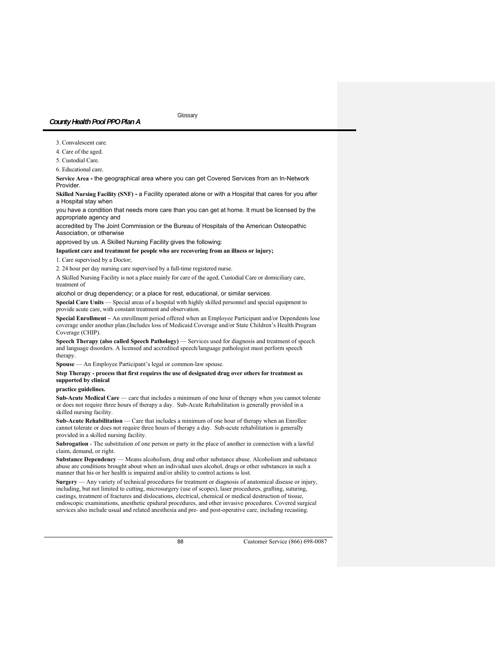3. Convalescent care.

4. Care of the aged.

5. Custodial Care.

6. Educational care.

**Service Area -** the geographical area where you can get Covered Services from an In-Network Provider.

**Skilled Nursing Facility (SNF) -** a Facility operated alone or with a Hospital that cares for you after a Hospital stay when

you have a condition that needs more care than you can get at home. It must be licensed by the appropriate agency and

accredited by The Joint Commission or the Bureau of Hospitals of the American Osteopathic Association, or otherwise

approved by us. A Skilled Nursing Facility gives the following:

**Inpatient care and treatment for people who are recovering from an illness or injury;** 

1. Care supervised by a Doctor;

2. 24 hour per day nursing care supervised by a full-time registered nurse.

A Skilled Nursing Facility is not a place mainly for care of the aged, Custodial Care or domiciliary care, treatment of

alcohol or drug dependency; or a place for rest, educational, or similar services.

**Special Care Units** — Special areas of a hospital with highly skilled personnel and special equipment to provide acute care, with constant treatment and observation.

**Special Enrollment –** An enrollment period offered when an Employee Participant and/or Dependents lose coverage under another plan.(Includes loss of Medicaid Coverage and/or State Children's Health Program Coverage (CHIP).

**Speech Therapy (also called Speech Pathology)** — Services used for diagnosis and treatment of speech and language disorders. A licensed and accredited speech/language pathologist must perform speech therapy.

**Spouse** — An Employee Participant's legal or common-law spouse.

# **Step Therapy - process that first requires the use of designated drug over others for treatment as supported by clinical**

# **practice guidelines.**

**Sub-Acute Medical Care** — care that includes a minimum of one hour of therapy when you cannot tolerate or does not require three hours of therapy a day. Sub-Acute Rehabilitation is generally provided in a skilled nursing facility.

**Sub-Acute Rehabilitation** — Care that includes a minimum of one hour of therapy when an Enrollee cannot tolerate or does not require three hours of therapy a day. Sub-acute rehabilitation is generally provided in a skilled nursing facility.

**Subrogation** - The substitution of one person or party in the place of another in connection with a lawful claim, demand, or right.

**Substance Dependency** — Means alcoholism, drug and other substance abuse. Alcoholism and substance abuse are conditions brought about when an individual uses alcohol, drugs or other substances in such a manner that his or her health is impaired and/or ability to control actions is lost.

**Surgery** — Any variety of technical procedures for treatment or diagnosis of anatomical disease or injury, including, but not limited to cutting, microsurgery (use of scopes), laser procedures, grafting, suturing, castings, treatment of fractures and dislocations, electrical, chemical or medical destruction of tissue, endoscopic examinations, anesthetic epidural procedures, and other invasive procedures. Covered surgical services also include usual and related anesthesia and pre- and post-operative care, including recasting.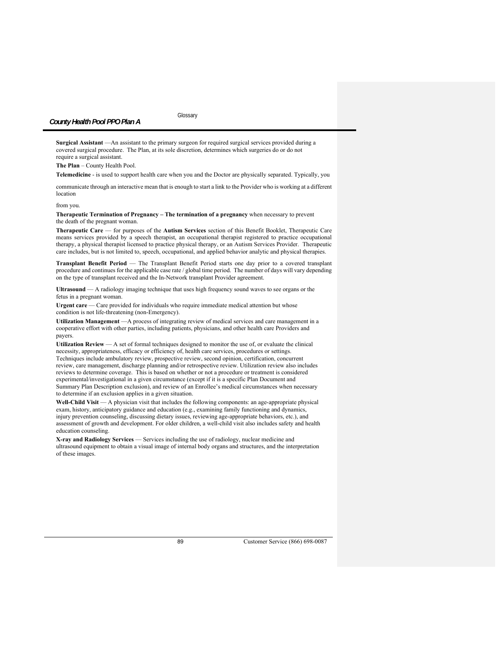**Surgical Assistant** —An assistant to the primary surgeon for required surgical services provided during a covered surgical procedure. The Plan, at its sole discretion, determines which surgeries do or do not require a surgical assistant.

**The Plan** – County Health Pool.

**Telemedicine** - is used to support health care when you and the Doctor are physically separated. Typically, you

communicate through an interactive mean that is enough to start a link to the Provider who is working at a different location

from you.

**Therapeutic Termination of Pregnancy – The termination of a pregnancy** when necessary to prevent the death of the pregnant woman.

**Therapeutic Care** — for purposes of the **Autism Services** section of this Benefit Booklet, Therapeutic Care means services provided by a speech therapist, an occupational therapist registered to practice occupational therapy, a physical therapist licensed to practice physical therapy, or an Autism Services Provider. Therapeutic care includes, but is not limited to, speech, occupational, and applied behavior analytic and physical therapies.

**Transplant Benefit Period** — The Transplant Benefit Period starts one day prior to a covered transplant procedure and continues for the applicable case rate / global time period. The number of days will vary depending on the type of transplant received and the In-Network transplant Provider agreement.

**Ultrasound** — A radiology imaging technique that uses high frequency sound waves to see organs or the fetus in a pregnant woman.

**Urgent care** — Care provided for individuals who require immediate medical attention but whose condition is not life-threatening (non-Emergency).

**Utilization Management** —A process of integrating review of medical services and care management in a cooperative effort with other parties, including patients, physicians, and other health care Providers and payers.

**Utilization Review** — A set of formal techniques designed to monitor the use of, or evaluate the clinical necessity, appropriateness, efficacy or efficiency of, health care services, procedures or settings. Techniques include ambulatory review, prospective review, second opinion, certification, concurrent review, care management, discharge planning and/or retrospective review. Utilization review also includes reviews to determine coverage. This is based on whether or not a procedure or treatment is considered experimental/investigational in a given circumstance (except if it is a specific Plan Document and Summary Plan Description exclusion), and review of an Enrollee's medical circumstances when necessary to determine if an exclusion applies in a given situation.

Well-Child Visit — A physician visit that includes the following components: an age-appropriate physical exam, history, anticipatory guidance and education (e.g., examining family functioning and dynamics, injury prevention counseling, discussing dietary issues, reviewing age-appropriate behaviors, etc.), and assessment of growth and development. For older children, a well-child visit also includes safety and health education counseling.

**X-ray and Radiology Services** — Services including the use of radiology, nuclear medicine and ultrasound equipment to obtain a visual image of internal body organs and structures, and the interpretation of these images.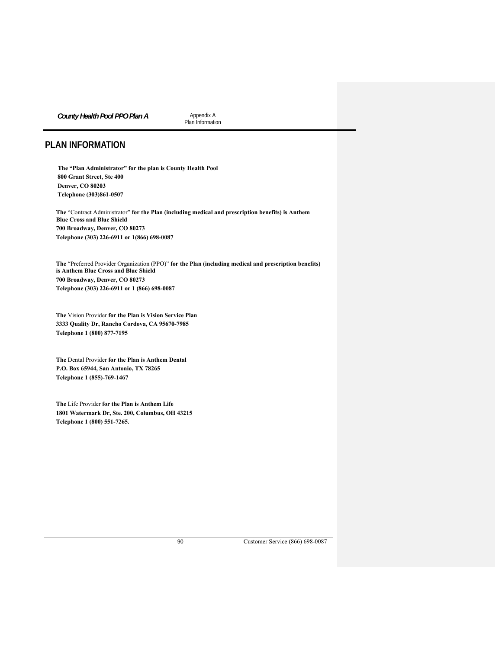**County Health Pool PPO Plan A Appendix A** 

Plan Information

# **PLAN INFORMATION**

**The "Plan Administrator" for the plan is County Health Pool 800 Grant Street, Ste 400 Denver, CO 80203 Telephone (303)861-0507** 

**The** "Contract Administrator" **for the Plan (including medical and prescription benefits) is Anthem Blue Cross and Blue Shield 700 Broadway, Denver, CO 80273 Telephone (303) 226-6911 or 1(866) 698-0087** 

**The** "Preferred Provider Organization (PPO)" **for the Plan (including medical and prescription benefits) is Anthem Blue Cross and Blue Shield 700 Broadway, Denver, CO 80273 Telephone (303) 226-6911 or 1 (866) 698-0087** 

**The** Vision Provider **for the Plan is Vision Service Plan 3333 Quality Dr, Rancho Cordova, CA 95670-7985 Telephone 1 (800) 877-7195** 

**The** Dental Provider **for the Plan is Anthem Dental P.O. Box 65944, San Antonio, TX 78265 Telephone 1 (855)-769-1467** 

**The** Life Provider **for the Plan is Anthem Life 1801 Watermark Dr, Ste. 200, Columbus, OH 43215 Telephone 1 (800) 551-7265.**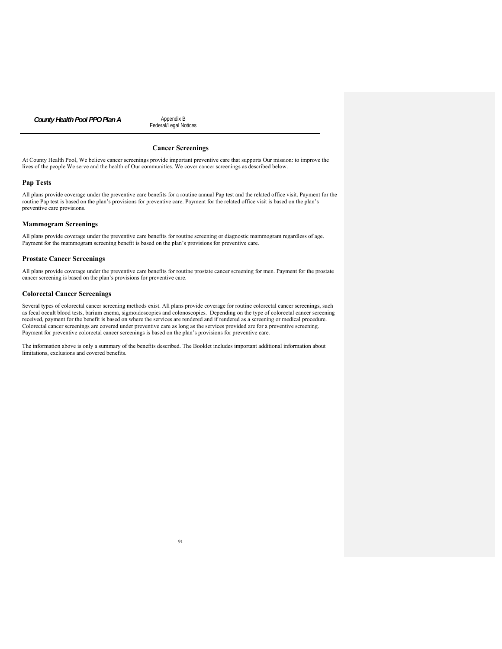**County Health Pool PPO Plan A** Appendix B

Federal/Legal Notices

# **Cancer Screenings**

At County Health Pool, We believe cancer screenings provide important preventive care that supports Our mission: to improve the lives of the people We serve and the health of Our communities. We cover cancer screenings as described below.

### **Pap Tests**

All plans provide coverage under the preventive care benefits for a routine annual Pap test and the related office visit. Payment for the routine Pap test is based on the plan's provisions for preventive care. Payment for the related office visit is based on the plan's preventive care provisions.

### **Mammogram Screenings**

All plans provide coverage under the preventive care benefits for routine screening or diagnostic mammogram regardless of age. Payment for the mammogram screening benefit is based on the plan's provisions for preventive care.

#### **Prostate Cancer Screenings**

All plans provide coverage under the preventive care benefits for routine prostate cancer screening for men. Payment for the prostate cancer screening is based on the plan's provisions for preventive care.

### **Colorectal Cancer Screenings**

Several types of colorectal cancer screening methods exist. All plans provide coverage for routine colorectal cancer screenings, such as fecal occult blood tests, barium enema, sigmoidoscopies and colonoscopies. Depending on the type of colorectal cancer screening received, payment for the benefit is based on where the services are rendered and if rendered as a screening or medical procedure. Colorectal cancer screenings are covered under preventive care as long as the services provided are for a preventive screening. Payment for preventive colorectal cancer screenings is based on the plan's provisions for preventive care.

The information above is only a summary of the benefits described. The Booklet includes important additional information about limitations, exclusions and covered benefits.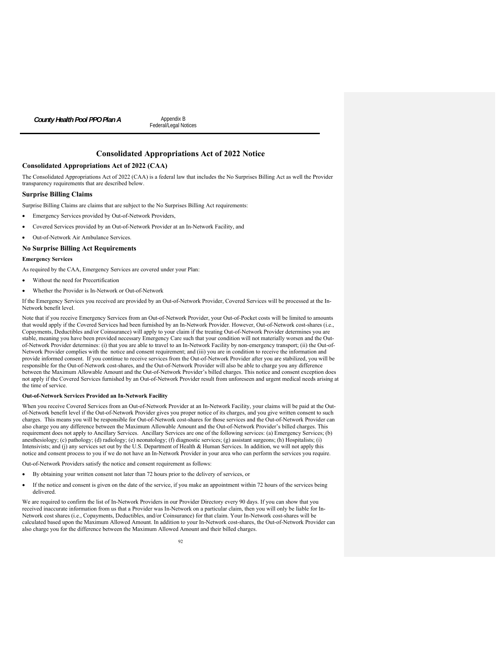**County Health Pool PPO Plan A Appendix B** 

Federal/Legal Notices

# **Consolidated Appropriations Act of 2022 Notice**

### **Consolidated Appropriations Act of 2022 (CAA)**

The Consolidated Appropriations Act of 2022 (CAA) is a federal law that includes the No Surprises Billing Act as well the Provider transparency requirements that are described below.

### **Surprise Billing Claims**

Surprise Billing Claims are claims that are subject to the No Surprises Billing Act requirements:

- Emergency Services provided by Out-of-Network Providers,
- Covered Services provided by an Out-of-Network Provider at an In-Network Facility, and
- Out-of-Network Air Ambulance Services.

### **No Surprise Billing Act Requirements**

### **Emergency Services**

As required by the CAA, Emergency Services are covered under your Plan:

- Without the need for Precertification
- Whether the Provider is In-Network or Out-of-Network

If the Emergency Services you received are provided by an Out-of-Network Provider, Covered Services will be processed at the In-Network benefit level.

Note that if you receive Emergency Services from an Out-of-Network Provider, your Out-of-Pocket costs will be limited to amounts that would apply if the Covered Services had been furnished by an In-Network Provider. However, Out-of-Network cost-shares (i.e., Copayments, Deductibles and/or Coinsurance) will apply to your claim if the treating Out-of-Network Provider determines you are stable, meaning you have been provided necessary Emergency Care such that your condition will not materially worsen and the Outof-Network Provider determines: (i) that you are able to travel to an In-Network Facility by non-emergency transport; (ii) the Out-of-Network Provider complies with the notice and consent requirement; and (iii) you are in condition to receive the information and provide informed consent. If you continue to receive services from the Out-of-Network Provider after you are stabilized, you will be responsible for the Out-of-Network cost-shares, and the Out-of-Network Provider will also be able to charge you any difference between the Maximum Allowable Amount and the Out-of-Network Provider's billed charges. This notice and consent exception does not apply if the Covered Services furnished by an Out-of-Network Provider result from unforeseen and urgent medical needs arising at the time of service.

### **Out-of-Network Services Provided an In-Network Facility**

When you receive Covered Services from an Out-of-Network Provider at an In-Network Facility, your claims will be paid at the Outof-Network benefit level if the Out-of-Network Provider gives you proper notice of its charges, and you give written consent to such charges. This means you will be responsible for Out-of-Network cost-shares for those services and the Out-of-Network Provider can also charge you any difference between the Maximum Allowable Amount and the Out-of-Network Provider's billed charges. This requirement does not apply to Ancillary Services. Ancillary Services are one of the following services: (a) Emergency Services; (b) anesthesiology; (c) pathology; (d) radiology; (e) neonatology; (f) diagnostic services; (g) assistant surgeons; (h) Hospitalists; (i) Intensivists; and (j) any services set out by the U.S. Department of Health & Human Services. In addition, we will not apply this notice and consent process to you if we do not have an In-Network Provider in your area who can perform the services you require.

Out-of-Network Providers satisfy the notice and consent requirement as follows:

- By obtaining your written consent not later than 72 hours prior to the delivery of services, or
- If the notice and consent is given on the date of the service, if you make an appointment within 72 hours of the services being delivered.

We are required to confirm the list of In-Network Providers in our Provider Directory every 90 days. If you can show that you received inaccurate information from us that a Provider was In-Network on a particular claim, then you will only be liable for In-Network cost shares (i.e., Copayments, Deductibles, and/or Coinsurance) for that claim. Your In-Network cost-shares will be calculated based upon the Maximum Allowed Amount. In addition to your In-Network cost-shares, the Out-of-Network Provider can also charge you for the difference between the Maximum Allowed Amount and their billed charges.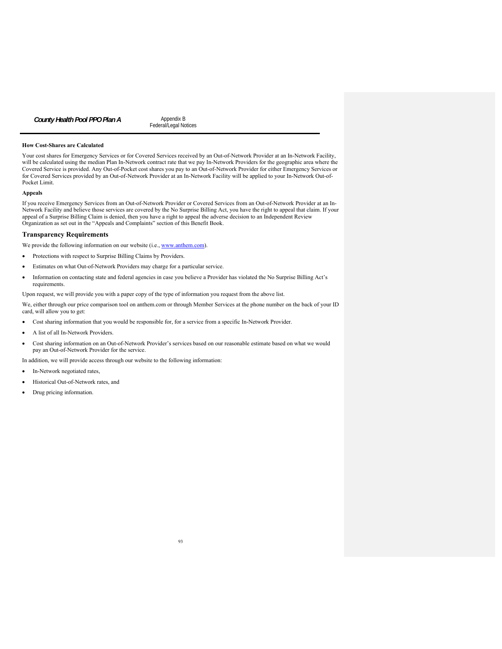**County Health Pool PPO Plan A** Appendix B

Federal/Legal Notices

### **How Cost-Shares are Calculated**

Your cost shares for Emergency Services or for Covered Services received by an Out-of-Network Provider at an In-Network Facility, will be calculated using the median Plan In-Network contract rate that we pay In-Network Providers for the geographic area where the Covered Service is provided. Any Out-of-Pocket cost shares you pay to an Out-of-Network Provider for either Emergency Services or for Covered Services provided by an Out-of-Network Provider at an In-Network Facility will be applied to your In-Network Out-of-Pocket Limit.

# **Appeals**

If you receive Emergency Services from an Out-of-Network Provider or Covered Services from an Out-of-Network Provider at an In-Network Facility and believe those services are covered by the No Surprise Billing Act, you have the right to appeal that claim. If your appeal of a Surprise Billing Claim is denied, then you have a right to appeal the adverse decision to an Independent Review Organization as set out in the "Appeals and Complaints" section of this Benefit Book.

# **Transparency Requirements**

We provide the following information on our website (i.e., www.anthem.com).

- Protections with respect to Surprise Billing Claims by Providers.
- Estimates on what Out-of-Network Providers may charge for a particular service.
- Information on contacting state and federal agencies in case you believe a Provider has violated the No Surprise Billing Act's requirements.

Upon request, we will provide you with a paper copy of the type of information you request from the above list.

We, either through our price comparison tool on anthem.com or through Member Services at the phone number on the back of your ID card, will allow you to get:

- Cost sharing information that you would be responsible for, for a service from a specific In-Network Provider.
- A list of all In-Network Providers.
- Cost sharing information on an Out-of-Network Provider's services based on our reasonable estimate based on what we would pay an Out-of-Network Provider for the service.

In addition, we will provide access through our website to the following information:

- In-Network negotiated rates,
- Historical Out-of-Network rates, and
- Drug pricing information.